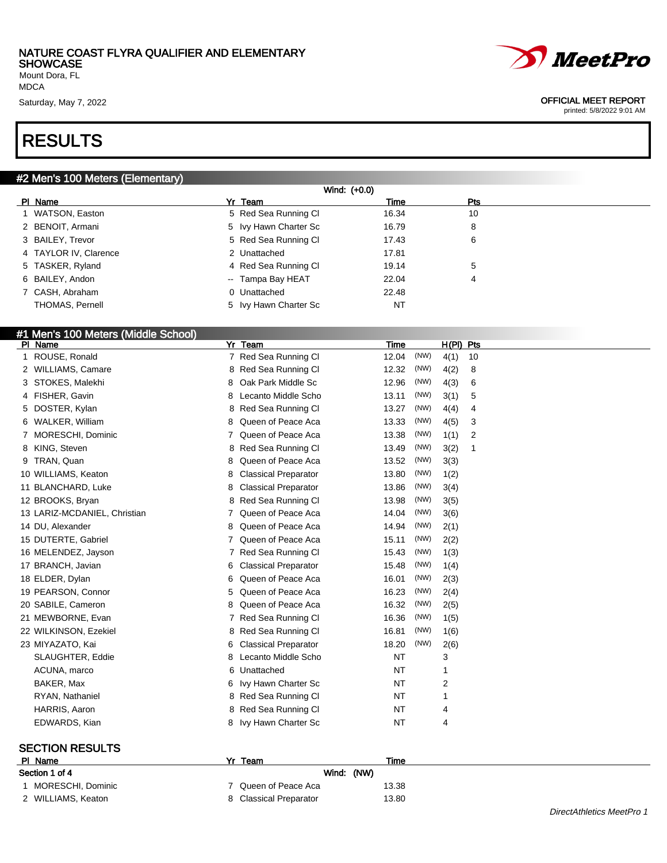Mount Dora, FL MDCA

### RESULTS

#### #2 Men's 100 Meters (Elementary)

|                       | Wind: (+0.0)          |           |            |  |  |  |  |
|-----------------------|-----------------------|-----------|------------|--|--|--|--|
| PI Name               | Yr Team               | Time      | <b>Pts</b> |  |  |  |  |
| 1 WATSON, Easton      | 5 Red Sea Running CI  | 16.34     | 10         |  |  |  |  |
| 2 BENOIT, Armani      | 5 Ivy Hawn Charter Sc | 16.79     | 8          |  |  |  |  |
| 3 BAILEY, Trevor      | 5 Red Sea Running CI  | 17.43     | 6          |  |  |  |  |
| 4 TAYLOR IV, Clarence | 2 Unattached          | 17.81     |            |  |  |  |  |
| 5 TASKER, Ryland      | 4 Red Sea Running CI  | 19.14     | 5          |  |  |  |  |
| 6 BAILEY, Andon       | -- Tampa Bay HEAT     | 22.04     | 4          |  |  |  |  |
| 7 CASH, Abraham       | 0 Unattached          | 22.48     |            |  |  |  |  |
| THOMAS, Pernell       | 5 Ivy Hawn Charter Sc | <b>NT</b> |            |  |  |  |  |

#### #1 Men's 100 Meters (Middle School)

| PI Name                      | $Yr$ Team                        | Time          | $H(PI)$ Pts |
|------------------------------|----------------------------------|---------------|-------------|
| ROUSE, Ronald<br>1.          | 7 Red Sea Running Cl             | (NW)<br>12.04 | 4(1)<br>10  |
| 2 WILLIAMS, Camare           | Red Sea Running Cl<br>8          | 12.32<br>(NW) | 4(2)<br>8   |
| STOKES, Malekhi<br>3         | Oak Park Middle Sc<br>8          | 12.96<br>(NW) | 4(3)<br>6   |
| 4 FISHER, Gavin              | Lecanto Middle Scho<br>8         | 13.11<br>(NW) | 3(1)<br>5   |
| 5 DOSTER, Kylan              | Red Sea Running Cl<br>8          | (NW)<br>13.27 | 4(4)<br>4   |
| WALKER, William<br>6.        | Queen of Peace Aca<br>8          | (NW)<br>13.33 | 4(5)<br>3   |
| MORESCHI, Dominic            | Queen of Peace Aca               | 13.38<br>(NW) | 1(1)<br>2   |
| KING, Steven<br>8            | Red Sea Running Cl<br>8          | 13.49<br>(NW) | 3(2)<br>1   |
| 9 TRAN, Quan                 | Queen of Peace Aca<br>8          | (NW)<br>13.52 | 3(3)        |
| 10 WILLIAMS, Keaton          | <b>Classical Preparator</b><br>8 | 13.80<br>(NW) | 1(2)        |
| 11 BLANCHARD, Luke           | <b>Classical Preparator</b><br>8 | (NW)<br>13.86 | 3(4)        |
| 12 BROOKS, Bryan             | Red Sea Running Cl<br>8          | 13.98<br>(NW) | 3(5)        |
| 13 LARIZ-MCDANIEL, Christian | Queen of Peace Aca               | (NW)<br>14.04 | 3(6)        |
| 14 DU, Alexander             | Queen of Peace Aca<br>8          | 14.94<br>(NW) | 2(1)        |
| 15 DUTERTE, Gabriel          | Queen of Peace Aca               | (NW)<br>15.11 | 2(2)        |
| 16 MELENDEZ, Jayson          | Red Sea Running Cl<br>7          | (NW)<br>15.43 | 1(3)        |
| 17 BRANCH, Javian            | <b>Classical Preparator</b><br>6 | (NW)<br>15.48 | 1(4)        |
| 18 ELDER, Dylan              | Queen of Peace Aca<br>6          | 16.01<br>(NW) | 2(3)        |
| 19 PEARSON, Connor           | Queen of Peace Aca<br>5          | 16.23<br>(NW) | 2(4)        |
| 20 SABILE, Cameron           | Queen of Peace Aca<br>8          | 16.32<br>(NW) | 2(5)        |
| 21 MEWBORNE, Evan            | Red Sea Running Cl<br>7          | 16.36<br>(NW) | 1(5)        |
| 22 WILKINSON, Ezekiel        | Red Sea Running Cl<br>8          | 16.81<br>(NW) | 1(6)        |
| 23 MIYAZATO, Kai             | <b>Classical Preparator</b><br>6 | (NW)<br>18.20 | 2(6)        |
| SLAUGHTER, Eddie             | Lecanto Middle Scho<br>8         | <b>NT</b>     | 3           |
| ACUNA, marco                 | Unattached<br>6                  | <b>NT</b>     | 1           |
| BAKER, Max                   | Ivy Hawn Charter Sc<br>6         | NT            | 2           |
| RYAN, Nathaniel              | Red Sea Running Cl<br>8          | <b>NT</b>     | 1           |
| HARRIS, Aaron                | Red Sea Running Cl<br>8          | NT            | 4           |
| EDWARDS, Kian                | Ivy Hawn Charter Sc<br>8         | <b>NT</b>     | 4           |
|                              |                                  |               |             |

#### SECTION RESULTS

| PI Name             | Yr Team                | Time  |
|---------------------|------------------------|-------|
| Section 1 of 4      | Wind: (NW)             |       |
| 1 MORESCHI, Dominic | 7 Queen of Peace Aca   | 13.38 |
| 2 WILLIAMS, Keaton  | 8 Classical Preparator | 13.80 |



#### Saturday, May 7, 2022 2002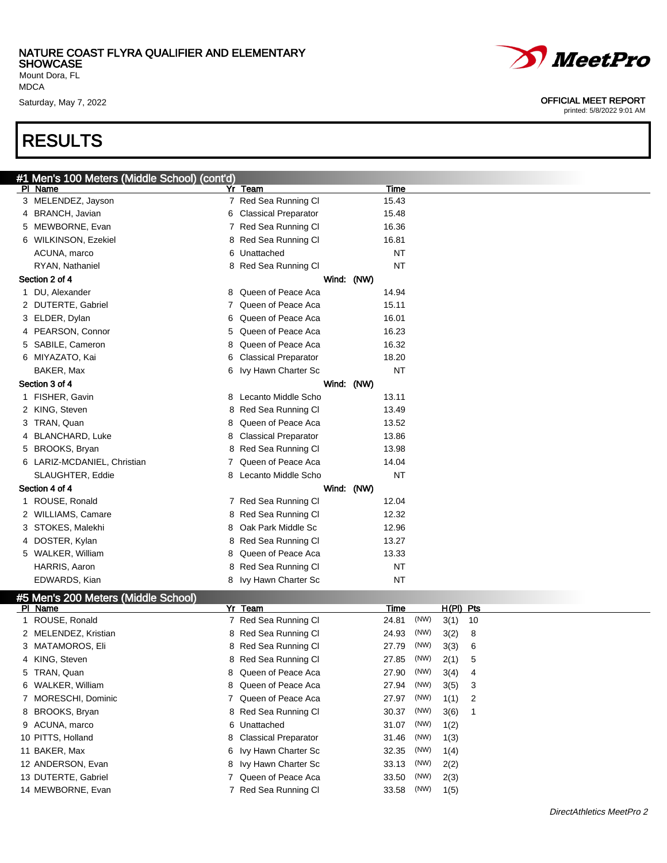Mount Dora, FL MDCA

### RESULTS

|    | Men's 100 Meters (Middle School) (cont'd) |    |                             |           |  |
|----|-------------------------------------------|----|-----------------------------|-----------|--|
|    | PI Name                                   |    | Yr Team                     | Time      |  |
|    | 3 MELENDEZ, Jayson                        |    | 7 Red Sea Running Cl        | 15.43     |  |
| 4  | BRANCH, Javian                            | 6  | <b>Classical Preparator</b> | 15.48     |  |
| 5  | MEWBORNE, Evan                            |    | 7 Red Sea Running Cl        | 16.36     |  |
| 6  | WILKINSON, Ezekiel                        |    | 8 Red Sea Running CI        | 16.81     |  |
|    | ACUNA, marco                              |    | 6 Unattached                | <b>NT</b> |  |
|    | RYAN, Nathaniel                           |    | 8 Red Sea Running CI        | <b>NT</b> |  |
|    | Section 2 of 4                            |    | Wind: (NW)                  |           |  |
| 1  | DU, Alexander                             | 8  | Queen of Peace Aca          | 14.94     |  |
| 2  | DUTERTE, Gabriel                          |    | 7 Queen of Peace Aca        | 15.11     |  |
| 3  | ELDER, Dylan                              | 6  | Queen of Peace Aca          | 16.01     |  |
| 4  | PEARSON, Connor                           | 5  | Queen of Peace Aca          | 16.23     |  |
| 5  | SABILE, Cameron                           | 8  | Queen of Peace Aca          | 16.32     |  |
| 6  | MIYAZATO, Kai                             | 6  | <b>Classical Preparator</b> | 18.20     |  |
|    | BAKER, Max                                | 6. | Ivy Hawn Charter Sc         | <b>NT</b> |  |
|    | Section 3 of 4                            |    | Wind: (NW)                  |           |  |
| 1. | FISHER, Gavin                             |    | 8 Lecanto Middle Scho       | 13.11     |  |
|    | 2 KING, Steven                            |    | 8 Red Sea Running Cl        | 13.49     |  |
| 3  | TRAN, Quan                                | 8  | Queen of Peace Aca          | 13.52     |  |
| 4  | <b>BLANCHARD, Luke</b>                    | 8  | <b>Classical Preparator</b> | 13.86     |  |
| 5  | BROOKS, Bryan                             |    | 8 Red Sea Running Cl        | 13.98     |  |
|    | 6 LARIZ-MCDANIEL, Christian               | 7  | Queen of Peace Aca          | 14.04     |  |
|    | SLAUGHTER, Eddie                          | 8  | Lecanto Middle Scho         | NT        |  |
|    | Section 4 of 4                            |    | Wind: (NW)                  |           |  |
|    | 1 ROUSE, Ronald                           |    | 7 Red Sea Running CI        | 12.04     |  |
|    | 2 WILLIAMS, Camare                        |    | 8 Red Sea Running Cl        | 12.32     |  |
| 3  | STOKES, Malekhi                           | 8  | Oak Park Middle Sc          | 12.96     |  |
| 4  | DOSTER, Kylan                             |    | 8 Red Sea Running Cl        | 13.27     |  |
|    | 5 WALKER, William                         | 8  | Queen of Peace Aca          | 13.33     |  |
|    | HARRIS, Aaron                             |    | 8 Red Sea Running Cl        | <b>NT</b> |  |
|    | EDWARDS, Kian                             |    | 8 Ivy Hawn Charter Sc       | NT        |  |
|    |                                           |    |                             |           |  |

#### #5 Men's 200 Meters (Middle School)

| PI Name              | Yr | Team                   | Time  |      | $H(PI)$ Pts |                            |
|----------------------|----|------------------------|-------|------|-------------|----------------------------|
| 1 ROUSE, Ronald      |    | 7 Red Sea Running CI   | 24.81 | (NW) | $3(1)$ 10   |                            |
| 2 MELENDEZ, Kristian |    | 8 Red Sea Running CI   | 24.93 | (NW) | 3(2)        | - 8                        |
| 3 MATAMOROS, Eli     |    | 8 Red Sea Running CI   | 27.79 | (NW) | 3(3)        | - 6                        |
| 4 KING, Steven       |    | 8 Red Sea Running CI   | 27.85 | (NW) | 2(1)        | -5                         |
| 5 TRAN, Quan         |    | 8 Queen of Peace Aca   | 27.90 | (NW) | 3(4)        | 4                          |
| 6 WALKER, William    |    | 8 Queen of Peace Aca   | 27.94 | (NW) | 3(5)        | - 3                        |
| 7 MORESCHI, Dominic  |    | Queen of Peace Aca     | 27.97 | (NW) | 1(1)        | $\overline{\phantom{0}}^2$ |
| 8 BROOKS, Bryan      |    | 8 Red Sea Running CI   | 30.37 | (NW) | 3(6)        |                            |
| 9 ACUNA, marco       |    | 6 Unattached           | 31.07 | (NW) | 1(2)        |                            |
| 10 PITTS, Holland    |    | 8 Classical Preparator | 31.46 | (NW) | 1(3)        |                            |
| 11 BAKER, Max        |    | 6 Ivy Hawn Charter Sc  | 32.35 | (NW) | 1(4)        |                            |
| 12 ANDERSON, Evan    |    | 8 Ivy Hawn Charter Sc  | 33.13 | (NW) | 2(2)        |                            |
| 13 DUTERTE, Gabriel  |    | Queen of Peace Aca     | 33.50 | (NW) | 2(3)        |                            |
| 14 MEWBORNE, Evan    |    | Red Sea Running Cl     | 33.58 | (NW) | 1(5)        |                            |



#### Saturday, May 7, 2022 **OFFICIAL MEET REPORT**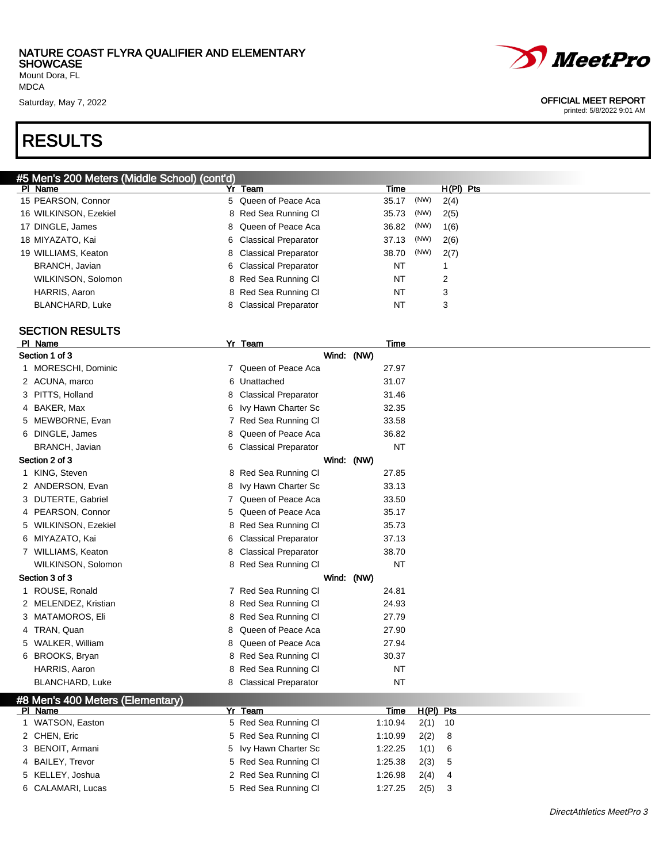Mount Dora, FL MDCA

### RESULTS



#### Saturday, May 7, 2022 **OFFICIAL MEET REPORT**

printed: 5/8/2022 9:01 AM

| #5 Men's 200 Meters (Middle School) (cont'd) |                        |               |             |
|----------------------------------------------|------------------------|---------------|-------------|
| PI Name                                      | Team<br>Yr             | Time          | $H(PI)$ Pts |
| 15 PEARSON, Connor                           | 5 Queen of Peace Aca   | (NW)<br>35.17 | 2(4)        |
| 16 WILKINSON, Ezekiel                        | 8 Red Sea Running CI   | (NW)<br>35.73 | 2(5)        |
| 17 DINGLE, James                             | 8 Queen of Peace Aca   | (NW)<br>36.82 | 1(6)        |
| 18 MIYAZATO, Kai                             | 6 Classical Preparator | (NW)<br>37.13 | 2(6)        |
| 19 WILLIAMS, Keaton                          | 8 Classical Preparator | (NW)<br>38.70 | 2(7)        |
| BRANCH, Javian                               | 6 Classical Preparator | NT            |             |
| WILKINSON, Solomon                           | 8 Red Sea Running CI   | NT            | 2           |
| HARRIS, Aaron                                | 8 Red Sea Running CI   | NT            | 3           |
| BLANCHARD, Luke                              | 8 Classical Preparator | NT            | 3           |
|                                              |                        |               |             |

#### SECTION RESULTS

| PI Name                          |    | Yr Team                     | Time      |             |    |
|----------------------------------|----|-----------------------------|-----------|-------------|----|
| Section 1 of 3                   |    | Wind: (NW)                  |           |             |    |
| 1 MORESCHI, Dominic              |    | 7 Queen of Peace Aca        | 27.97     |             |    |
| 2 ACUNA, marco                   | 6  | Unattached                  | 31.07     |             |    |
| 3 PITTS, Holland                 | 8  | <b>Classical Preparator</b> | 31.46     |             |    |
| 4 BAKER, Max                     | 6  | Ivy Hawn Charter Sc         | 32.35     |             |    |
| 5 MEWBORNE, Evan                 |    | 7 Red Sea Running Cl        | 33.58     |             |    |
| 6 DINGLE, James                  | 8. | Queen of Peace Aca          | 36.82     |             |    |
| BRANCH, Javian                   | 6  | <b>Classical Preparator</b> | <b>NT</b> |             |    |
| Section 2 of 3                   |    | Wind: (NW)                  |           |             |    |
| 1 KING, Steven                   |    | 8 Red Sea Running Cl        | 27.85     |             |    |
| 2 ANDERSON, Evan                 | 8  | Ivy Hawn Charter Sc         | 33.13     |             |    |
| 3 DUTERTE, Gabriel               |    | 7 Queen of Peace Aca        | 33.50     |             |    |
| 4 PEARSON, Connor                | 5  | Queen of Peace Aca          | 35.17     |             |    |
| 5 WILKINSON, Ezekiel             | 8  | Red Sea Running Cl          | 35.73     |             |    |
| 6 MIYAZATO, Kai                  | 6. | <b>Classical Preparator</b> | 37.13     |             |    |
| 7 WILLIAMS, Keaton               | 8  | <b>Classical Preparator</b> | 38.70     |             |    |
| WILKINSON, Solomon               |    | 8 Red Sea Running Cl        | <b>NT</b> |             |    |
| Section 3 of 3                   |    | Wind: (NW)                  |           |             |    |
| 1 ROUSE, Ronald                  |    | 7 Red Sea Running CI        | 24.81     |             |    |
| 2 MELENDEZ, Kristian             |    | 8 Red Sea Running Cl        | 24.93     |             |    |
| 3 MATAMOROS, Eli                 | 8  | Red Sea Running Cl          | 27.79     |             |    |
| 4 TRAN, Quan                     | 8  | Queen of Peace Aca          | 27.90     |             |    |
| 5 WALKER, William                | 8  | Queen of Peace Aca          | 27.94     |             |    |
| 6 BROOKS, Bryan                  | 8  | Red Sea Running Cl          | 30.37     |             |    |
| HARRIS, Aaron                    |    | 8 Red Sea Running Cl        | <b>NT</b> |             |    |
| <b>BLANCHARD, Luke</b>           | 8. | <b>Classical Preparator</b> | NT        |             |    |
| #8 Men's 400 Meters (Elementary) |    |                             |           |             |    |
| PI Name                          |    | Yr Team                     | Time      | $H(PI)$ Pts |    |
| 1 WATSON, Easton                 |    | 5 Red Sea Running Cl        | 1:10.94   | 2(1)        | 10 |
| 2 CHEN, Eric                     |    | 5 Red Sea Running Cl        | 1:10.99   | 2(2)        | 8  |
| 3 BENOIT, Armani                 | 5  | Ivy Hawn Charter Sc         | 1:22.25   | 1(1)        | 6  |
| 4 BAILEY, Trevor                 | 5  | Red Sea Running Cl          | 1:25.38   | 2(3)        | 5  |
| 5 KELLEY, Joshua                 |    | 2 Red Sea Running Cl        | 1:26.98   | 2(4)        | 4  |
| 6 CALAMARI, Lucas                | 5  | Red Sea Running Cl          | 1:27.25   | 2(5)        | 3  |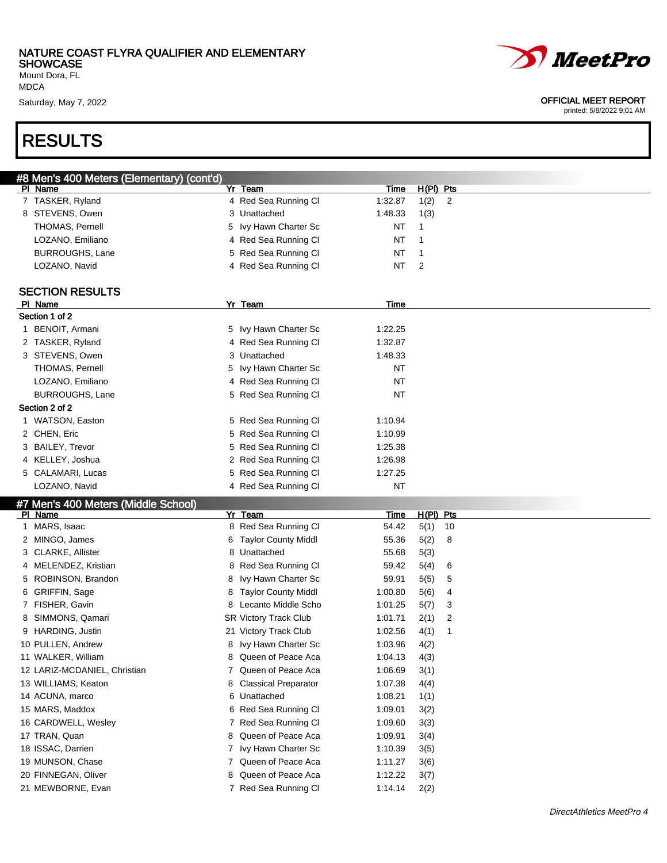Mount Dora, FL MDCA

Saturday, May 7, 2022

### RESULTS

| <b><i>MeetPro</i></b>                                    |
|----------------------------------------------------------|
| <b>OFFICIAL MEET REPORT</b><br>printed: 5/8/2022 9:01 AM |

| #8 Men's 400 Meters (Elementary) (cont'd)      |    |                                               |                    |                |                |
|------------------------------------------------|----|-----------------------------------------------|--------------------|----------------|----------------|
| PI Name                                        |    | Yr Team                                       | <b>Time</b>        | $H(PI)$ Pts    |                |
| 7 TASKER, Ryland                               |    | 4 Red Sea Running Cl                          | 1:32.87            | 1(2)           | $\overline{2}$ |
| 8 STEVENS, Owen                                |    | 3 Unattached                                  | 1:48.33            | 1(3)           |                |
| THOMAS, Pernell                                | 5  | Ivy Hawn Charter Sc                           | NT                 | 1              |                |
| LOZANO, Emiliano                               |    | 4 Red Sea Running Cl                          | ΝT                 | 1              |                |
| <b>BURROUGHS, Lane</b>                         |    | 5 Red Sea Running Cl                          | ΝT                 | 1              |                |
| LOZANO, Navid                                  |    | 4 Red Sea Running Cl                          | NT                 | $\overline{2}$ |                |
|                                                |    |                                               |                    |                |                |
| <b>SECTION RESULTS</b>                         |    |                                               |                    |                |                |
| PI Name                                        |    | Yr Team                                       | Time               |                |                |
| Section 1 of 2                                 |    |                                               |                    |                |                |
| 1 BENOIT, Armani                               |    | 5 Ivy Hawn Charter Sc                         | 1:22.25            |                |                |
| 2 TASKER, Ryland                               |    | 4 Red Sea Running Cl                          | 1:32.87            |                |                |
| 3 STEVENS, Owen                                |    | 3 Unattached                                  | 1:48.33            |                |                |
| <b>THOMAS, Pernell</b>                         | 5. | Ivy Hawn Charter Sc                           | NT                 |                |                |
| LOZANO, Emiliano                               |    | 4 Red Sea Running Cl                          | NT                 |                |                |
| <b>BURROUGHS, Lane</b>                         |    | 5 Red Sea Running Cl                          | ΝT                 |                |                |
| Section 2 of 2                                 |    |                                               |                    |                |                |
| 1 WATSON, Easton                               |    | 5 Red Sea Running Cl                          | 1:10.94            |                |                |
| 2 CHEN, Eric                                   |    | 5 Red Sea Running Cl                          | 1:10.99            |                |                |
| 3 BAILEY, Trevor                               |    | 5 Red Sea Running Cl                          | 1:25.38            |                |                |
| 4 KELLEY, Joshua                               |    | 2 Red Sea Running Cl                          | 1:26.98            |                |                |
| 5 CALAMARI, Lucas                              |    | 5 Red Sea Running Cl                          | 1:27.25            |                |                |
|                                                |    |                                               |                    |                |                |
| LOZANO, Navid                                  |    | 4 Red Sea Running Cl                          | <b>NT</b>          |                |                |
|                                                |    |                                               |                    |                |                |
| #7 Men's 400 Meters (Middle School)<br>PI Name |    | Yr Team                                       | <u>Time</u>        | $H(PI)$ Pts    |                |
| 1 MARS, Isaac                                  |    | 8 Red Sea Running Cl                          | 54.42              | 5(1)           | 10             |
| 2 MINGO, James                                 |    | 6 Taylor County Middl                         | 55.36              | 5(2)           | 8              |
| 3 CLARKE, Allister                             |    | 8 Unattached                                  | 55.68              | 5(3)           |                |
| 4 MELENDEZ, Kristian                           |    | 8 Red Sea Running Cl                          | 59.42              | 5(4)           | 6              |
| 5 ROBINSON, Brandon                            |    | 8 Ivy Hawn Charter Sc                         | 59.91              | 5(5)           | 5              |
| 6 GRIFFIN, Sage                                |    | 8 Taylor County Middl                         | 1:00.80            | 5(6)           | 4              |
| 7 FISHER, Gavin                                |    | 8 Lecanto Middle Scho                         | 1:01.25            |                | 3              |
| 8 SIMMONS, Qamari                              |    | <b>SR Victory Track Club</b>                  | 1:01.71            | 5(7)           | 2              |
| 9 HARDING, Justin                              |    |                                               | 1:02.56            | 2(1)           |                |
|                                                |    | 21 Victory Track Club                         | 1:03.96            | 4(1)           |                |
| 10 PULLEN, Andrew<br>11 WALKER, William        |    | 8 Ivy Hawn Charter Sc<br>8 Queen of Peace Aca | 1:04.13            | 4(2)           |                |
|                                                |    |                                               |                    | 4(3)           |                |
| 12 LARIZ-MCDANIEL, Christian                   |    | 7 Queen of Peace Aca                          | 1:06.69            | 3(1)           |                |
| 13 WILLIAMS, Keaton                            |    | 8 Classical Preparator                        | 1:07.38            | 4(4)           |                |
| 14 ACUNA, marco                                |    | 6 Unattached                                  | 1:08.21            | 1(1)           |                |
| 15 MARS, Maddox                                |    | 6 Red Sea Running Cl                          | 1:09.01            | 3(2)           |                |
| 16 CARDWELL, Wesley                            |    | 7 Red Sea Running Cl                          | 1:09.60            | 3(3)           |                |
| 17 TRAN, Quan                                  |    | 8 Queen of Peace Aca                          | 1:09.91            | 3(4)           |                |
| 18 ISSAC, Darrien                              |    | 7 Ivy Hawn Charter Sc                         | 1:10.39            | 3(5)           |                |
| 19 MUNSON, Chase                               |    | 7 Queen of Peace Aca                          | 1:11.27            | 3(6)           |                |
| 20 FINNEGAN, Oliver<br>21 MEWBORNE, Evan       |    | 8 Queen of Peace Aca<br>7 Red Sea Running Cl  | 1:12.22<br>1:14.14 | 3(7)<br>2(2)   |                |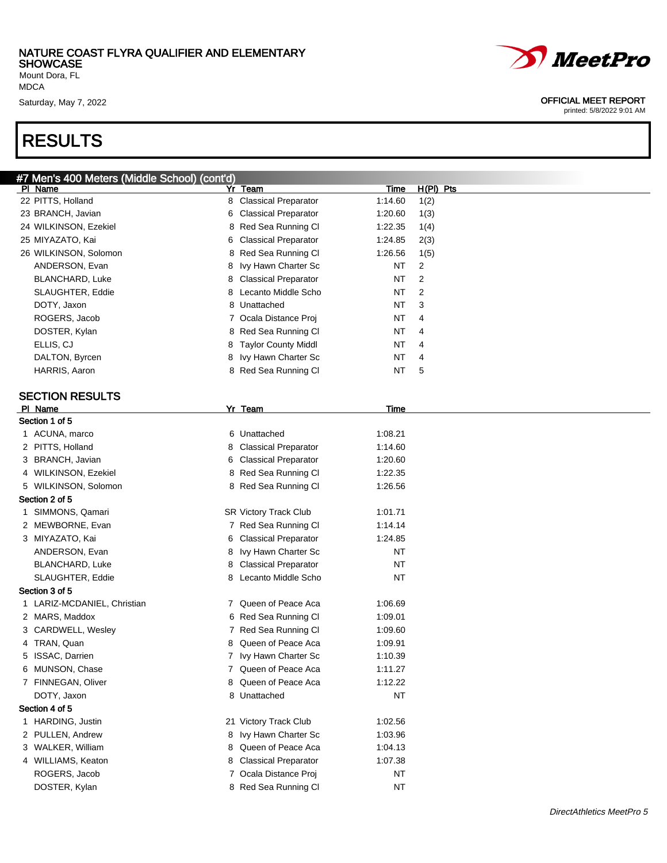Mount Dora, FL MDCA

### RESULTS

| #7 Men's 400 Meters (Middle School) (cont'd) |   |                             |             |                |
|----------------------------------------------|---|-----------------------------|-------------|----------------|
| PI Name                                      |   | Yr Team                     | <b>Time</b> | $H(PI)$ Pts    |
| 22 PITTS, Holland                            |   | 8 Classical Preparator      | 1:14.60     | 1(2)           |
| 23 BRANCH, Javian                            | 6 | <b>Classical Preparator</b> | 1:20.60     | 1(3)           |
| 24 WILKINSON, Ezekiel                        |   | 8 Red Sea Running Cl        | 1:22.35     | 1(4)           |
| 25 MIYAZATO, Kai                             | 6 | <b>Classical Preparator</b> | 1:24.85     | 2(3)           |
| 26 WILKINSON, Solomon                        |   | 8 Red Sea Running Cl        | 1:26.56     | 1(5)           |
| ANDERSON, Evan                               | 8 | Ivy Hawn Charter Sc         | <b>NT</b>   | 2              |
| <b>BLANCHARD, Luke</b>                       | 8 | <b>Classical Preparator</b> | <b>NT</b>   | $\overline{2}$ |
| SLAUGHTER, Eddie                             | 8 | Lecanto Middle Scho         | NT          | $\overline{2}$ |
| DOTY, Jaxon                                  |   | 8 Unattached                | NT          | 3              |
| ROGERS, Jacob                                |   | 7 Ocala Distance Proj       | NT          | 4              |
| DOSTER, Kylan                                |   | 8 Red Sea Running Cl        | NT          | 4              |
| ELLIS, CJ                                    | 8 | <b>Taylor County Middl</b>  | NT          | 4              |
| DALTON, Byrcen                               | 8 | Ivy Hawn Charter Sc         | NT          | 4              |
| HARRIS, Aaron                                |   | 8 Red Sea Running Cl        | <b>NT</b>   | 5              |
|                                              |   |                             |             |                |
| <b>SECTION RESULTS</b>                       |   |                             |             |                |
| PI Name                                      |   | Yr Team                     | Time        |                |
| Section 1 of 5                               |   |                             |             |                |
| 1 ACUNA, marco                               |   | 6 Unattached                | 1:08.21     |                |
| 2 PITTS, Holland                             | 8 | <b>Classical Preparator</b> | 1:14.60     |                |
| 3 BRANCH, Javian                             | 6 | <b>Classical Preparator</b> | 1:20.60     |                |
| 4 WILKINSON, Ezekiel                         |   | 8 Red Sea Running Cl        | 1:22.35     |                |
| 5 WILKINSON, Solomon                         |   | 8 Red Sea Running Cl        | 1:26.56     |                |
| Section 2 of 5                               |   |                             |             |                |
| 1 SIMMONS, Qamari                            |   | SR Victory Track Club       | 1:01.71     |                |
| 2 MEWBORNE, Evan                             |   | 7 Red Sea Running Cl        | 1:14.14     |                |
| 3 MIYAZATO, Kai                              |   | 6 Classical Preparator      | 1:24.85     |                |
| ANDERSON, Evan                               | 8 | Ivy Hawn Charter Sc         | NT          |                |
| BLANCHARD, Luke                              | 8 | <b>Classical Preparator</b> | NT          |                |
| SLAUGHTER, Eddie                             |   | 8 Lecanto Middle Scho       | NT          |                |
| Section 3 of 5                               |   |                             |             |                |
| 1 LARIZ-MCDANIEL, Christian                  |   | 7 Queen of Peace Aca        | 1:06.69     |                |
| 2 MARS, Maddox                               |   | 6 Red Sea Running Cl        | 1:09.01     |                |
| 3 CARDWELL, Wesley                           |   | 7 Red Sea Running Cl        | 1:09.60     |                |
| 4 TRAN, Quan                                 | 8 | Queen of Peace Aca          | 1:09.91     |                |
| 5 ISSAC, Darrien                             |   | 7 Ivy Hawn Charter Sc       | 1:10.39     |                |
| 6 MUNSON, Chase                              |   | 7 Queen of Peace Aca        | 1:11.27     |                |
| 7 FINNEGAN, Oliver                           | 8 | Queen of Peace Aca          | 1:12.22     |                |
| DOTY, Jaxon                                  |   | 8 Unattached                | <b>NT</b>   |                |
| Section 4 of 5                               |   |                             |             |                |
| 1 HARDING, Justin                            |   | 21 Victory Track Club       | 1:02.56     |                |
| 2 PULLEN, Andrew                             |   | 8 Ivy Hawn Charter Sc       | 1:03.96     |                |
| 3 WALKER, William                            | 8 | Queen of Peace Aca          | 1:04.13     |                |
| 4 WILLIAMS, Keaton                           | 8 | <b>Classical Preparator</b> | 1:07.38     |                |
| ROGERS, Jacob                                |   | 7 Ocala Distance Proj       | NT          |                |
|                                              |   | 8 Red Sea Running Cl        | NT          |                |
| DOSTER, Kylan                                |   |                             |             |                |

# *MeetPro*

#### Saturday, May 7, 2022 **OFFICIAL MEET REPORT**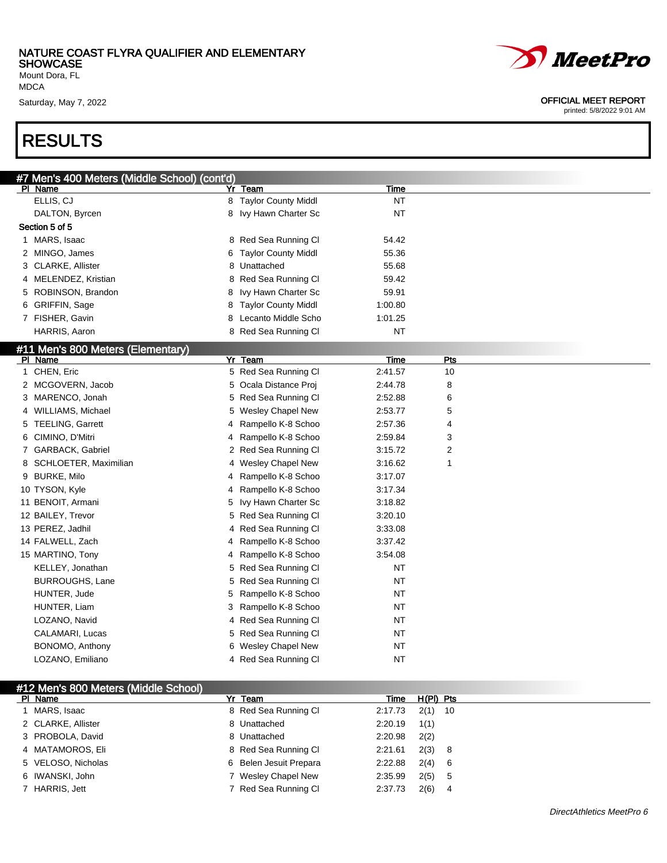Mount Dora, FL MDCA

## RESULTS

| <i>MeetPro</i> |
|----------------|
|                |

#### Saturday, May 7, 2022 **OFFICIAL MEET REPORT**

| #7 Men's 400 Meters (Middle School) (cont'd) |   |                          |             |     |
|----------------------------------------------|---|--------------------------|-------------|-----|
| PI Name                                      |   | Yr Team                  | Time        |     |
| ELLIS, CJ                                    |   | 8 Taylor County Middl    | <b>NT</b>   |     |
| DALTON, Byrcen                               |   | 8 Ivy Hawn Charter Sc    | <b>NT</b>   |     |
| Section 5 of 5                               |   |                          |             |     |
| 1 MARS, Isaac                                |   | 8 Red Sea Running Cl     | 54.42       |     |
| 2 MINGO, James                               |   | 6 Taylor County Middl    | 55.36       |     |
| 3 CLARKE, Allister                           |   | 8 Unattached             | 55.68       |     |
| 4 MELENDEZ, Kristian                         |   | 8 Red Sea Running Cl     | 59.42       |     |
| 5 ROBINSON, Brandon                          | 8 | Ivy Hawn Charter Sc      | 59.91       |     |
| 6 GRIFFIN, Sage                              |   | 8 Taylor County Middl    | 1:00.80     |     |
| 7 FISHER, Gavin                              | 8 | Lecanto Middle Scho      | 1:01.25     |     |
| HARRIS, Aaron                                |   | 8 Red Sea Running Cl     | <b>NT</b>   |     |
| #11 Men's 800 Meters (Elementary)            |   |                          |             |     |
| PI Name                                      |   | Yr Team                  | <b>Time</b> | Pts |
| 1 CHEN, Eric                                 |   | 5 Red Sea Running Cl     | 2:41.57     | 10  |
| 2 MCGOVERN, Jacob                            |   | 5 Ocala Distance Proi    | 2:44.78     | 8   |
| 3 MARENCO, Jonah                             |   | 5 Red Sea Running Cl     | 2:52.88     | 6   |
| 4 WILLIAMS, Michael                          | 5 | <b>Wesley Chapel New</b> | 2:53.77     | 5   |
| 5 TEELING, Garrett                           | 4 | Rampello K-8 Schoo       | 2:57.36     | 4   |
| 6 CIMINO, D'Mitri                            | 4 | Rampello K-8 Schoo       | 2:59.84     | 3   |
| 7 GARBACK, Gabriel                           |   | 2 Red Sea Running CI     | 3:15.72     | 2   |
| 8 SCHLOETER, Maximilian                      |   | 4 Wesley Chapel New      | 3:16.62     | 1   |
| 9 BURKE, Milo                                | 4 | Rampello K-8 Schoo       | 3:17.07     |     |
| 10 TYSON, Kyle                               | 4 | Rampello K-8 Schoo       | 3:17.34     |     |
| 11 BENOIT, Armani                            | 5 | Ivy Hawn Charter Sc      | 3:18.82     |     |
| 12 BAILEY, Trevor                            |   | 5 Red Sea Running Cl     | 3:20.10     |     |
| 13 PEREZ, Jadhil                             |   | 4 Red Sea Running Cl     | 3:33.08     |     |
| 14 FALWELL, Zach                             | 4 | Rampello K-8 Schoo       | 3:37.42     |     |
| 15 MARTINO, Tony                             | 4 | Rampello K-8 Schoo       | 3:54.08     |     |
| KELLEY, Jonathan                             |   | 5 Red Sea Running Cl     | NT          |     |
| <b>BURROUGHS, Lane</b>                       |   | 5 Red Sea Running Cl     | NT          |     |
| HUNTER, Jude                                 | 5 | Rampello K-8 Schoo       | NT          |     |
| HUNTER, Liam                                 | 3 | Rampello K-8 Schoo       | NT          |     |
| LOZANO, Navid                                |   | 4 Red Sea Running Cl     | NT          |     |
| CALAMARI, Lucas                              |   | 5 Red Sea Running Cl     | <b>NT</b>   |     |
| BONOMO, Anthony                              |   | 6 Wesley Chapel New      | NT          |     |
| LOZANO, Emiliano                             |   | 4 Red Sea Running Cl     | NT          |     |
|                                              |   |                          |             |     |

| #12 Men's 800 Meters (Middle School) |                        |         |             |  |
|--------------------------------------|------------------------|---------|-------------|--|
| PI Name                              | Yr Team                | Time    | H(PI) Pts   |  |
| I MARS, Isaac                        | 8 Red Sea Running Cl   | 2:17.73 | $2(1)$ 10   |  |
| 2 CLARKE, Allister                   | 8 Unattached           | 2:20.19 | 1(1)        |  |
| 3 PROBOLA, David                     | 8 Unattached           | 2:20.98 | 2(2)        |  |
| 4 MATAMOROS, Eli                     | 8 Red Sea Running CI   | 2:21.61 | 2(3) 8      |  |
| 5 VELOSO, Nicholas                   | 6 Belen Jesuit Prepara | 2:22.88 | 2(4) 6      |  |
| 6 IWANSKI, John                      | 7 Wesley Chapel New    | 2:35.99 | $2(5)$ 5    |  |
| 7 HARRIS, Jett                       | 7 Red Sea Running Cl   | 2:37.73 | 2(6)<br>- 4 |  |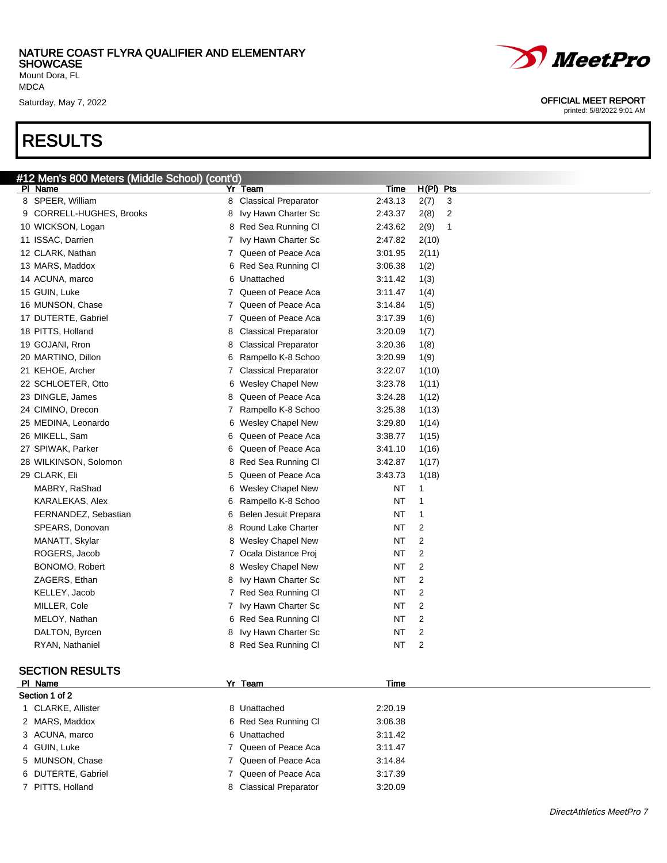Mount Dora, FL MDCA

### RESULTS



| 26 MIKELL, Sam        | 6  | Queen of Peace Aca     | 3:38.77 | 1(15)          |  |
|-----------------------|----|------------------------|---------|----------------|--|
| 27 SPIWAK, Parker     | 6. | Queen of Peace Aca     | 3:41.10 | 1(16)          |  |
| 28 WILKINSON, Solomon |    | 8 Red Sea Running CI   | 3:42.87 | 1(17)          |  |
| 29 CLARK, Eli         |    | 5 Queen of Peace Aca   | 3:43.73 | 1(18)          |  |
| MABRY, RaShad         |    | 6 Wesley Chapel New    | NT      | 1              |  |
| KARALEKAS, Alex       | 6. | Rampello K-8 Schoo     | NT      | 1              |  |
| FERNANDEZ, Sebastian  |    | 6 Belen Jesuit Prepara | NT      | 1              |  |
| SPEARS, Donovan       |    | 8 Round Lake Charter   | NT      | 2              |  |
| MANATT, Skylar        |    | 8 Wesley Chapel New    | ΝT      | 2              |  |
| ROGERS, Jacob         |    | 7 Ocala Distance Proj  | NT      | 2              |  |
| BONOMO, Robert        |    | 8 Wesley Chapel New    | NT      | 2              |  |
| ZAGERS, Ethan         |    | 8 Ivy Hawn Charter Sc  | NT      | 2              |  |
| KELLEY, Jacob         |    | 7 Red Sea Running CI   | NT      | 2              |  |
| MILLER, Cole          |    | 7 Ivy Hawn Charter Sc  | NT      | $\overline{2}$ |  |
| MELOY, Nathan         |    | 6 Red Sea Running CI   | NT      | 2              |  |
| DALTON, Byrcen        |    | 8 Ivy Hawn Charter Sc  | NT      | 2              |  |
| RYAN, Nathaniel       |    | 8 Red Sea Running Cl   | NT      | 2              |  |
|                       |    |                        |         |                |  |

#### SECTION RESULTS

| PI Name            | Yr Team                | Time    |  |  |  |  |  |  |
|--------------------|------------------------|---------|--|--|--|--|--|--|
| Section 1 of 2     |                        |         |  |  |  |  |  |  |
| 1 CLARKE, Allister | 8 Unattached           | 2:20.19 |  |  |  |  |  |  |
| 2 MARS, Maddox     | 6 Red Sea Running CI   | 3:06.38 |  |  |  |  |  |  |
| 3 ACUNA, marco     | 6 Unattached           | 3:11.42 |  |  |  |  |  |  |
| 4 GUIN, Luke       | 7 Queen of Peace Aca   | 3:11.47 |  |  |  |  |  |  |
| 5 MUNSON, Chase    | 7 Queen of Peace Aca   | 3:14.84 |  |  |  |  |  |  |
| 6 DUTERTE, Gabriel | 7 Queen of Peace Aca   | 3:17.39 |  |  |  |  |  |  |
| 7 PITTS, Holland   | 8 Classical Preparator | 3:20.09 |  |  |  |  |  |  |



#### Saturday, May 7, 2022 **OFFICIAL MEET REPORT**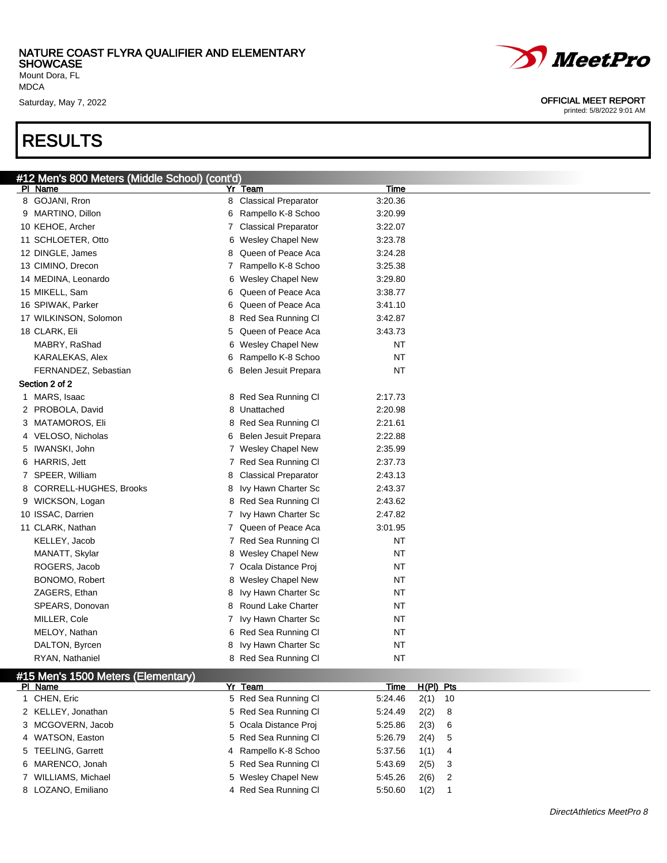Men's Cohool) (cont'd)

Mount Dora, FL MDCA

### RESULTS

| # IZ Ments ouu Meters (Mildale Scribol) (Contra)<br>PI Name | Yr     | Team                        |         | Time      |
|-------------------------------------------------------------|--------|-----------------------------|---------|-----------|
| 8 GOJANI, Rron                                              | 8      | <b>Classical Preparator</b> | 3:20.36 |           |
| 9 MARTINO, Dillon                                           |        | Rampello K-8 Schoo          | 3:20.99 |           |
|                                                             | 6<br>7 | <b>Classical Preparator</b> | 3:22.07 |           |
| 10 KEHOE, Archer                                            |        |                             |         |           |
| 11 SCHLOETER, Otto                                          |        | 6 Wesley Chapel New         | 3:23.78 |           |
| 12 DINGLE, James                                            | 8      | Queen of Peace Aca          | 3:24.28 |           |
| 13 CIMINO, Drecon                                           | 7      | Rampello K-8 Schoo          | 3:25.38 |           |
| 14 MEDINA, Leonardo                                         |        | 6 Wesley Chapel New         | 3:29.80 |           |
| 15 MIKELL, Sam                                              | 6      | Queen of Peace Aca          | 3:38.77 |           |
| 16 SPIWAK, Parker                                           | 6      | Queen of Peace Aca          | 3:41.10 |           |
| 17 WILKINSON, Solomon                                       |        | 8 Red Sea Running Cl        | 3:42.87 |           |
| 18 CLARK, Eli                                               | 5      | Queen of Peace Aca          | 3:43.73 |           |
| MABRY, RaShad                                               | 6      | <b>Wesley Chapel New</b>    |         | <b>NT</b> |
| KARALEKAS, Alex                                             | 6      | Rampello K-8 Schoo          |         | <b>NT</b> |
| FERNANDEZ, Sebastian                                        | 6      | Belen Jesuit Prepara        |         | ΝT        |
| Section 2 of 2                                              |        |                             |         |           |
| 1 MARS, Isaac                                               |        | 8 Red Sea Running Cl        | 2:17.73 |           |
| 2 PROBOLA, David                                            |        | 8 Unattached                | 2:20.98 |           |
| 3 MATAMOROS, Eli                                            |        | 8 Red Sea Running Cl        | 2:21.61 |           |
| 4 VELOSO, Nicholas                                          | 6      | Belen Jesuit Prepara        | 2:22.88 |           |
| 5 IWANSKI, John                                             | 7      | <b>Wesley Chapel New</b>    | 2:35.99 |           |
| 6 HARRIS, Jett                                              | 7      | Red Sea Running Cl          | 2:37.73 |           |
| 7 SPEER, William                                            | 8      | <b>Classical Preparator</b> | 2:43.13 |           |
| 8 CORRELL-HUGHES, Brooks                                    | 8      | Ivy Hawn Charter Sc         | 2:43.37 |           |
| 9 WICKSON, Logan                                            |        | 8 Red Sea Running Cl        | 2:43.62 |           |
| 10 ISSAC, Darrien                                           | 7.     | Ivy Hawn Charter Sc         | 2:47.82 |           |
| 11 CLARK, Nathan                                            | 7      | Queen of Peace Aca          | 3:01.95 |           |
| KELLEY, Jacob                                               |        | 7 Red Sea Running Cl        |         | <b>NT</b> |
| MANATT, Skylar                                              |        | 8 Wesley Chapel New         |         | <b>NT</b> |
| ROGERS, Jacob                                               |        | 7 Ocala Distance Proj       |         | <b>NT</b> |
| BONOMO, Robert                                              | 8      | <b>Wesley Chapel New</b>    |         | <b>NT</b> |
| ZAGERS, Ethan                                               | 8      | Ivy Hawn Charter Sc         |         | <b>NT</b> |
| SPEARS, Donovan                                             | 8      | Round Lake Charter          |         | ΝT        |
| MILLER, Cole                                                | 7      | Ivy Hawn Charter Sc         |         | ΝT        |
| MELOY, Nathan                                               |        | 6 Red Sea Running Cl        |         | ΝT        |
| DALTON, Byrcen                                              | 8      | Ivy Hawn Charter Sc         |         | <b>NT</b> |
| RYAN, Nathaniel                                             |        | 8 Red Sea Running Cl        |         | <b>NT</b> |
|                                                             |        |                             |         |           |

#### #15 Men's 1500 Meters (Elementary)

| PI Name             | Yr Team               | Time    | H(PI) Pts |  |
|---------------------|-----------------------|---------|-----------|--|
| 1 CHEN, Eric        | 5 Red Sea Running CI  | 5.24.46 | $2(1)$ 10 |  |
| 2 KELLEY, Jonathan  | 5 Red Sea Running Cl  | 5:24.49 | $2(2)$ 8  |  |
| 3 MCGOVERN, Jacob   | 5 Ocala Distance Proj | 5.25.86 | 2(3) 6    |  |
| 4 WATSON, Easton    | 5 Red Sea Running CI  | 5:26.79 | $2(4)$ 5  |  |
| 5 TEELING, Garrett  | 4 Rampello K-8 Schoo  | 5:37.56 | $1(1)$ 4  |  |
| 6 MARENCO, Jonah    | 5 Red Sea Running CI  | 5.43.69 | $2(5)$ 3  |  |
| 7 WILLIAMS, Michael | 5 Wesley Chapel New   | 5.45.26 | $2(6)$ 2  |  |
| 8 LOZANO, Emiliano  | 4 Red Sea Running Cl  | 5.50.60 | 1(2)      |  |



Saturday, May 7, 2022 **OFFICIAL MEET REPORT**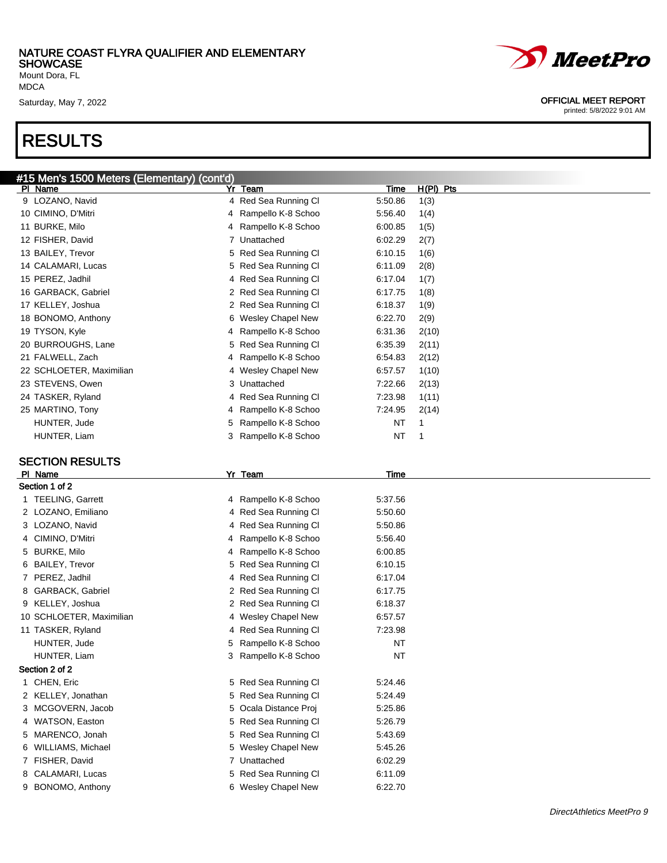Mount Dora, FL MDCA

### RESULTS



#### Saturday, May 7, 2022 **OFFICIAL MEET REPORT**

| #15 Men's 1500 Meters (Elementary) (cont'd) |                          |                  |             |
|---------------------------------------------|--------------------------|------------------|-------------|
| PI Name                                     | Yr Team                  | <u>Time</u>      | $H(PI)$ Pts |
| 9 LOZANO, Navid                             | 4 Red Sea Running Cl     | 5:50.86<br>1(3)  |             |
| 10 CIMINO, D'Mitri                          | Rampello K-8 Schoo<br>4  | 5:56.40<br>1(4)  |             |
| 11 BURKE, Milo                              | Rampello K-8 Schoo<br>4  | 6:00.85<br>1(5)  |             |
| 12 FISHER, David                            | 7<br>Unattached          | 6:02.29<br>2(7)  |             |
| 13 BAILEY, Trevor                           | Red Sea Running Cl<br>5  | 6:10.15<br>1(6)  |             |
| 14 CALAMARI, Lucas                          | Red Sea Running Cl<br>5  | 6:11.09<br>2(8)  |             |
| 15 PEREZ, Jadhil                            | Red Sea Running Cl<br>4  | 6:17.04<br>1(7)  |             |
| 16 GARBACK, Gabriel                         | Red Sea Running Cl<br>2  | 6:17.75<br>1(8)  |             |
| 17 KELLEY, Joshua                           | Red Sea Running Cl<br>2  | 6:18.37<br>1(9)  |             |
| 18 BONOMO, Anthony                          | Wesley Chapel New<br>6   | 6:22.70<br>2(9)  |             |
| 19 TYSON, Kyle                              | Rampello K-8 Schoo<br>4  | 6:31.36<br>2(10) |             |
| 20 BURROUGHS, Lane                          | Red Sea Running Cl<br>5  | 6:35.39<br>2(11) |             |
| 21 FALWELL, Zach                            | Rampello K-8 Schoo<br>4  | 6:54.83<br>2(12) |             |
| 22 SCHLOETER, Maximilian                    | Wesley Chapel New<br>4   | 6:57.57<br>1(10) |             |
| 23 STEVENS, Owen                            | Unattached<br>3          | 7:22.66<br>2(13) |             |
| 24 TASKER, Ryland                           | Red Sea Running Cl<br>4  | 7:23.98<br>1(11) |             |
| 25 MARTINO, Tony                            | Rampello K-8 Schoo<br>4  | 7:24.95<br>2(14) |             |
| HUNTER, Jude                                | 5<br>Rampello K-8 Schoo  | 1<br>NT          |             |
| HUNTER, Liam                                | 3<br>Rampello K-8 Schoo  | NT<br>1          |             |
|                                             |                          |                  |             |
| <b>SECTION RESULTS</b>                      |                          |                  |             |
| PI Name                                     | Yr Team                  | Time             |             |
| Section 1 of 2                              |                          |                  |             |
| 1 TEELING, Garrett                          | 4 Rampello K-8 Schoo     | 5:37.56          |             |
| 2 LOZANO, Emiliano                          | 4 Red Sea Running Cl     | 5:50.60          |             |
| 3 LOZANO, Navid                             | 4 Red Sea Running Cl     | 5:50.86          |             |
| 4 CIMINO, D'Mitri                           | Rampello K-8 Schoo<br>4  | 5:56.40          |             |
| 5 BURKE, Milo                               | Rampello K-8 Schoo<br>4  | 6:00.85          |             |
| 6 BAILEY, Trevor                            | 5 Red Sea Running Cl     | 6:10.15          |             |
| 7 PEREZ, Jadhil                             | 4 Red Sea Running Cl     | 6:17.04          |             |
| 8 GARBACK, Gabriel                          | 2 Red Sea Running Cl     | 6:17.75          |             |
| 9 KELLEY, Joshua                            | 2 Red Sea Running Cl     | 6:18.37          |             |
| 10 SCHLOETER, Maximilian                    | 4 Wesley Chapel New      | 6:57.57          |             |
| 11 TASKER, Ryland                           | 4 Red Sea Running Cl     | 7:23.98          |             |
| HUNTER, Jude                                | 5 Rampello K-8 Schoo     | <b>NT</b>        |             |
| HUNTER, Liam                                | Rampello K-8 Schoo<br>3. | <b>NT</b>        |             |
| Section 2 of 2                              |                          |                  |             |
| 1 CHEN, Eric                                | 5 Red Sea Running Cl     | 5:24.46          |             |
| 2 KELLEY, Jonathan                          | 5 Red Sea Running Cl     | 5:24.49          |             |
| 3 MCGOVERN, Jacob                           | 5 Ocala Distance Proj    | 5:25.86          |             |
| 4 WATSON, Easton                            | 5 Red Sea Running Cl     | 5:26.79          |             |
| 5 MARENCO, Jonah                            | 5 Red Sea Running Cl     | 5:43.69          |             |
| 6 WILLIAMS, Michael                         | 5 Wesley Chapel New      | 5:45.26          |             |
| 7 FISHER, David                             | 7 Unattached             | 6:02.29          |             |
| 8 CALAMARI, Lucas                           | 5 Red Sea Running Cl     | 6:11.09          |             |
| 9 BONOMO, Anthony                           | 6 Wesley Chapel New      | 6:22.70          |             |
|                                             |                          |                  |             |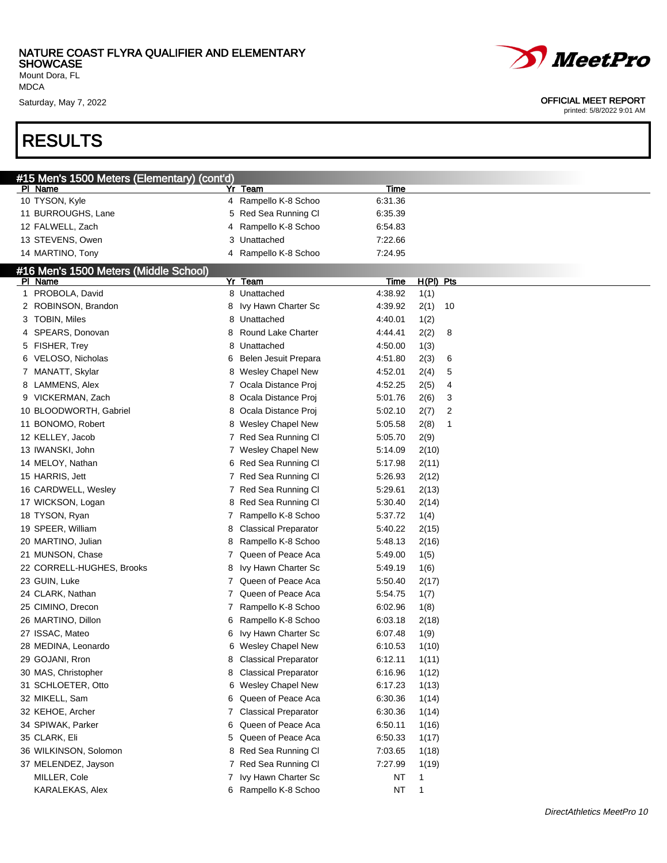#15 Men's 1500 Meters (Elementary) (cont'd)

Mount Dora, FL MDCA

Saturday, May 7, 2022

### RESULTS

|         | <i>MeetPro</i>                                           |  |  |  |  |  |
|---------|----------------------------------------------------------|--|--|--|--|--|
|         | <b>OFFICIAL MEET REPORT</b><br>printed: 5/8/2022 9:01 AM |  |  |  |  |  |
|         |                                                          |  |  |  |  |  |
|         |                                                          |  |  |  |  |  |
|         |                                                          |  |  |  |  |  |
|         |                                                          |  |  |  |  |  |
|         |                                                          |  |  |  |  |  |
| Time    |                                                          |  |  |  |  |  |
| 0.04.00 |                                                          |  |  |  |  |  |

| PI Name                               | Yr         | <u>Team</u>                 | <u>Time</u> |       |           |
|---------------------------------------|------------|-----------------------------|-------------|-------|-----------|
| 10 TYSON, Kyle                        |            | 4 Rampello K-8 Schoo        | 6:31.36     |       |           |
| 11 BURROUGHS, Lane                    |            | 5 Red Sea Running Cl        | 6:35.39     |       |           |
| 12 FALWELL, Zach                      | 4          | Rampello K-8 Schoo          | 6:54.83     |       |           |
| 13 STEVENS, Owen                      | 3          | Unattached                  | 7:22.66     |       |           |
| 14 MARTINO, Tony                      | 4          | Rampello K-8 Schoo          | 7:24.95     |       |           |
| #16 Men's 1500 Meters (Middle School) |            |                             |             |       |           |
| PI Name                               |            | Yr Team                     | <u>Time</u> |       | H(PI) Pts |
| 1 PROBOLA, David                      |            | 8 Unattached                | 4:38.92     | 1(1)  |           |
| 2 ROBINSON, Brandon                   |            | 8 Ivy Hawn Charter Sc       | 4:39.92     | 2(1)  | 10        |
| 3 TOBIN, Miles                        |            | 8 Unattached                | 4:40.01     | 1(2)  |           |
| 4 SPEARS, Donovan                     | 8          | Round Lake Charter          | 4:44.41     | 2(2)  | 8         |
| 5 FISHER, Trey                        | 8          | Unattached                  | 4:50.00     | 1(3)  |           |
| 6 VELOSO, Nicholas                    |            | 6 Belen Jesuit Prepara      | 4:51.80     | 2(3)  | 6         |
| 7 MANATT, Skylar                      |            | 8 Wesley Chapel New         | 4:52.01     | 2(4)  | 5         |
| 8 LAMMENS, Alex                       |            | 7 Ocala Distance Proj       | 4:52.25     | 2(5)  | 4         |
| 9 VICKERMAN, Zach                     |            | 8 Ocala Distance Proj       | 5:01.76     | 2(6)  | 3         |
| 10 BLOODWORTH, Gabriel                |            | 8 Ocala Distance Proj       | 5:02.10     | 2(7)  | 2         |
| 11 BONOMO, Robert                     |            | 8 Wesley Chapel New         | 5:05.58     | 2(8)  | 1         |
| 12 KELLEY, Jacob                      |            | 7 Red Sea Running Cl        | 5:05.70     | 2(9)  |           |
| 13 IWANSKI, John                      |            | 7 Wesley Chapel New         | 5:14.09     | 2(10) |           |
| 14 MELOY, Nathan                      |            | 6 Red Sea Running Cl        | 5:17.98     | 2(11) |           |
| 15 HARRIS, Jett                       |            | 7 Red Sea Running Cl        | 5:26.93     | 2(12) |           |
| 16 CARDWELL, Wesley                   |            | 7 Red Sea Running Cl        | 5:29.61     | 2(13) |           |
| 17 WICKSON, Logan                     |            | 8 Red Sea Running Cl        | 5:30.40     | 2(14) |           |
| 18 TYSON, Ryan                        | $\sqrt{2}$ | Rampello K-8 Schoo          | 5:37.72     | 1(4)  |           |
| 19 SPEER, William                     | 8          | <b>Classical Preparator</b> | 5:40.22     | 2(15) |           |
| 20 MARTINO, Julian                    | 8          | Rampello K-8 Schoo          | 5:48.13     | 2(16) |           |
| 21 MUNSON, Chase                      | 7          | Queen of Peace Aca          | 5:49.00     | 1(5)  |           |
| 22 CORRELL-HUGHES, Brooks             | 8          | Ivy Hawn Charter Sc         | 5:49.19     | 1(6)  |           |
| 23 GUIN, Luke                         | 7          | Queen of Peace Aca          | 5:50.40     | 2(17) |           |
| 24 CLARK, Nathan                      | 7          | Queen of Peace Aca          | 5:54.75     | 1(7)  |           |
| 25 CIMINO, Drecon                     | 7          | Rampello K-8 Schoo          | 6:02.96     | 1(8)  |           |
| 26 MARTINO, Dillon                    | 6          | Rampello K-8 Schoo          | 6:03.18     | 2(18) |           |
| 27 ISSAC, Mateo                       | 6          | Ivy Hawn Charter Sc         | 6:07.48     | 1(9)  |           |
| 28 MEDINA, Leonardo                   | 6          | Wesley Chapel New           | 6:10.53     | 1(10) |           |
| 29 GOJANI, Rron                       | 8          | <b>Classical Preparator</b> | 6:12.11     | 1(11) |           |
| 30 MAS, Christopher                   | 8          | <b>Classical Preparator</b> | 6:16.96     | 1(12) |           |
| 31 SCHLOETER, Otto                    |            | 6 Wesley Chapel New         | 6:17.23     | 1(13) |           |
| 32 MIKELL, Sam                        |            | 6 Queen of Peace Aca        | 6:30.36     | 1(14) |           |
| 32 KEHOE, Archer                      | 7          | <b>Classical Preparator</b> | 6:30.36     | 1(14) |           |
| 34 SPIWAK, Parker                     | 6          | Queen of Peace Aca          | 6:50.11     | 1(16) |           |
| 35 CLARK, Eli                         |            | 5 Queen of Peace Aca        | 6:50.33     | 1(17) |           |
| 36 WILKINSON, Solomon                 |            | 8 Red Sea Running Cl        | 7:03.65     | 1(18) |           |
| 37 MELENDEZ, Jayson                   |            | 7 Red Sea Running Cl        | 7:27.99     | 1(19) |           |
| MILLER, Cole                          |            | 7 Ivy Hawn Charter Sc       | NT          | 1     |           |
| KARALEKAS, Alex                       |            | 6 Rampello K-8 Schoo        | NT          | 1     |           |

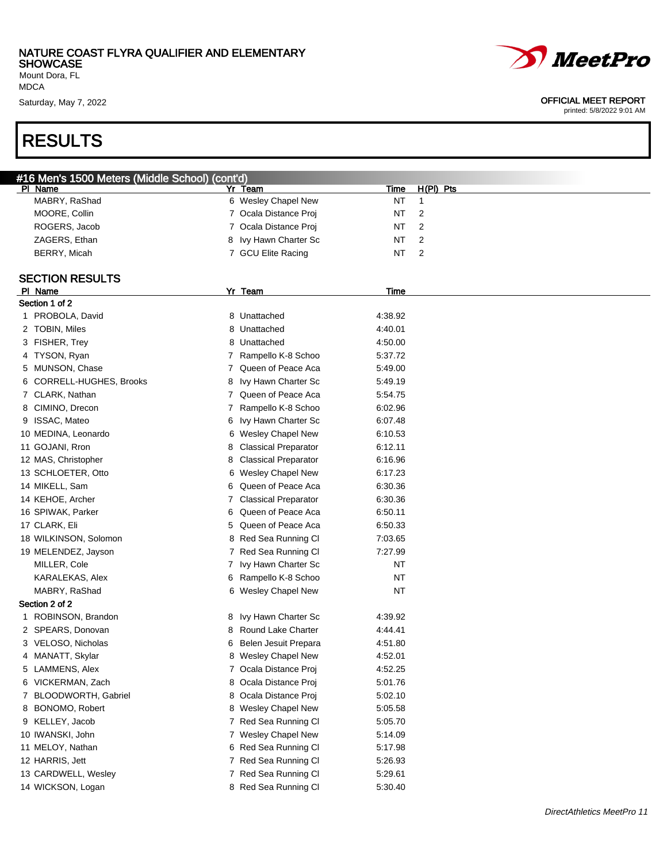Mount Dora, FL MDCA

### RESULTS

| #16 Men's 1500 Meters (Middle School) (cont'd) |   |                             |             |           |
|------------------------------------------------|---|-----------------------------|-------------|-----------|
| PI Name                                        |   | Yr Team                     | <u>Time</u> | H(PI) Pts |
| MABRY, RaShad                                  |   | 6 Wesley Chapel New         | NT          | 1         |
| MOORE, Collin                                  |   | 7 Ocala Distance Proj       | NT          | 2         |
| ROGERS, Jacob                                  |   | 7 Ocala Distance Proj       | NT          | 2         |
| ZAGERS, Ethan                                  | 8 | Ivy Hawn Charter Sc         | NT          | 2         |
| BERRY, Micah                                   |   | 7 GCU Elite Racing          | NT          | 2         |
|                                                |   |                             |             |           |
| <b>SECTION RESULTS</b>                         |   |                             |             |           |
| PI Name                                        |   | Yr Team                     | Time        |           |
| Section 1 of 2                                 |   |                             |             |           |
| 1 PROBOLA, David                               |   | 8 Unattached                | 4:38.92     |           |
| 2 TOBIN, Miles                                 |   | 8 Unattached                | 4:40.01     |           |
| 3 FISHER, Trey                                 |   | 8 Unattached                | 4:50.00     |           |
| 4 TYSON, Ryan                                  | 7 | Rampello K-8 Schoo          | 5:37.72     |           |
| 5 MUNSON, Chase                                | 7 | Queen of Peace Aca          | 5:49.00     |           |
| 6 CORRELL-HUGHES, Brooks                       | 8 | Ivy Hawn Charter Sc         | 5:49.19     |           |
| 7 CLARK, Nathan                                |   | Queen of Peace Aca          | 5:54.75     |           |
| 8 CIMINO, Drecon                               | 7 | Rampello K-8 Schoo          | 6:02.96     |           |
| 9 ISSAC, Mateo                                 | 6 | Ivy Hawn Charter Sc         | 6:07.48     |           |
| 10 MEDINA, Leonardo                            |   | 6 Wesley Chapel New         | 6:10.53     |           |
| 11 GOJANI, Rron                                | 8 | <b>Classical Preparator</b> | 6:12.11     |           |
| 12 MAS, Christopher                            | 8 | <b>Classical Preparator</b> | 6:16.96     |           |
| 13 SCHLOETER, Otto                             |   | 6 Wesley Chapel New         | 6:17.23     |           |
| 14 MIKELL, Sam                                 | 6 | Queen of Peace Aca          | 6:30.36     |           |
| 14 KEHOE, Archer                               | 7 | <b>Classical Preparator</b> | 6:30.36     |           |
| 16 SPIWAK, Parker                              | 6 | Queen of Peace Aca          | 6:50.11     |           |
| 17 CLARK, Eli                                  | 5 | Queen of Peace Aca          | 6:50.33     |           |
| 18 WILKINSON, Solomon                          |   | 8 Red Sea Running Cl        | 7:03.65     |           |
| 19 MELENDEZ, Jayson                            |   | 7 Red Sea Running Cl        | 7:27.99     |           |
| MILLER, Cole                                   | 7 | Ivy Hawn Charter Sc         | <b>NT</b>   |           |
| KARALEKAS, Alex                                |   | 6 Rampello K-8 Schoo        | NT          |           |
| MABRY, RaShad                                  |   | 6 Wesley Chapel New         | <b>NT</b>   |           |
| Section 2 of 2                                 |   |                             |             |           |
| 1 ROBINSON, Brandon                            | 8 | Ivy Hawn Charter Sc         | 4:39.92     |           |
| 2 SPEARS, Donovan                              | 8 | <b>Round Lake Charter</b>   | 4:44.41     |           |
| 3 VELOSO, Nicholas                             | 6 | Belen Jesuit Prepara        | 4:51.80     |           |
| 4 MANATT, Skylar                               |   | 8 Wesley Chapel New         | 4:52.01     |           |
| 5 LAMMENS, Alex                                |   | 7 Ocala Distance Proj       | 4:52.25     |           |
| 6 VICKERMAN, Zach                              |   | 8 Ocala Distance Proj       | 5:01.76     |           |
| 7 BLOODWORTH, Gabriel                          |   | 8 Ocala Distance Proj       | 5:02.10     |           |
| 8 BONOMO, Robert                               |   | 8 Wesley Chapel New         | 5:05.58     |           |
| 9 KELLEY, Jacob                                |   | 7 Red Sea Running Cl        | 5:05.70     |           |
| 10 IWANSKI, John                               |   | 7 Wesley Chapel New         | 5:14.09     |           |
| 11 MELOY, Nathan                               |   | 6 Red Sea Running Cl        | 5:17.98     |           |
| 12 HARRIS, Jett                                |   | 7 Red Sea Running Cl        | 5:26.93     |           |
| 13 CARDWELL, Wesley                            |   | 7 Red Sea Running Cl        | 5:29.61     |           |
| 14 WICKSON, Logan                              |   | 8 Red Sea Running Cl        | 5:30.40     |           |

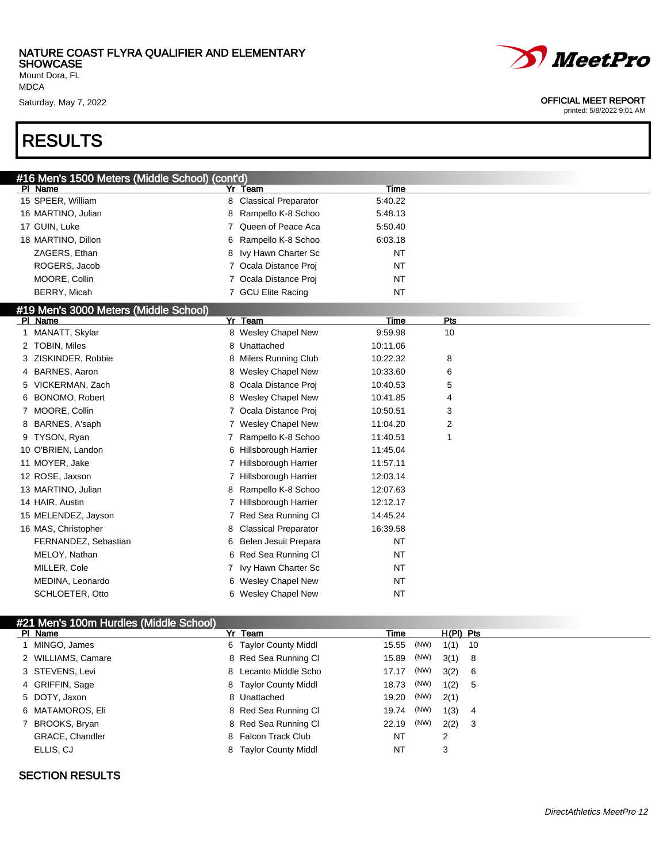Mount Dora, FL MDCA

### RESULTS

| #16 Men's 1500 Meters (Middle Sch <u>ool) (cont'd)</u> |                                      |           |     |  |
|--------------------------------------------------------|--------------------------------------|-----------|-----|--|
| PI Name                                                | Yr Team                              | Time      |     |  |
| 15 SPEER, William                                      | <b>Classical Preparator</b><br>8     | 5:40.22   |     |  |
| 16 MARTINO, Julian                                     | Rampello K-8 Schoo<br>8              | 5:48.13   |     |  |
| 17 GUIN, Luke                                          | Queen of Peace Aca                   | 5:50.40   |     |  |
| 18 MARTINO, Dillon                                     | Rampello K-8 Schoo<br>6              | 6:03.18   |     |  |
| ZAGERS, Ethan                                          | Ivy Hawn Charter Sc<br>8             | <b>NT</b> |     |  |
| ROGERS, Jacob                                          | 7 Ocala Distance Proj                | <b>NT</b> |     |  |
| MOORE, Collin                                          | 7 Ocala Distance Proi                | <b>NT</b> |     |  |
| BERRY, Micah                                           | 7 GCU Elite Racing                   | <b>NT</b> |     |  |
| #19 Men's 3000 Meters (Middle School)                  |                                      |           |     |  |
| PI Name                                                | Yr<br>Team                           | Time      | Pts |  |
| 1 MANATT, Skylar                                       | 8 Wesley Chapel New                  | 9:59.98   | 10  |  |
| 2 TOBIN, Miles                                         | 8<br>Unattached                      | 10:11.06  |     |  |
| 3 ZISKINDER, Robbie                                    | <b>Milers Running Club</b><br>8      | 10:22.32  | 8   |  |
| 4 BARNES, Aaron                                        | <b>Wesley Chapel New</b><br>8.       | 10:33.60  | 6   |  |
| 5 VICKERMAN, Zach                                      | Ocala Distance Proj<br>8             | 10:40.53  | 5   |  |
| 6 BONOMO, Robert                                       | <b>Wesley Chapel New</b><br>8.       | 10:41.85  | 4   |  |
| 7 MOORE, Collin                                        | Ocala Distance Proj                  | 10:50.51  | 3   |  |
| 8 BARNES, A'saph                                       | 7 Wesley Chapel New                  | 11:04.20  | 2   |  |
| 9 TYSON, Ryan                                          | Rampello K-8 Schoo<br>$\overline{7}$ | 11:40.51  | 1   |  |
| 10 O'BRIEN, Landon                                     | 6 Hillsborough Harrier               | 11:45.04  |     |  |
| 11 MOYER, Jake                                         | 7 Hillsborough Harrier               | 11:57.11  |     |  |
| 12 ROSE, Jaxson                                        | 7 Hillsborough Harrier               | 12:03.14  |     |  |
| 13 MARTINO, Julian                                     | Rampello K-8 Schoo<br>8              | 12:07.63  |     |  |
| 14 HAIR, Austin                                        | 7 Hillsborough Harrier               | 12:12.17  |     |  |
| 15 MELENDEZ, Jayson                                    | 7 Red Sea Running Cl                 | 14:45.24  |     |  |
| 16 MAS, Christopher                                    | <b>Classical Preparator</b><br>8     | 16:39.58  |     |  |
| FERNANDEZ, Sebastian                                   | Belen Jesuit Prepara<br>6            | <b>NT</b> |     |  |
| MELOY, Nathan                                          | Red Sea Running Cl<br>6              | <b>NT</b> |     |  |
| MILLER, Cole                                           | 7 Ivy Hawn Charter Sc                | <b>NT</b> |     |  |
| MEDINA, Leonardo                                       | 6 Wesley Chapel New                  | <b>NT</b> |     |  |
| SCHLOETER, Otto                                        | 6 Wesley Chapel New                  | <b>NT</b> |     |  |
|                                                        |                                      |           |     |  |

#### #21 Men's 100m Hurdles (Middle School)

| PI Name            | Yr Team               | Time          | $H(PI)$ Pts |  |
|--------------------|-----------------------|---------------|-------------|--|
| 1 MINGO, James     | 6 Taylor County Middl | (NW)<br>15.55 | $1(1)$ 10   |  |
| 2 WILLIAMS, Camare | 8 Red Sea Running CI  | (NW)<br>15.89 | 3(1) 8      |  |
| 3 STEVENS, Levi    | 8 Lecanto Middle Scho | (NW)<br>17.17 | 3(2) 6      |  |
| 4 GRIFFIN, Sage    | 8 Taylor County Middl | (NW)<br>18.73 | 1(2) 5      |  |
| 5 DOTY, Jaxon      | 8 Unattached          | (NW)<br>19.20 | 2(1)        |  |
| 6 MATAMOROS, Eli   | 8 Red Sea Running CI  | (NW)<br>19.74 | 1(3) 4      |  |
| 7 BROOKS, Bryan    | 8 Red Sea Running CI  | (NW)<br>22.19 | $2(2)$ 3    |  |
| GRACE, Chandler    | 8 Falcon Track Club   | NT            | 2           |  |
| ELLIS, CJ          | 8 Taylor County Middl | NT            | 3           |  |

#### SECTION RESULTS



# *MeetPro*

#### Saturday, May 7, 2022 **OFFICIAL MEET REPORT**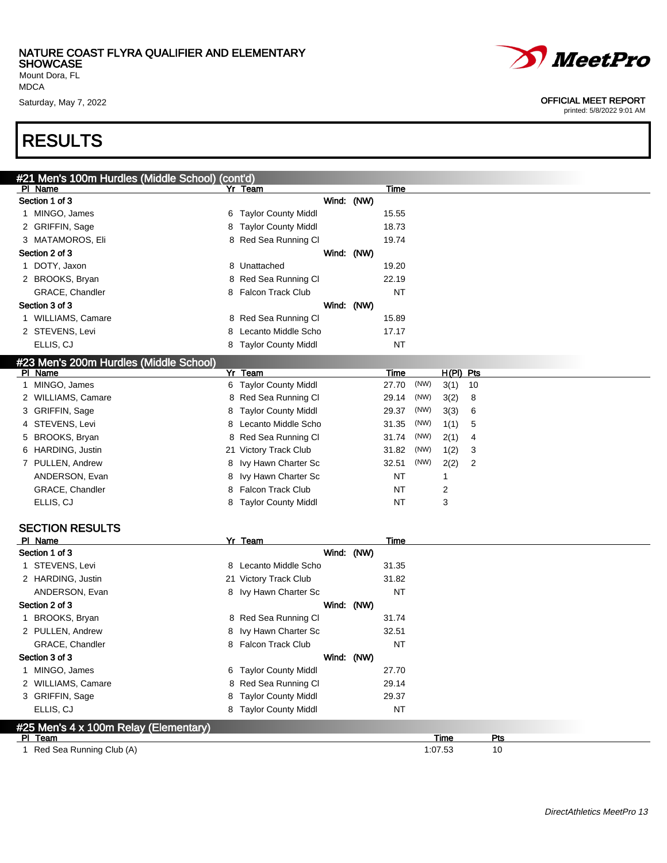#21 Men's 100m Hurdles (Middle School) (cont'd)

Mount Dora, FL MDCA

### RESULTS

| <b>PI Name</b>                         |   | Yr Team                    |            |            | Time        |      |             |    |  |
|----------------------------------------|---|----------------------------|------------|------------|-------------|------|-------------|----|--|
| Section 1 of 3                         |   |                            | Wind: (NW) |            |             |      |             |    |  |
| 1 MINGO, James                         |   | 6 Taylor County Middl      |            |            | 15.55       |      |             |    |  |
| 2 GRIFFIN, Sage                        | 8 | <b>Taylor County Middl</b> |            |            | 18.73       |      |             |    |  |
| 3 MATAMOROS, Eli                       |   | 8 Red Sea Running CI       |            |            | 19.74       |      |             |    |  |
| Section 2 of 3                         |   |                            |            | Wind: (NW) |             |      |             |    |  |
| 1 DOTY, Jaxon                          |   | 8 Unattached               |            |            | 19.20       |      |             |    |  |
| 2 BROOKS, Bryan                        |   | 8 Red Sea Running CI       |            |            | 22.19       |      |             |    |  |
| GRACE, Chandler                        | 8 | <b>Falcon Track Club</b>   |            |            | <b>NT</b>   |      |             |    |  |
| Section 3 of 3                         |   |                            |            | Wind: (NW) |             |      |             |    |  |
| 1 WILLIAMS, Camare                     |   | 8 Red Sea Running Cl       |            |            | 15.89       |      |             |    |  |
| 2 STEVENS, Levi                        | 8 | Lecanto Middle Scho        |            |            | 17.17       |      |             |    |  |
| ELLIS, CJ                              |   | 8 Taylor County Middl      |            |            | NT          |      |             |    |  |
| #23 Men's 200m Hurdles (Middle School) |   |                            |            |            |             |      |             |    |  |
| <b>PI</b> Name                         |   | Yr Team                    |            |            | Time        |      | $H(PI)$ Pts |    |  |
| 1 MINGO, James                         |   | 6 Taylor County Middl      |            |            | 27.70       | (NW) | 3(1)        | 10 |  |
| 2 WILLIAMS, Camare                     |   | 8 Red Sea Running Cl       |            |            | 29.14       | (NW) | 3(2)        | 8  |  |
| 3 GRIFFIN, Sage                        | 8 | <b>Taylor County Middl</b> |            |            | 29.37       | (NW) | 3(3)        | 6  |  |
| 4 STEVENS, Levi                        | 8 | Lecanto Middle Scho        |            |            | 31.35       | (NW) | 1(1)        | 5  |  |
| 5 BROOKS, Bryan                        |   | 8 Red Sea Running Cl       |            |            | 31.74       | (NW) | 2(1)        | 4  |  |
| 6 HARDING, Justin                      |   | 21 Victory Track Club      |            |            | 31.82       | (NW) | 1(2)        | 3  |  |
| 7 PULLEN, Andrew                       | 8 | Ivy Hawn Charter Sc        |            |            | 32.51       | (NW) | 2(2)        | 2  |  |
| ANDERSON, Evan                         | 8 | Ivy Hawn Charter Sc        |            |            | NT          |      | 1           |    |  |
| GRACE, Chandler                        | 8 | <b>Falcon Track Club</b>   |            |            | <b>NT</b>   |      | 2           |    |  |
| ELLIS, CJ                              |   | 8 Taylor County Middl      |            |            | <b>NT</b>   |      | 3           |    |  |
|                                        |   |                            |            |            |             |      |             |    |  |
| <b>SECTION RESULTS</b>                 |   |                            |            |            |             |      |             |    |  |
| PI Name                                |   | Yr Team                    |            |            | <b>Time</b> |      |             |    |  |
| Section 1 of 3                         |   |                            | Wind: (NW) |            |             |      |             |    |  |
| 1 STEVENS, Levi                        |   | 8 Lecanto Middle Scho      |            |            | 31.35       |      |             |    |  |
| 2 HARDING, Justin                      |   | 21 Victory Track Club      |            |            | 31.82       |      |             |    |  |
| ANDERSON, Evan                         |   | 8 Ivy Hawn Charter Sc      |            |            | <b>NT</b>   |      |             |    |  |
| Section 2 of 3                         |   |                            |            | Wind: (NW) |             |      |             |    |  |
| 1 BROOKS, Bryan                        | 8 | Red Sea Running Cl         |            |            | 31.74       |      |             |    |  |
| 2 PULLEN, Andrew                       | 8 | Ivy Hawn Charter Sc        |            |            | 32.51       |      |             |    |  |
| GRACE, Chandler                        |   | 8 Falcon Track Club        |            |            | <b>NT</b>   |      |             |    |  |
| Section 3 of 3                         |   |                            |            | Wind: (NW) |             |      |             |    |  |
| 1 MINGO, James                         | 6 | <b>Taylor County Middl</b> |            |            | 27.70       |      |             |    |  |
| 2 WILLIAMS, Camare                     |   | 8 Red Sea Running CI       |            |            | 29.14       |      |             |    |  |
| 3 GRIFFIN, Sage                        | 8 | <b>Taylor County Middl</b> |            |            | 29.37       |      |             |    |  |
| ELLIS, CJ                              |   | 8 Taylor County Middl      |            |            | NT          |      |             |    |  |

### #25 Men's 4 x 100m Relay (Elementary)<br>PL Team

1 Red Sea Running Club (A) 1:07.53 10



#### Saturday, May 7, 2022 **OFFICIAL MEET REPORT**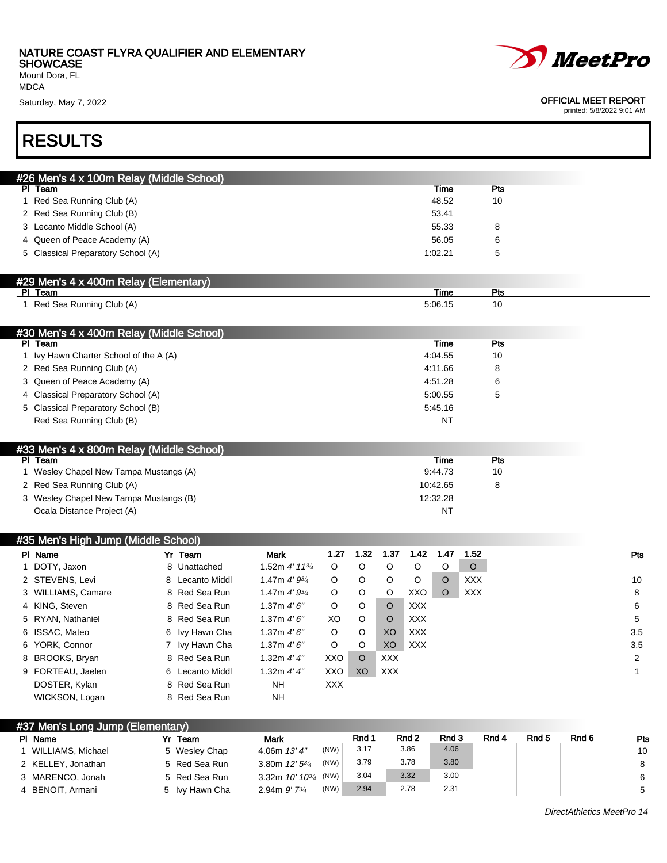**SHOWCASE** Mount Dora, FL





#### Saturday, May 7, 2022 **OFFICIAL MEET REPORT**

printed: 5/8/2022 9:01 AM

### RESULTS

| #26 Men's 4 x 100m Relay (Middle School)         |             |     |  |
|--------------------------------------------------|-------------|-----|--|
| PI Team                                          | Time        | Pts |  |
| 1 Red Sea Running Club (A)                       | 48.52       | 10  |  |
| 2 Red Sea Running Club (B)                       | 53.41       |     |  |
| 3 Lecanto Middle School (A)                      | 55.33       | 8   |  |
| 4 Queen of Peace Academy (A)                     | 56.05       | 6   |  |
| 5 Classical Preparatory School (A)               | 1:02.21     | 5   |  |
|                                                  |             |     |  |
| #29 Men's 4 x 400m Relay (Elementary)<br>PI Team | <b>Time</b> | Pts |  |
| 1 Red Sea Running Club (A)                       | 5:06.15     | 10  |  |
|                                                  |             |     |  |
| #30 Men's 4 x 400m Relay (Middle School)         |             |     |  |
| PI Team                                          | <b>Time</b> | Pts |  |
| 1 Ivy Hawn Charter School of the A (A)           | 4:04.55     | 10  |  |
| 2 Red Sea Running Club (A)                       | 4:11.66     | 8   |  |
| 3 Queen of Peace Academy (A)                     | 4:51.28     | 6   |  |
| 4 Classical Preparatory School (A)               | 5:00.55     | 5   |  |
| 5 Classical Preparatory School (B)               | 5:45.16     |     |  |
| Red Sea Running Club (B)                         | NT          |     |  |
| #33 Men's 4 x 800m Relay (Middle School)         |             |     |  |
| PI Team                                          | Time        | Pts |  |
| Wesley Chapel New Tampa Mustangs (A)             | 9:44.73     | 10  |  |
| 2 Red Sea Running Club (A)                       | 10:42.65    | 8   |  |
| Wesley Chapel New Tampa Mustangs (B)             | 12:32.28    |     |  |
| Ocala Distance Project (A)                       | <b>NT</b>   |     |  |

| #35 Men's High Jump (Middle School) |                    |  |                 |                             |         |          |                |            |         |            |  |     |
|-------------------------------------|--------------------|--|-----------------|-----------------------------|---------|----------|----------------|------------|---------|------------|--|-----|
|                                     | PI Name            |  | Yr Team         | <b>Mark</b>                 | 1.27    | 1.32     | 1.37           | 1.42       | 1.47    | 1.52       |  | Pts |
|                                     | 1 DOTY, Jaxon      |  | 8 Unattached    | 1.52m 4' 11 <sup>3/</sup> 4 | O       | $\circ$  | O              | $\circ$    | $\circ$ | $\circ$    |  |     |
|                                     | 2 STEVENS, Levi    |  | 8 Lecanto Middl | 1.47m $4'9^{3/4}$           | O       | $\circ$  | O              | $\circ$    | $\circ$ | <b>XXX</b> |  | 10  |
|                                     | 3 WILLIAMS, Camare |  | 8 Red Sea Run   | 1.47m $4'9^{3/4}$           | $\circ$ | $\circ$  | O              | XXO        | $\circ$ | <b>XXX</b> |  | 8   |
|                                     | 4 KING, Steven     |  | 8 Red Sea Run   | 1.37m 4'6''                 | $\circ$ | $\circ$  | $\circ$        | <b>XXX</b> |         |            |  | 6   |
|                                     | 5 RYAN, Nathaniel  |  | 8 Red Sea Run   | 1.37m $4'6''$               | XO      | $\circ$  | $\circ$        | <b>XXX</b> |         |            |  | 5   |
|                                     | 6 ISSAC, Mateo     |  | 6 Ivy Hawn Cha  | 1.37m $4'6''$               | O       | $\circ$  | X <sub>O</sub> | <b>XXX</b> |         |            |  | 3.5 |
|                                     | 6 YORK, Connor     |  | 7 Ivy Hawn Cha  | 1.37m $4'6''$               | $\circ$ | $\circ$  | XO.            | <b>XXX</b> |         |            |  | 3.5 |
|                                     | 8 BROOKS, Bryan    |  | 8 Red Sea Run   | 1.32m $4'4''$               | XXO     | $\Omega$ | <b>XXX</b>     |            |         |            |  | 2   |
|                                     | 9 FORTEAU, Jaelen  |  | 6 Lecanto Middl | 1.32m $4'4''$               | XXO     | XO       | <b>XXX</b>     |            |         |            |  |     |
|                                     | DOSTER, Kylan      |  | 8 Red Sea Run   | NΗ                          | XXX     |          |                |            |         |            |  |     |
|                                     | WICKSON, Logan     |  | 8 Red Sea Run   | <b>NH</b>                   |         |          |                |            |         |            |  |     |

#### #37 Men's Long Jump (Elementary)

| PI Name            | Team           | Mark                        |      | Rnd 1 | Rnd <sub>2</sub> | Rnd 3 | Rnd 4 | Rnd 5 | Rnd 6 | Pts |
|--------------------|----------------|-----------------------------|------|-------|------------------|-------|-------|-------|-------|-----|
| WILLIAMS, Michael  | 5 Wesley Chap  | 4.06m $13'4''$              | (NW) | 3.17  | 3.86             | 4.06  |       |       |       | 10  |
| 2 KELLEY, Jonathan | 5 Red Sea Run  | 3.80m $12'$ 5 $\frac{3}{4}$ | (NW) | 3.79  | 3.78             | 3.80  |       |       |       |     |
| 3 MARENCO, Jonah   | 5 Red Sea Run  | 3.32m $10'$ $10^{3/4}$ (NW) |      | 3.04  | 3.32             | 3.00  |       |       |       |     |
| 4 BENOIT, Armani   | 5 Ivy Hawn Cha | 2.94m $9'$ 7 $\frac{3}{4}$  | (NW) | 2.94  | 2.78             | 2.31  |       |       |       |     |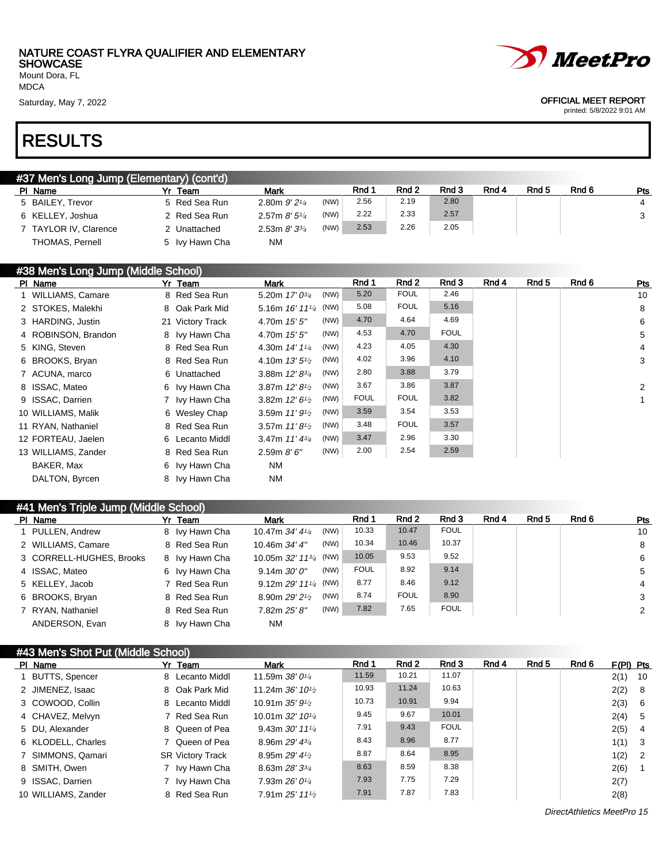Mount Dora, FL MDCA

### RESULTS

| #37 Men's Long Jump (Elementary) (cont'd) |               |                   |      |            |                  |       |       |                  |       |     |
|-------------------------------------------|---------------|-------------------|------|------------|------------------|-------|-------|------------------|-------|-----|
| PI Name                                   | Yr Team       | Mark              |      | <b>Rnd</b> | Rnd <sub>2</sub> | Rnd 3 | Rnd 4 | Rnd <sub>5</sub> | Rnd 6 | Pts |
| 5 BAILEY, Trevor                          | 5 Red Sea Run | 2.80m $9'2^{1/4}$ | (NW) | 2.56       | 2.19             | 2.80  |       |                  |       | 4   |
| 6 KELLEY, Joshua                          | 2 Red Sea Run | 2.57m $8'5''/4$   | (NW) | 2.22       | 2.33             | 2.57  |       |                  |       |     |
| 7 TAYLOR IV. Clarence                     | 2 Unattached  | 2.53m $8'3^{3/4}$ | (NW) | 2.53       | 2.26             | 2.05  |       |                  |       |     |

#38 Men's Long Jump (Middle School)

THOMAS, Pernell 5 Ivy Hawn Cha NM

| PI Name             | Yr Team          | <b>Mark</b>                         | Rnd 1       | Rnd 2       | Rnd 3       | Rnd 4 | Rnd 5 | Rnd 6 | Pts            |
|---------------------|------------------|-------------------------------------|-------------|-------------|-------------|-------|-------|-------|----------------|
| 1 WILLIAMS, Camare  | 8 Red Sea Run    | (NW)<br>5.20m $17'0^{3/4}$          | 5.20        | <b>FOUL</b> | 2.46        |       |       |       | 10             |
| 2 STOKES, Malekhi   | 8 Oak Park Mid   | 5.16m $16'$ $11'$ <sup>4</sup> (NW) | 5.08        | <b>FOUL</b> | 5.16        |       |       |       | 8              |
| 3 HARDING, Justin   | 21 Victory Track | (NW)<br>4.70m 15' 5"                | 4.70        | 4.64        | 4.69        |       |       |       | 6              |
| 4 ROBINSON, Brandon | 8 Ivy Hawn Cha   | (NW)<br>4.70m 15' 5"                | 4.53        | 4.70        | <b>FOUL</b> |       |       |       | 5              |
| 5 KING, Steven      | 8 Red Sea Run    | (NW)<br>4.30m $14'1'4$              | 4.23        | 4.05        | 4.30        |       |       |       | 4              |
| 6 BROOKS, Bryan     | 8 Red Sea Run    | (NW)<br>4.10m $13'5'$               | 4.02        | 3.96        | 4.10        |       |       |       | 3              |
| 7 ACUNA, marco      | 6 Unattached     | (NW)<br>3.88m $12' 8^{3/4}$         | 2.80        | 3.88        | 3.79        |       |       |       |                |
| 8 ISSAC, Mateo      | 6 Ivy Hawn Cha   | (NW)<br>3.87m $12'8\frac{1}{2}$     | 3.67        | 3.86        | 3.87        |       |       |       | $\overline{2}$ |
| 9 ISSAC, Darrien    | 7 Ivy Hawn Cha   | (NW)<br>3.82m $12'6\frac{1}{2}$     | <b>FOUL</b> | <b>FOUL</b> | 3.82        |       |       |       |                |
| 10 WILLIAMS, Malik  | 6 Wesley Chap    | (NW)<br>3.59m $11'9\frac{1}{2}$     | 3.59        | 3.54        | 3.53        |       |       |       |                |
| 11 RYAN, Nathaniel  | 8 Red Sea Run    | (NW)<br>3.57m $11'8\frac{1}{2}$     | 3.48        | <b>FOUL</b> | 3.57        |       |       |       |                |
| 12 FORTEAU, Jaelen  | 6 Lecanto Middl  | (NW)<br>3.47m $11' 4^{3/4}$         | 3.47        | 2.96        | 3.30        |       |       |       |                |
| 13 WILLIAMS, Zander | 8 Red Sea Run    | (NW)<br>2.59m 8'6''                 | 2.00        | 2.54        | 2.59        |       |       |       |                |
| BAKER, Max          | 6 Ivy Hawn Cha   | NM                                  |             |             |             |       |       |       |                |
| DALTON, Byrcen      | 8 Ivy Hawn Cha   | ΝM                                  |             |             |             |       |       |       |                |

#### #41 Men's Triple Jump (Middle School)

| PI Name                  | Yr Team        | Mark                                            |      | Rnd 1       | Rnd 2       | Rnd 3       | Rnd 4 | Rnd 5 | Rnd 6 | Pts |
|--------------------------|----------------|-------------------------------------------------|------|-------------|-------------|-------------|-------|-------|-------|-----|
| 1 PULLEN, Andrew         | 8 Ivy Hawn Cha | 10.47m 34' 41/4                                 | (NW) | 10.33       | 10.47       | <b>FOUL</b> |       |       |       | 10  |
| 2 WILLIAMS, Camare       | 8 Red Sea Run  | 10.46m 34' 4"                                   | (NW) | 10.34       | 10.46       | 10.37       |       |       |       | 8   |
| 3 CORRELL-HUGHES, Brooks | 8 Ivy Hawn Cha | 10.05m 32' 11 <sup>3/4</sup> (NW)               |      | 10.05       | 9.53        | 9.52        |       |       |       | 6   |
| 4 ISSAC, Mateo           | 6 Ivy Hawn Cha | $9.14m$ $30'0''$                                | (NW) | <b>FOUL</b> | 8.92        | 9.14        |       |       |       | 5   |
| 5 KELLEY, Jacob          | 7 Red Sea Run  | 9.12m $29'$ 11 <sup>1</sup> / <sub>4</sub> (NW) |      | 8.77        | 8.46        | 9.12        |       |       |       | 4   |
| 6 BROOKS, Bryan          | 8 Red Sea Run  | 8.90m 29' 21/2                                  | (NW) | 8.74        | <b>FOUL</b> | 8.90        |       |       |       | 3   |
| 7 RYAN, Nathaniel        | 8 Red Sea Run  | 7.82m 25' 8"                                    | (NW) | 7.82        | 7.65        | <b>FOUL</b> |       |       |       | 2   |
| ANDERSON, Evan           | 8 Ivy Hawn Cha | <b>NM</b>                                       |      |             |             |             |       |       |       |     |

#### #43 Men's Shot Put (Middle School)

| PI Name             | Yr Team                 | Mark                                        | Rnd 1 | Rnd 2 | Rnd 3       | Rnd 4 | Rnd 5 | Rnd 6 | $F(PI)$ Pts |      |
|---------------------|-------------------------|---------------------------------------------|-------|-------|-------------|-------|-------|-------|-------------|------|
| 1 BUTTS, Spencer    | 8 Lecanto Middl         | 11.59m $38'0^{1/4}$                         | 11.59 | 10.21 | 11.07       |       |       |       | 2(1)        | - 10 |
| 2 JIMENEZ, Isaac    | 8 Oak Park Mid          | 11.24m $36'$ 10 <sup>1</sup> / <sub>2</sub> | 10.93 | 11.24 | 10.63       |       |       |       | 2(2)        | - 8  |
| 3 COWOOD, Collin    | 8 Lecanto Middl         | 10.91m $35'9\frac{1}{2}$                    | 10.73 | 10.91 | 9.94        |       |       |       | 2(3)        | - 6  |
| 4 CHAVEZ, Melvyn    | 7 Red Sea Run           | 10.01m $32'$ 10 <sup>1/4</sup>              | 9.45  | 9.67  | 10.01       |       |       |       | 2(4)        | - 5  |
| 5 DU. Alexander     | 8 Queen of Pea          | 9.43m $30'$ 11 $\frac{1}{4}$                | 7.91  | 9.43  | <b>FOUL</b> |       |       |       | 2(5)        | -4   |
| 6 KLODELL, Charles  | 7 Queen of Pea          | 8.96m $29'$ 4 $\frac{3}{4}$                 | 8.43  | 8.96  | 8.77        |       |       |       | 1(1)        | - 3  |
| 7 SIMMONS, Qamari   | <b>SR Victory Track</b> | 8.95m $29'$ 41/2                            | 8.87  | 8.64  | 8.95        |       |       |       | 1(2)        | - 2  |
| 8 SMITH, Owen       | 7 Ivy Hawn Cha          | 8.63m $28'3^{3}/4$                          | 8.63  | 8.59  | 8.38        |       |       |       | 2(6)        |      |
| 9 ISSAC, Darrien    | 7 Ivy Hawn Cha          | 7.93m $26'0^{1/4}$                          | 7.93  | 7.75  | 7.29        |       |       |       | 2(7)        |      |
| 10 WILLIAMS, Zander | 8 Red Sea Run           | 7.91m 25' 111'                              | 7.91  | 7.87  | 7.83        |       |       |       | 2(8)        |      |



#### Saturday, May 7, 2022 **OFFICIAL MEET REPORT**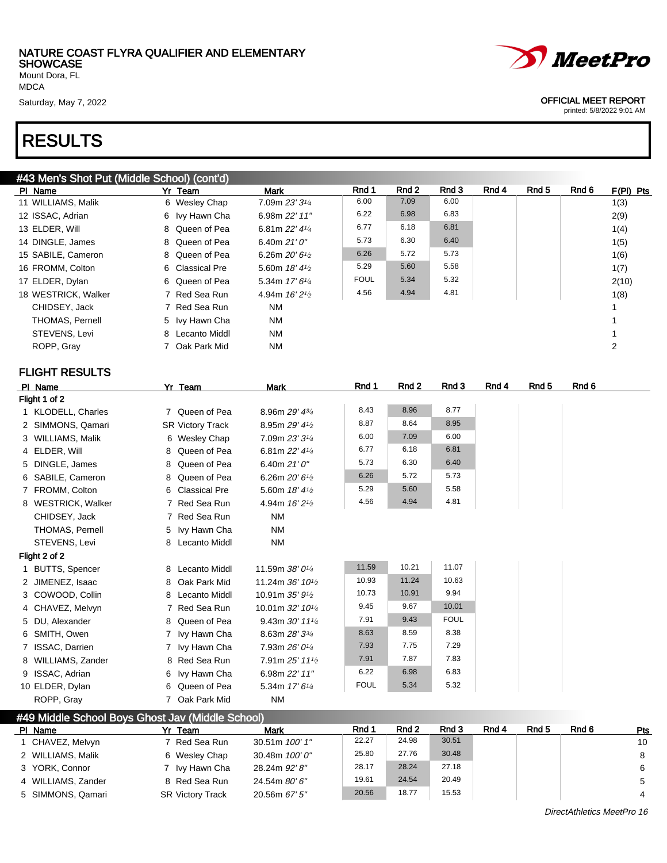Mount Dora, FL MDCA

### RESULTS

#### #43 Men's Shot Put (Middle School) (cont'd)

| PI Name             | Yr Team         | <b>Mark</b>                 | Rnd 1       | Rnd 2 | Rnd 3 | Rnd 4 | Rnd 5 | Rnd 6 | $F(PI)$ Pts |
|---------------------|-----------------|-----------------------------|-------------|-------|-------|-------|-------|-------|-------------|
| 11 WILLIAMS, Malik  | 6 Wesley Chap   | 7.09m 23' 31/4              | 6.00        | 7.09  | 6.00  |       |       |       | 1(3)        |
| 12 ISSAC, Adrian    | 6 Ivy Hawn Cha  | 6.98m 22' 11"               | 6.22        | 6.98  | 6.83  |       |       |       | 2(9)        |
| 13 ELDER, Will      | 8 Queen of Pea  | 6.81m $22'$ 4 $\frac{1}{4}$ | 6.77        | 6.18  | 6.81  |       |       |       | 1(4)        |
| 14 DINGLE, James    | 8 Queen of Pea  | 6.40m $21'0''$              | 5.73        | 6.30  | 6.40  |       |       |       | 1(5)        |
| 15 SABILE, Cameron  | 8 Queen of Pea  | 6.26m $20'6\frac{1}{2}$     | 6.26        | 5.72  | 5.73  |       |       |       | 1(6)        |
| 16 FROMM, Colton    | 6 Classical Pre | 5.60m $18'4\frac{1}{2}$     | 5.29        | 5.60  | 5.58  |       |       |       | 1(7)        |
| 17 ELDER, Dylan     | 6 Queen of Pea  | 5.34m $17'$ 6 $\frac{1}{4}$ | <b>FOUL</b> | 5.34  | 5.32  |       |       |       | 2(10)       |
| 18 WESTRICK, Walker | 7 Red Sea Run   | 4.94m $16'2\frac{1}{2}$     | 4.56        | 4.94  | 4.81  |       |       |       | 1(8)        |
| CHIDSEY, Jack       | 7 Red Sea Run   | NM.                         |             |       |       |       |       |       |             |
| THOMAS, Pernell     | 5 Ivy Hawn Cha  | <b>NM</b>                   |             |       |       |       |       |       |             |
| STEVENS, Levi       | 8 Lecanto Middl | <b>NM</b>                   |             |       |       |       |       |       |             |
| ROPP, Gray          | 7 Oak Park Mid  | <b>NM</b>                   |             |       |       |       |       |       | 2           |

#### FLIGHT RESULTS

| PI Name            | Yr Team                 | <b>Mark</b>                               | Rnd 1       | Rnd <sub>2</sub> | Rnd 3       | Rnd 4 | Rnd <sub>5</sub> | Rnd 6 |
|--------------------|-------------------------|-------------------------------------------|-------------|------------------|-------------|-------|------------------|-------|
| Flight 1 of 2      |                         |                                           |             |                  |             |       |                  |       |
| 1 KLODELL, Charles | 7 Queen of Pea          | 8.96m 29' 43/4                            | 8.43        | 8.96             | 8.77        |       |                  |       |
| 2 SIMMONS, Qamari  | <b>SR Victory Track</b> | 8.95m 29' 41/2                            | 8.87        | 8.64             | 8.95        |       |                  |       |
| 3 WILLIAMS, Malik  | 6 Wesley Chap           | 7.09m 23' 31/4                            | 6.00        | 7.09             | 6.00        |       |                  |       |
| 4 ELDER, Will      | 8 Queen of Pea          | 6.81m 22' 41/4                            | 6.77        | 6.18             | 6.81        |       |                  |       |
| 5 DINGLE, James    | 8 Queen of Pea          | 6.40m $21'0''$                            | 5.73        | 6.30             | 6.40        |       |                  |       |
| 6 SABILE, Cameron  | 8 Queen of Pea          | 6.26m $20'6_{1/2}$                        | 6.26        | 5.72             | 5.73        |       |                  |       |
| 7 FROMM, Colton    | 6 Classical Pre         | 5.60m 18' 41/2                            | 5.29        | 5.60             | 5.58        |       |                  |       |
| 8 WESTRICK, Walker | 7 Red Sea Run           | 4.94m 16' 2 <sup>1</sup> / <sub>2</sub>   | 4.56        | 4.94             | 4.81        |       |                  |       |
| CHIDSEY, Jack      | 7 Red Sea Run           | <b>NM</b>                                 |             |                  |             |       |                  |       |
| THOMAS, Pernell    | 5 Ivy Hawn Cha          | <b>NM</b>                                 |             |                  |             |       |                  |       |
| STEVENS, Levi      | 8 Lecanto Middl         | <b>NM</b>                                 |             |                  |             |       |                  |       |
| Flight 2 of 2      |                         |                                           |             |                  |             |       |                  |       |
| 1 BUTTS, Spencer   | 8 Lecanto Middl         | 11.59m 38' 01/4                           | 11.59       | 10.21            | 11.07       |       |                  |       |
| 2 JIMENEZ, Isaac   | 8 Oak Park Mid          | 11.24m 36' 10 <sup>1</sup> / <sub>2</sub> | 10.93       | 11.24            | 10.63       |       |                  |       |
| 3 COWOOD, Collin   | 8 Lecanto Middl         | 10.91m 35' 91/2                           | 10.73       | 10.91            | 9.94        |       |                  |       |
| 4 CHAVEZ, Melvyn   | 7 Red Sea Run           | 10.01m 32' 101/4                          | 9.45        | 9.67             | 10.01       |       |                  |       |
| 5 DU, Alexander    | 8 Queen of Pea          | 9.43m 30' 111/4                           | 7.91        | 9.43             | <b>FOUL</b> |       |                  |       |
| 6 SMITH, Owen      | 7 Ivy Hawn Cha          | 8.63m 28' 33/4                            | 8.63        | 8.59             | 8.38        |       |                  |       |
| 7 ISSAC, Darrien   | 7 Ivy Hawn Cha          | 7.93m 26' 01/4                            | 7.93        | 7.75             | 7.29        |       |                  |       |
| 8 WILLIAMS, Zander | 8 Red Sea Run           | 7.91m 25' 111/2                           | 7.91        | 7.87             | 7.83        |       |                  |       |
| 9 ISSAC, Adrian    | 6 Ivy Hawn Cha          | 6.98m 22' 11"                             | 6.22        | 6.98             | 6.83        |       |                  |       |
| 10 ELDER, Dylan    | 6 Queen of Pea          | 5.34m 17' 61/4                            | <b>FOUL</b> | 5.34             | 5.32        |       |                  |       |
| ROPP, Gray         | 7 Oak Park Mid          | <b>NM</b>                                 |             |                  |             |       |                  |       |

#### #49 Middle School Boys Ghost Jav (Middle School)

| PI. | Name               | Yr Team                 | <b>Mark</b>    | Rnd 1 | Rnd 2 | Rnd 3 | Rnd 4 | Rnd 5 | Rnd 6 | Pts |
|-----|--------------------|-------------------------|----------------|-------|-------|-------|-------|-------|-------|-----|
|     | CHAVEZ, Melvyn     | 7 Red Sea Run           | 30.51m 100' 1" | 22.27 | 24.98 | 30.51 |       |       |       | 10  |
|     | 2 WILLIAMS, Malik  | 6 Wesley Chap           | 30.48m 100'0"  | 25.80 | 27.76 | 30.48 |       |       |       | 8   |
|     | 3 YORK, Connor     | 7 Ivy Hawn Cha          | 28.24m 92' 8"  | 28.17 | 28.24 | 27.18 |       |       |       | 6   |
|     | 4 WILLIAMS, Zander | 8 Red Sea Run           | 24.54m 80' 6"  | 19.61 | 24.54 | 20.49 |       |       |       |     |
|     | 5 SIMMONS, Qamari  | <b>SR Victory Track</b> | 20.56m 67' 5"  | 20.56 | 18.77 | 15.53 |       |       |       | 4   |



Saturday, May 7, 2022 **OFFICIAL MEET REPORT**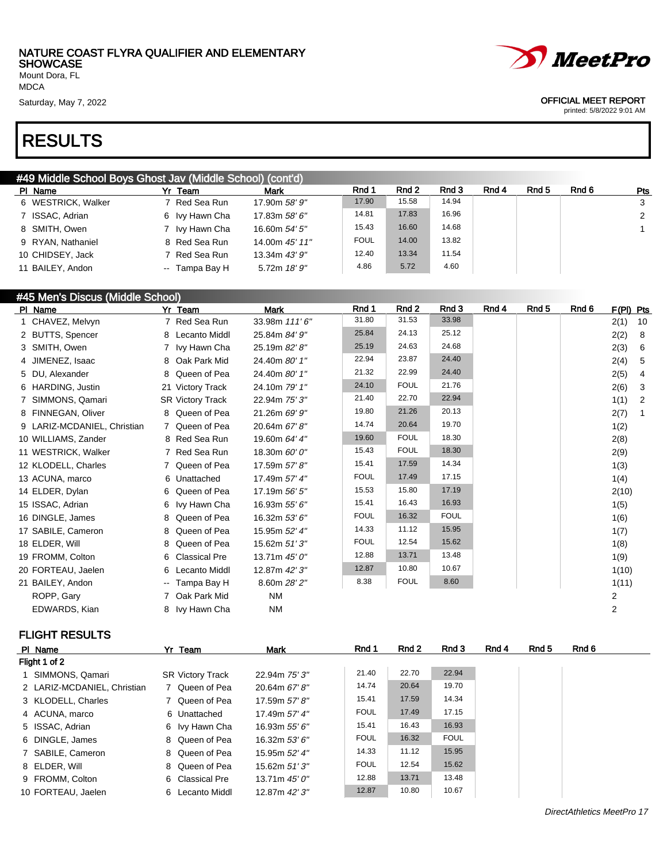Mount Dora, FL MDCA

### RESULTS

#### #49 Middle School Boys Ghost Jav (Middle School) (cont'd)

| וסטוויסט וויוסט טוצפוויט טוסטווט טוסט פערוטס טוויסט און י |                    |                |                |             |       |       |       |       |       |                |
|-----------------------------------------------------------|--------------------|----------------|----------------|-------------|-------|-------|-------|-------|-------|----------------|
|                                                           | PI Name            | Yr Team        | Mark           | Rnd 1       | Rnd 2 | Rnd 3 | Rnd 4 | Rnd 5 | Rnd 6 | Pts            |
|                                                           | 6 WESTRICK, Walker | 7 Red Sea Run  | 17.90m 58' 9"  | 17.90       | 15.58 | 14.94 |       |       |       | $\mathbf{3}$   |
|                                                           | 7 ISSAC, Adrian    | 6 Ivy Hawn Cha | 17.83m 58' 6"  | 14.81       | 17.83 | 16.96 |       |       |       | $\overline{2}$ |
|                                                           | 8 SMITH, Owen      | 7 Ivy Hawn Cha | 16.60m 54' 5"  | 15.43       | 16.60 | 14.68 |       |       |       |                |
|                                                           | 9 RYAN, Nathaniel  | 8 Red Sea Run  | 14.00m 45' 11" | <b>FOUL</b> | 14.00 | 13.82 |       |       |       |                |
|                                                           | 10 CHIDSEY, Jack   | 7 Red Sea Run  | 13.34m 43' 9"  | 12.40       | 13.34 | 11.54 |       |       |       |                |
|                                                           | 11 BAILEY, Andon   | -- Tampa Bay H | 5.72m 18' 9"   | 4.86        | 5.72  | 4.60  |       |       |       |                |
|                                                           |                    |                |                |             |       |       |       |       |       |                |

#### #45 Men's Discus (Middle School)

| PI Name                     |   | Yr Team                 | <b>Mark</b>   | Rnd 1       | Rnd 2       | Rnd 3       | Rnd 4 | Rnd 5 | Rnd 6 | F(PI) Pts      |                |
|-----------------------------|---|-------------------------|---------------|-------------|-------------|-------------|-------|-------|-------|----------------|----------------|
| 1 CHAVEZ, Melvyn            |   | 7 Red Sea Run           | 33.98m 111'6" | 31.80       | 31.53       | 33.98       |       |       |       | 2(1)           | 10             |
| 2 BUTTS, Spencer            |   | 8 Lecanto Middl         | 25.84m 84' 9" | 25.84       | 24.13       | 25.12       |       |       |       | 2(2)           | 8              |
| 3 SMITH, Owen               |   | 7 Ivy Hawn Cha          | 25.19m 82' 8" | 25.19       | 24.63       | 24.68       |       |       |       | 2(3)           | 6              |
| 4 JIMENEZ, Isaac            |   | 8 Oak Park Mid          | 24.40m 80' 1" | 22.94       | 23.87       | 24.40       |       |       |       | 2(4)           | 5              |
| 5 DU, Alexander             |   | 8 Queen of Pea          | 24.40m 80' 1" | 21.32       | 22.99       | 24.40       |       |       |       | 2(5)           | 4              |
| 6 HARDING, Justin           |   | 21 Victory Track        | 24.10m 79' 1" | 24.10       | <b>FOUL</b> | 21.76       |       |       |       | 2(6)           | 3              |
| 7 SIMMONS, Qamari           |   | <b>SR Victory Track</b> | 22.94m 75' 3" | 21.40       | 22.70       | 22.94       |       |       |       | 1(1)           | $\overline{2}$ |
| 8 FINNEGAN, Oliver          |   | 8 Queen of Pea          | 21.26m 69' 9" | 19.80       | 21.26       | 20.13       |       |       |       | 2(7)           | -1             |
| 9 LARIZ-MCDANIEL, Christian |   | 7 Queen of Pea          | 20.64m 67' 8" | 14.74       | 20.64       | 19.70       |       |       |       | 1(2)           |                |
| 10 WILLIAMS, Zander         |   | 8 Red Sea Run           | 19.60m 64' 4" | 19.60       | <b>FOUL</b> | 18.30       |       |       |       | 2(8)           |                |
| 11 WESTRICK, Walker         |   | 7 Red Sea Run           | 18.30m 60' 0" | 15.43       | <b>FOUL</b> | 18.30       |       |       |       | 2(9)           |                |
| 12 KLODELL, Charles         |   | 7 Queen of Pea          | 17.59m 57' 8" | 15.41       | 17.59       | 14.34       |       |       |       | 1(3)           |                |
| 13 ACUNA, marco             |   | 6 Unattached            | 17.49m 57' 4" | <b>FOUL</b> | 17.49       | 17.15       |       |       |       | 1(4)           |                |
| 14 ELDER, Dylan             |   | 6 Queen of Pea          | 17.19m 56' 5" | 15.53       | 15.80       | 17.19       |       |       |       | 2(10)          |                |
| 15 ISSAC, Adrian            |   | 6 Ivy Hawn Cha          | 16.93m 55' 6" | 15.41       | 16.43       | 16.93       |       |       |       | 1(5)           |                |
| 16 DINGLE, James            |   | 8 Queen of Pea          | 16.32m 53' 6" | <b>FOUL</b> | 16.32       | <b>FOUL</b> |       |       |       | 1(6)           |                |
| 17 SABILE, Cameron          | 8 | Queen of Pea            | 15.95m 52' 4" | 14.33       | 11.12       | 15.95       |       |       |       | 1(7)           |                |
| 18 ELDER, Will              | 8 | Queen of Pea            | 15.62m 51'3"  | <b>FOUL</b> | 12.54       | 15.62       |       |       |       | 1(8)           |                |
| 19 FROMM, Colton            | 6 | <b>Classical Pre</b>    | 13.71m 45' 0" | 12.88       | 13.71       | 13.48       |       |       |       | 1(9)           |                |
| 20 FORTEAU, Jaelen          | 6 | Lecanto Middl           | 12.87m 42' 3" | 12.87       | 10.80       | 10.67       |       |       |       | 1(10)          |                |
| 21 BAILEY, Andon            |   | -- Tampa Bay H          | 8.60m 28' 2"  | 8.38        | <b>FOUL</b> | 8.60        |       |       |       | 1(11)          |                |
| ROPP, Gary                  |   | 7 Oak Park Mid          | <b>NM</b>     |             |             |             |       |       |       | $\overline{c}$ |                |
| EDWARDS, Kian               |   | 8 Ivy Hawn Cha          | <b>NM</b>     |             |             |             |       |       |       | 2              |                |
|                             |   |                         |               |             |             |             |       |       |       |                |                |

#### FLIGHT RESULTS

| PI Name                     | Yr Team                 | <b>Mark</b>         | Rnd 1       | Rnd 2 | Rnd 3       | Rnd 4 | Rnd 5 | Rnd 6 |
|-----------------------------|-------------------------|---------------------|-------------|-------|-------------|-------|-------|-------|
| Flight 1 of 2               |                         |                     |             |       |             |       |       |       |
| 1 SIMMONS, Qamari           | <b>SR Victory Track</b> | 22.94m 75' 3"       | 21.40       | 22.70 | 22.94       |       |       |       |
| 2 LARIZ-MCDANIEL, Christian | 7 Queen of Pea          | 20.64m 67'8"        | 14.74       | 20.64 | 19.70       |       |       |       |
| 3 KLODELL, Charles          | 7 Queen of Pea          | 17.59m 57'8"        | 15.41       | 17.59 | 14.34       |       |       |       |
| 4 ACUNA, marco              | 6 Unattached            | 17.49m 57' 4"       | <b>FOUL</b> | 17.49 | 17.15       |       |       |       |
| 5 ISSAC, Adrian             | 6 Ivy Hawn Cha          | 16.93m 55' 6"       | 15.41       | 16.43 | 16.93       |       |       |       |
| 6 DINGLE, James             | 8 Queen of Pea          | 16.32m 53' 6"       | <b>FOUL</b> | 16.32 | <b>FOUL</b> |       |       |       |
| 7 SABILE, Cameron           | 8 Queen of Pea          | 15.95m 52' 4"       | 14.33       | 11.12 | 15.95       |       |       |       |
| 8 ELDER, Will               | 8 Queen of Pea          | 15.62m 51'3"        | <b>FOUL</b> | 12.54 | 15.62       |       |       |       |
| 9 FROMM, Colton             | 6 Classical Pre         | 13.71 $m$ 45' $0$ " | 12.88       | 13.71 | 13.48       |       |       |       |
| 10 FORTEAU, Jaelen          | 6 Lecanto Middl         | 12.87m 42' 3"       | 12.87       | 10.80 | 10.67       |       |       |       |

*MeetPro* 

#### Saturday, May 7, 2022 **OFFICIAL MEET REPORT**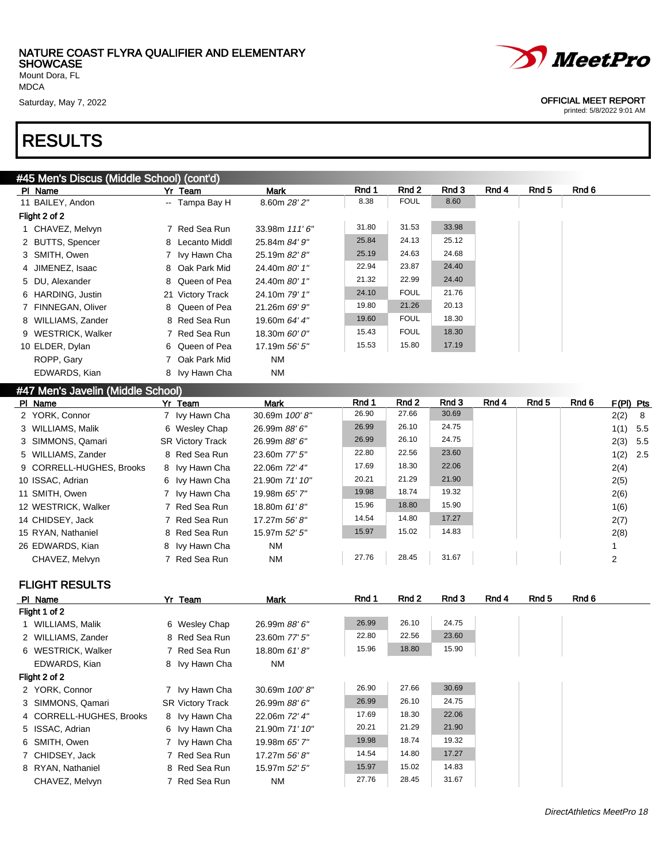Mount Dora, FL MDCA

### RESULTS

#### #45 Men's Discus (Middle School) (cont'd)

| PI Name            | Yr Team          | Mark          | Rnd 1 | Rnd 2       | Rnd 3 | Rnd 4 | Rnd 5 | Rnd 6 |
|--------------------|------------------|---------------|-------|-------------|-------|-------|-------|-------|
| 11 BAILEY, Andon   | -- Tampa Bay H   | 8.60m 28' 2"  | 8.38  | <b>FOUL</b> | 8.60  |       |       |       |
| Flight 2 of 2      |                  |               |       |             |       |       |       |       |
| 1 CHAVEZ, Melvyn   | 7 Red Sea Run    | 33.98m 111'6" | 31.80 | 31.53       | 33.98 |       |       |       |
| 2 BUTTS, Spencer   | 8 Lecanto Middl  | 25.84m 84' 9" | 25.84 | 24.13       | 25.12 |       |       |       |
| 3 SMITH, Owen      | 7 Ivy Hawn Cha   | 25.19m 82' 8" | 25.19 | 24.63       | 24.68 |       |       |       |
| 4 JIMENEZ, Isaac   | 8 Oak Park Mid   | 24.40m 80' 1" | 22.94 | 23.87       | 24.40 |       |       |       |
| 5 DU, Alexander    | 8 Queen of Pea   | 24.40m 80' 1" | 21.32 | 22.99       | 24.40 |       |       |       |
| 6 HARDING, Justin  | 21 Victory Track | 24.10m 79' 1" | 24.10 | <b>FOUL</b> | 21.76 |       |       |       |
| 7 FINNEGAN, Oliver | 8 Queen of Pea   | 21.26m 69' 9" | 19.80 | 21.26       | 20.13 |       |       |       |
| 8 WILLIAMS, Zander | 8 Red Sea Run    | 19.60m 64' 4" | 19.60 | <b>FOUL</b> | 18.30 |       |       |       |
| 9 WESTRICK, Walker | 7 Red Sea Run    | 18.30m 60' 0" | 15.43 | <b>FOUL</b> | 18.30 |       |       |       |
| 10 ELDER, Dylan    | 6 Queen of Pea   | 17.19m 56' 5" | 15.53 | 15.80       | 17.19 |       |       |       |
| ROPP, Gary         | 7 Oak Park Mid   | <b>NM</b>     |       |             |       |       |       |       |
| EDWARDS, Kian      | 8 Ivy Hawn Cha   | NM            |       |             |       |       |       |       |

#### #47 Men's Javelin (Middle School)

| Yr Team                 | Mark           | Rnd 1 | Rnd 2 | Rnd 3 | Rnd 4 | Rnd 5 | Rnd 6 | $F(PI)$ Pts |  |
|-------------------------|----------------|-------|-------|-------|-------|-------|-------|-------------|--|
| 7 Ivy Hawn Cha          | 30.69m 100'8"  | 26.90 | 27.66 | 30.69 |       |       |       | $2(2)$ 8    |  |
| 6 Wesley Chap           | 26.99m 88' 6"  | 26.99 | 26.10 | 24.75 |       |       |       | $1(1)$ 5.5  |  |
| <b>SR Victory Track</b> | 26.99m 88' 6"  | 26.99 | 26.10 | 24.75 |       |       |       | $2(3)$ 5.5  |  |
| 8 Red Sea Run           | 23.60m 77' 5"  | 22.80 | 22.56 | 23.60 |       |       |       | $1(2)$ 2.5  |  |
| 8 Ivy Hawn Cha          | 22.06m 72' 4"  | 17.69 | 18.30 | 22.06 |       |       |       | 2(4)        |  |
| 6 Ivy Hawn Cha          | 21.90m 71' 10" | 20.21 | 21.29 | 21.90 |       |       |       | 2(5)        |  |
| 7 Ivy Hawn Cha          | 19.98m 65' 7"  | 19.98 | 18.74 | 19.32 |       |       |       | 2(6)        |  |
| 7 Red Sea Run           | 18.80m 61'8"   | 15.96 | 18.80 | 15.90 |       |       |       | 1(6)        |  |
| 7 Red Sea Run           | 17.27m 56'8"   | 14.54 | 14.80 | 17.27 |       |       |       | 2(7)        |  |
| 8 Red Sea Run           | 15.97m 52' 5"  | 15.97 | 15.02 | 14.83 |       |       |       | 2(8)        |  |
| 8 Ivy Hawn Cha          | <b>NM</b>      |       |       |       |       |       |       |             |  |
| 7 Red Sea Run           | <b>NM</b>      | 27.76 | 28.45 | 31.67 |       |       |       | 2           |  |
|                         |                |       |       |       |       |       |       |             |  |

#### FLIGHT RESULTS

| PI Name                  | Yr Team                 | Mark           | Rnd 1 | Rnd 2 | Rnd 3 | Rnd 4 | Rnd 5 | Rnd 6 |
|--------------------------|-------------------------|----------------|-------|-------|-------|-------|-------|-------|
| Flight 1 of 2            |                         |                |       |       |       |       |       |       |
| 1 WILLIAMS, Malik        | 6 Wesley Chap           | 26.99m 88' 6"  | 26.99 | 26.10 | 24.75 |       |       |       |
| 2 WILLIAMS, Zander       | 8 Red Sea Run           | 23.60m 77' 5"  | 22.80 | 22.56 | 23.60 |       |       |       |
| 6 WESTRICK, Walker       | 7 Red Sea Run           | 18.80m 61'8"   | 15.96 | 18.80 | 15.90 |       |       |       |
| EDWARDS, Kian            | 8 Ivy Hawn Cha          | <b>NM</b>      |       |       |       |       |       |       |
| Flight 2 of 2            |                         |                |       |       |       |       |       |       |
| 2 YORK, Connor           | 7 Ivy Hawn Cha          | 30.69m 100'8"  | 26.90 | 27.66 | 30.69 |       |       |       |
| 3 SIMMONS, Qamari        | <b>SR Victory Track</b> | 26.99m 88' 6"  | 26.99 | 26.10 | 24.75 |       |       |       |
| 4 CORRELL-HUGHES, Brooks | 8 Ivy Hawn Cha          | 22.06m 72' 4"  | 17.69 | 18.30 | 22.06 |       |       |       |
| 5 ISSAC, Adrian          | 6 Ivy Hawn Cha          | 21.90m 71' 10" | 20.21 | 21.29 | 21.90 |       |       |       |
| 6 SMITH, Owen            | 7 Ivy Hawn Cha          | 19.98m 65' 7"  | 19.98 | 18.74 | 19.32 |       |       |       |
| 7 CHIDSEY, Jack          | 7 Red Sea Run           | 17.27m 56'8"   | 14.54 | 14.80 | 17.27 |       |       |       |
| 8 RYAN, Nathaniel        | 8 Red Sea Run           | 15.97m 52' 5"  | 15.97 | 15.02 | 14.83 |       |       |       |
| CHAVEZ, Melvyn           | 7 Red Sea Run           | <b>NM</b>      | 27.76 | 28.45 | 31.67 |       |       |       |



#### Saturday, May 7, 2022 2002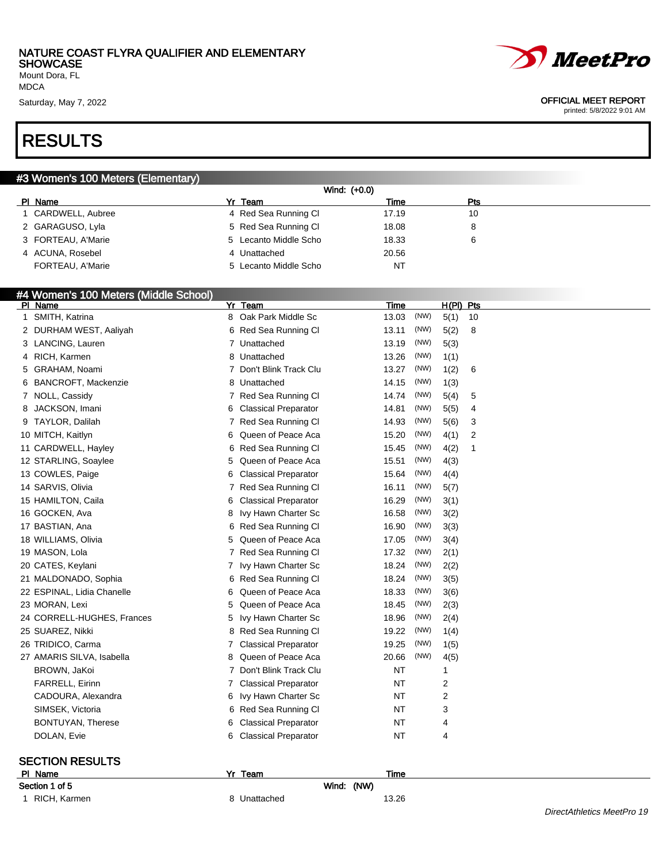#### NATURE COAST FLYRA QUALIFIER AND ELEMENTARY **SHOWCASE** Mount Dora, FL



MDCA

### RESULTS

#### #3 Women's 100 Meters (Elementary)

|                    | Wind: (+0.0)          |       |     |  |
|--------------------|-----------------------|-------|-----|--|
| PI Name            | Yr Team               | Time  | Pts |  |
| CARDWELL, Aubree   | 4 Red Sea Running Cl  | 17.19 | 10  |  |
| 2 GARAGUSO, Lyla   | 5 Red Sea Running CI  | 18.08 | 8   |  |
| 3 FORTEAU, A'Marie | 5 Lecanto Middle Scho | 18.33 | 6   |  |
| 4 ACUNA, Rosebel   | 4 Unattached          | 20.56 |     |  |
| FORTEAU, A'Marie   | 5 Lecanto Middle Scho | NT    |     |  |

#### #4 Women's 100 Meters (Middle School)

| PI Name                    |                                                                                                                                                                                                                                                                                                                                                                                                                                                                                                     | Yr Team                     | Time                                                                                                                                                                                                                                                                                                                                                    |      | H(PI) Pts |    |
|----------------------------|-----------------------------------------------------------------------------------------------------------------------------------------------------------------------------------------------------------------------------------------------------------------------------------------------------------------------------------------------------------------------------------------------------------------------------------------------------------------------------------------------------|-----------------------------|---------------------------------------------------------------------------------------------------------------------------------------------------------------------------------------------------------------------------------------------------------------------------------------------------------------------------------------------------------|------|-----------|----|
| SMITH, Katrina             |                                                                                                                                                                                                                                                                                                                                                                                                                                                                                                     |                             | 13.03                                                                                                                                                                                                                                                                                                                                                   | (NW) | 5(1)      | 10 |
|                            |                                                                                                                                                                                                                                                                                                                                                                                                                                                                                                     |                             | 13.11                                                                                                                                                                                                                                                                                                                                                   | (NW) | 5(2)      | 8  |
|                            |                                                                                                                                                                                                                                                                                                                                                                                                                                                                                                     |                             | 13.19                                                                                                                                                                                                                                                                                                                                                   | (NW) | 5(3)      |    |
|                            |                                                                                                                                                                                                                                                                                                                                                                                                                                                                                                     |                             | 13.26                                                                                                                                                                                                                                                                                                                                                   | (NW) | 1(1)      |    |
| GRAHAM, Noami              |                                                                                                                                                                                                                                                                                                                                                                                                                                                                                                     |                             | 13.27                                                                                                                                                                                                                                                                                                                                                   | (NW) | 1(2)      | 6  |
| <b>BANCROFT, Mackenzie</b> |                                                                                                                                                                                                                                                                                                                                                                                                                                                                                                     |                             | 14.15                                                                                                                                                                                                                                                                                                                                                   | (NW) | 1(3)      |    |
| NOLL, Cassidy              | 7                                                                                                                                                                                                                                                                                                                                                                                                                                                                                                   | Red Sea Running Cl          | 14.74                                                                                                                                                                                                                                                                                                                                                   | (NW) | 5(4)      | 5  |
| JACKSON, Imani             | 6                                                                                                                                                                                                                                                                                                                                                                                                                                                                                                   |                             | 14.81                                                                                                                                                                                                                                                                                                                                                   | (NW) | 5(5)      | 4  |
| TAYLOR, Dalilah            | 7                                                                                                                                                                                                                                                                                                                                                                                                                                                                                                   |                             | 14.93                                                                                                                                                                                                                                                                                                                                                   | (NW) | 5(6)      | 3  |
|                            | 6                                                                                                                                                                                                                                                                                                                                                                                                                                                                                                   | Queen of Peace Aca          | 15.20                                                                                                                                                                                                                                                                                                                                                   | (NW) | 4(1)      | 2  |
|                            |                                                                                                                                                                                                                                                                                                                                                                                                                                                                                                     |                             | 15.45                                                                                                                                                                                                                                                                                                                                                   | (NW) | 4(2)      | 1  |
|                            | 5                                                                                                                                                                                                                                                                                                                                                                                                                                                                                                   | Queen of Peace Aca          | 15.51                                                                                                                                                                                                                                                                                                                                                   | (NW) | 4(3)      |    |
|                            | 6                                                                                                                                                                                                                                                                                                                                                                                                                                                                                                   | <b>Classical Preparator</b> | 15.64                                                                                                                                                                                                                                                                                                                                                   | (NW) | 4(4)      |    |
|                            | 7                                                                                                                                                                                                                                                                                                                                                                                                                                                                                                   | Red Sea Running Cl          | 16.11                                                                                                                                                                                                                                                                                                                                                   | (NW) | 5(7)      |    |
|                            | 6                                                                                                                                                                                                                                                                                                                                                                                                                                                                                                   | <b>Classical Preparator</b> | 16.29                                                                                                                                                                                                                                                                                                                                                   | (NW) | 3(1)      |    |
|                            | 8                                                                                                                                                                                                                                                                                                                                                                                                                                                                                                   | Ivy Hawn Charter Sc         | 16.58                                                                                                                                                                                                                                                                                                                                                   | (NW) | 3(2)      |    |
|                            | 6                                                                                                                                                                                                                                                                                                                                                                                                                                                                                                   | Red Sea Running Cl          | 16.90                                                                                                                                                                                                                                                                                                                                                   | (NW) | 3(3)      |    |
|                            | 5                                                                                                                                                                                                                                                                                                                                                                                                                                                                                                   |                             | 17.05                                                                                                                                                                                                                                                                                                                                                   | (NW) | 3(4)      |    |
|                            |                                                                                                                                                                                                                                                                                                                                                                                                                                                                                                     |                             | 17.32                                                                                                                                                                                                                                                                                                                                                   | (NW) | 2(1)      |    |
|                            | 7                                                                                                                                                                                                                                                                                                                                                                                                                                                                                                   |                             | 18.24                                                                                                                                                                                                                                                                                                                                                   | (NW) | 2(2)      |    |
|                            | 6                                                                                                                                                                                                                                                                                                                                                                                                                                                                                                   |                             | 18.24                                                                                                                                                                                                                                                                                                                                                   | (NW) | 3(5)      |    |
|                            | 6                                                                                                                                                                                                                                                                                                                                                                                                                                                                                                   | Queen of Peace Aca          | 18.33                                                                                                                                                                                                                                                                                                                                                   | (NW) | 3(6)      |    |
|                            | 5                                                                                                                                                                                                                                                                                                                                                                                                                                                                                                   | Queen of Peace Aca          | 18.45                                                                                                                                                                                                                                                                                                                                                   | (NW) | 2(3)      |    |
|                            | 5                                                                                                                                                                                                                                                                                                                                                                                                                                                                                                   | Ivy Hawn Charter Sc         | 18.96                                                                                                                                                                                                                                                                                                                                                   | (NW) | 2(4)      |    |
|                            | 8                                                                                                                                                                                                                                                                                                                                                                                                                                                                                                   |                             | 19.22                                                                                                                                                                                                                                                                                                                                                   | (NW) | 1(4)      |    |
|                            | 7                                                                                                                                                                                                                                                                                                                                                                                                                                                                                                   | <b>Classical Preparator</b> | 19.25                                                                                                                                                                                                                                                                                                                                                   | (NW) | 1(5)      |    |
|                            | 8                                                                                                                                                                                                                                                                                                                                                                                                                                                                                                   | Queen of Peace Aca          | 20.66                                                                                                                                                                                                                                                                                                                                                   | (NW) | 4(5)      |    |
| BROWN, JaKoi               | 7                                                                                                                                                                                                                                                                                                                                                                                                                                                                                                   | Don't Blink Track Clu       | <b>NT</b>                                                                                                                                                                                                                                                                                                                                               |      | 1         |    |
| <b>FARRELL, Eirinn</b>     | 7                                                                                                                                                                                                                                                                                                                                                                                                                                                                                                   | <b>Classical Preparator</b> | ΝT                                                                                                                                                                                                                                                                                                                                                      |      | 2         |    |
| CADOURA, Alexandra         | 6                                                                                                                                                                                                                                                                                                                                                                                                                                                                                                   | Ivy Hawn Charter Sc         | <b>NT</b>                                                                                                                                                                                                                                                                                                                                               |      | 2         |    |
| SIMSEK, Victoria           | 6                                                                                                                                                                                                                                                                                                                                                                                                                                                                                                   |                             | <b>NT</b>                                                                                                                                                                                                                                                                                                                                               |      | 3         |    |
| BONTUYAN, Therese          | 6                                                                                                                                                                                                                                                                                                                                                                                                                                                                                                   | <b>Classical Preparator</b> | ΝT                                                                                                                                                                                                                                                                                                                                                      |      | 4         |    |
| DOLAN, Evie                | 6                                                                                                                                                                                                                                                                                                                                                                                                                                                                                                   | <b>Classical Preparator</b> | NT                                                                                                                                                                                                                                                                                                                                                      |      | 4         |    |
| 8                          | 2 DURHAM WEST, Aaliyah<br>3 LANCING, Lauren<br>4 RICH, Karmen<br>5<br>6<br>7<br>9<br>10 MITCH, Kaitlyn<br>11 CARDWELL, Hayley<br>12 STARLING, Soaylee<br>13 COWLES, Paige<br>14 SARVIS, Olivia<br>15 HAMILTON, Caila<br>16 GOCKEN, Ava<br>17 BASTIAN, Ana<br>18 WILLIAMS, Olivia<br>19 MASON, Lola<br>20 CATES, Keylani<br>21 MALDONADO, Sophia<br>22 ESPINAL, Lidia Chanelle<br>23 MORAN, Lexi<br>24 CORRELL-HUGHES, Frances<br>25 SUAREZ, Nikki<br>26 TRIDICO, Carma<br>27 AMARIS SILVA, Isabella | 6                           | 8 Oak Park Middle Sc<br>6 Red Sea Running Cl<br>7 Unattached<br>8 Unattached<br>7 Don't Blink Track Clu<br>8 Unattached<br><b>Classical Preparator</b><br>Red Sea Running Cl<br>Red Sea Running Cl<br>Queen of Peace Aca<br>Red Sea Running Cl<br>$\mathbf{7}$<br>Ivy Hawn Charter Sc<br>Red Sea Running Cl<br>Red Sea Running Cl<br>Red Sea Running Cl |      |           |    |

#### SECTION RESULTS

| PI Name        |
|----------------|
| Section 1 of 5 |

| PI Name        | Yr Team      |            | Time  |
|----------------|--------------|------------|-------|
| Section 1 of 5 |              | Wind: (NW) |       |
| 1 RICH, Karmen | 8 Unattached |            | 13.26 |

#### Saturday, May 7, 2022 **OFFICIAL MEET REPORT**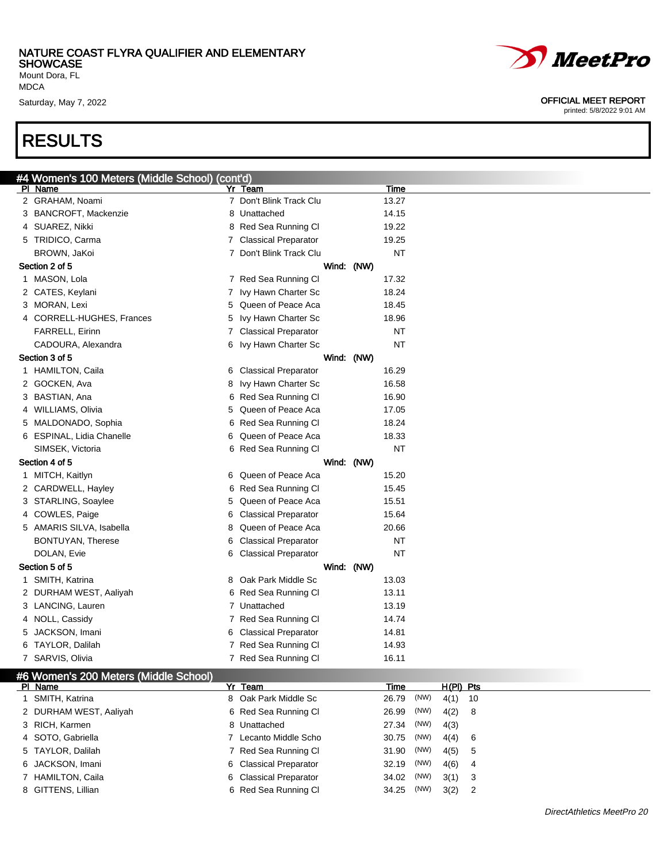Mount Dora, FL MDCA

### RESULTS

|   | #4 Women's 100 Meters (Middle School) (cont'd) |                         |            |           |
|---|------------------------------------------------|-------------------------|------------|-----------|
|   | PI Name                                        | Yr Team                 |            | Time      |
|   | 2 GRAHAM, Noami                                | 7 Don't Blink Track Clu |            | 13.27     |
|   | 3 BANCROFT, Mackenzie                          | 8 Unattached            |            | 14.15     |
|   | 4 SUAREZ, Nikki                                | 8 Red Sea Running Cl    |            | 19.22     |
|   | 5 TRIDICO, Carma                               | 7 Classical Preparator  |            | 19.25     |
|   | BROWN, JaKoi                                   | 7 Don't Blink Track Clu |            | <b>NT</b> |
|   | Section 2 of 5                                 |                         | Wind: (NW) |           |
|   | 1 MASON, Lola                                  | 7 Red Sea Running Cl    |            | 17.32     |
|   | 2 CATES, Keylani                               | 7 Ivy Hawn Charter Sc   |            | 18.24     |
|   | 3 MORAN, Lexi                                  | 5 Queen of Peace Aca    |            | 18.45     |
|   | 4 CORRELL-HUGHES, Frances                      | 5 Ivy Hawn Charter Sc   |            | 18.96     |
|   | <b>FARRELL, Eirinn</b>                         | 7 Classical Preparator  |            | NT        |
|   | CADOURA, Alexandra                             | 6 Ivy Hawn Charter Sc   |            | <b>NT</b> |
|   | Section 3 of 5                                 |                         | Wind: (NW) |           |
|   | 1 HAMILTON, Caila                              | 6 Classical Preparator  |            | 16.29     |
|   | 2 GOCKEN, Ava                                  | 8 Ivy Hawn Charter Sc   |            | 16.58     |
|   | 3 BASTIAN, Ana                                 | 6 Red Sea Running Cl    |            | 16.90     |
|   | 4 WILLIAMS, Olivia                             | 5 Queen of Peace Aca    |            | 17.05     |
|   | 5 MALDONADO, Sophia                            | 6 Red Sea Running CI    |            | 18.24     |
|   | 6 ESPINAL, Lidia Chanelle                      | 6 Queen of Peace Aca    |            | 18.33     |
|   | SIMSEK, Victoria                               | 6 Red Sea Running Cl    |            | NT        |
|   | Section 4 of 5                                 |                         | Wind: (NW) |           |
|   | 1 MITCH, Kaitlyn                               | 6 Queen of Peace Aca    |            | 15.20     |
|   | 2 CARDWELL, Hayley                             | 6 Red Sea Running Cl    |            | 15.45     |
|   | 3 STARLING, Soaylee                            | 5 Queen of Peace Aca    |            | 15.51     |
|   | 4 COWLES, Paige                                | 6 Classical Preparator  |            | 15.64     |
|   | 5 AMARIS SILVA, Isabella                       | 8 Queen of Peace Aca    |            | 20.66     |
|   | BONTUYAN, Therese                              | 6 Classical Preparator  |            | NT        |
|   | DOLAN, Evie                                    | 6 Classical Preparator  |            | NT        |
|   | Section 5 of 5                                 |                         | Wind: (NW) |           |
|   | 1 SMITH, Katrina                               | 8 Oak Park Middle Sc    |            | 13.03     |
|   | 2 DURHAM WEST, Aaliyah                         | 6 Red Sea Running Cl    |            | 13.11     |
|   | 3 LANCING, Lauren                              | 7 Unattached            |            | 13.19     |
|   | 4 NOLL, Cassidy                                | 7 Red Sea Running CI    |            | 14.74     |
| 5 | JACKSON, Imani                                 | 6 Classical Preparator  |            | 14.81     |
| 6 | TAYLOR, Dalilah                                | 7 Red Sea Running Cl    |            | 14.93     |
|   | 7 SARVIS, Olivia                               | 7 Red Sea Running Cl    |            | 16.11     |

#### #6 Women's 200 Meters (Middle School)

| PI Name                | Yr Team                | Time  |      | H(PI) Pts |                            |
|------------------------|------------------------|-------|------|-----------|----------------------------|
| 1 SMITH, Katrina       | 8 Oak Park Middle Sc   | 26.79 | (NW) | 4(1) 10   |                            |
| 2 DURHAM WEST, Aaliyah | 6 Red Sea Running Cl   | 26.99 | (NW) | $4(2)$ 8  |                            |
| 3 RICH, Karmen         | 8 Unattached           | 27.34 | (NW) | 4(3)      |                            |
| 4 SOTO, Gabriella      | 7 Lecanto Middle Scho  | 30.75 | (NW) | 4(4) 6    |                            |
| 5 TAYLOR, Dalilah      | 7 Red Sea Running CI   | 31.90 | (NW) | 4(5)      | $5^{\circ}$                |
| 6 JACKSON, Imani       | 6 Classical Preparator | 32.19 | (NW) | 4(6)      | - 4                        |
| 7 HAMILTON, Caila      | 6 Classical Preparator | 34.02 | (NW) | $3(1)$ 3  |                            |
| 8 GITTENS, Lillian     | 6 Red Sea Running Cl   | 34.25 | (NW) | 3(2)      | $\overline{\phantom{0}}^2$ |



#### Saturday, May 7, 2022 **OFFICIAL MEET REPORT**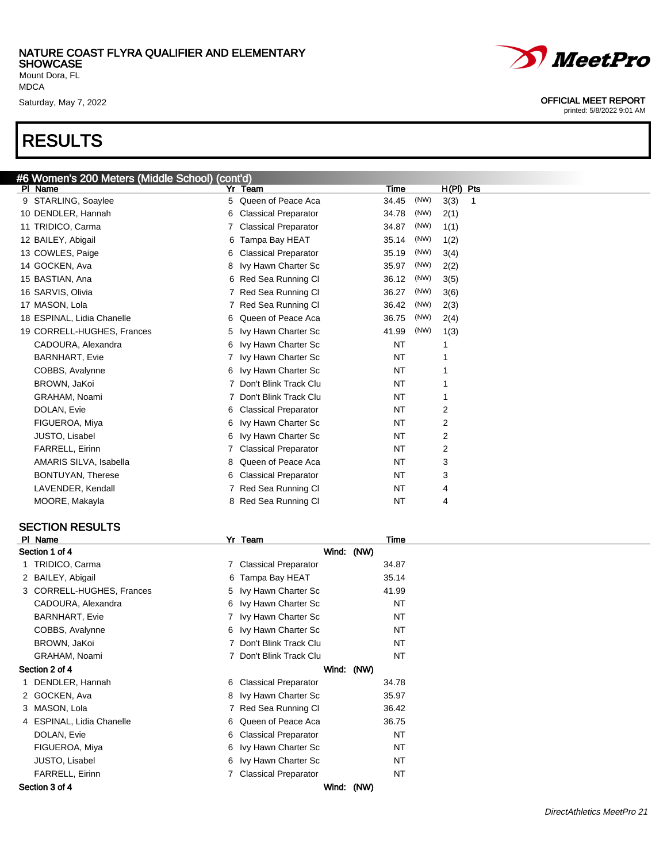Mount Dora, FL MDCA

### RESULTS



Saturday, May 7, 2022 **OFFICIAL MEET REPORT** 

printed: 5/8/2022 9:01 AM

| #6 Women's 200 Meters (Middle School) (cont'd) |   |                             |           |      |            |
|------------------------------------------------|---|-----------------------------|-----------|------|------------|
| PI Name                                        |   | Yr Team                     | Time      |      | H(PI) Pts  |
| 9 STARLING, Soaylee                            | 5 | Queen of Peace Aca          | 34.45     | (NW) | 3(3)<br>-1 |
| 10 DENDLER, Hannah                             | 6 | <b>Classical Preparator</b> | 34.78     | (NW) | 2(1)       |
| 11 TRIDICO, Carma                              |   | <b>Classical Preparator</b> | 34.87     | (NW) | 1(1)       |
| 12 BAILEY, Abigail                             |   | 6 Tampa Bay HEAT            | 35.14     | (NW) | 1(2)       |
| 13 COWLES, Paige                               | 6 | <b>Classical Preparator</b> | 35.19     | (NW) | 3(4)       |
| 14 GOCKEN, Ava                                 | 8 | Ivy Hawn Charter Sc         | 35.97     | (NW) | 2(2)       |
| 15 BASTIAN, Ana                                |   | 6 Red Sea Running Cl        | 36.12     | (NW) | 3(5)       |
| 16 SARVIS, Olivia                              |   | Red Sea Running Cl          | 36.27     | (NW) | 3(6)       |
| 17 MASON, Lola                                 | 7 | Red Sea Running Cl          | 36.42     | (NW) | 2(3)       |
| 18 ESPINAL, Lidia Chanelle                     | 6 | Queen of Peace Aca          | 36.75     | (NW) | 2(4)       |
| 19 CORRELL-HUGHES, Frances                     | 5 | Ivy Hawn Charter Sc         | 41.99     | (NW) | 1(3)       |
| CADOURA, Alexandra                             | 6 | Ivy Hawn Charter Sc         | <b>NT</b> |      |            |
| <b>BARNHART, Evie</b>                          |   | Ivy Hawn Charter Sc         | NT        |      |            |
| COBBS, Avalynne                                | 6 | Ivy Hawn Charter Sc         | NT        |      |            |
| BROWN, JaKoi                                   |   | Don't Blink Track Clu       | NT        |      |            |
| GRAHAM, Noami                                  |   | Don't Blink Track Clu       | NT        |      |            |
| DOLAN, Evie                                    | 6 | <b>Classical Preparator</b> | NT        |      | 2          |
| FIGUEROA, Miya                                 | 6 | Ivy Hawn Charter Sc         | NT        |      | 2          |
| <b>JUSTO, Lisabel</b>                          | 6 | Ivy Hawn Charter Sc         | NT        |      | 2          |
| <b>FARRELL, Eirinn</b>                         |   | <b>Classical Preparator</b> | NT        |      | 2          |
| AMARIS SILVA, Isabella                         |   | Queen of Peace Aca          | NT        |      | 3          |
| BONTUYAN, Therese                              | 6 | <b>Classical Preparator</b> | NT        |      | 3          |
| LAVENDER, Kendall                              |   | Red Sea Running Cl          | NT        |      | 4          |
| MOORE, Makayla                                 | 8 | Red Sea Running Cl          | <b>NT</b> |      | 4          |

#### SECTION RESULTS

| PI Name                   | Yr Team                 | Time       |  |
|---------------------------|-------------------------|------------|--|
| Section 1 of 4            |                         | Wind: (NW) |  |
| 1 TRIDICO, Carma          | 7 Classical Preparator  | 34.87      |  |
| 2 BAILEY, Abigail         | 6 Tampa Bay HEAT        | 35.14      |  |
| 3 CORRELL-HUGHES, Frances | 5 Ivy Hawn Charter Sc   | 41.99      |  |
| CADOURA, Alexandra        | 6 Ivy Hawn Charter Sc   | NT         |  |
| <b>BARNHART, Evie</b>     | 7 Ivy Hawn Charter Sc   | NT         |  |
| COBBS, Avalynne           | 6 Ivy Hawn Charter Sc   | <b>NT</b>  |  |
| BROWN, JaKoi              | Don't Blink Track Clu   | <b>NT</b>  |  |
| GRAHAM, Noami             | 7 Don't Blink Track Clu | <b>NT</b>  |  |
| Section 2 of 4            |                         | Wind: (NW) |  |
| 1 DENDLER, Hannah         | 6 Classical Preparator  | 34.78      |  |
| 2 GOCKEN, Ava             | 8 Ivy Hawn Charter Sc   | 35.97      |  |
| 3 MASON, Lola             | 7 Red Sea Running CI    | 36.42      |  |
| 4 ESPINAL, Lidia Chanelle | 6 Queen of Peace Aca    | 36.75      |  |
| DOLAN, Evie               | 6 Classical Preparator  | NT         |  |
| FIGUEROA, Miya            | 6 Ivy Hawn Charter Sc   | <b>NT</b>  |  |
| JUSTO, Lisabel            | 6 Ivy Hawn Charter Sc   | NT         |  |
| FARRELL, Eirinn           | 7 Classical Preparator  | <b>NT</b>  |  |
| Section 3 of 4            |                         | Wind: (NW) |  |
|                           |                         |            |  |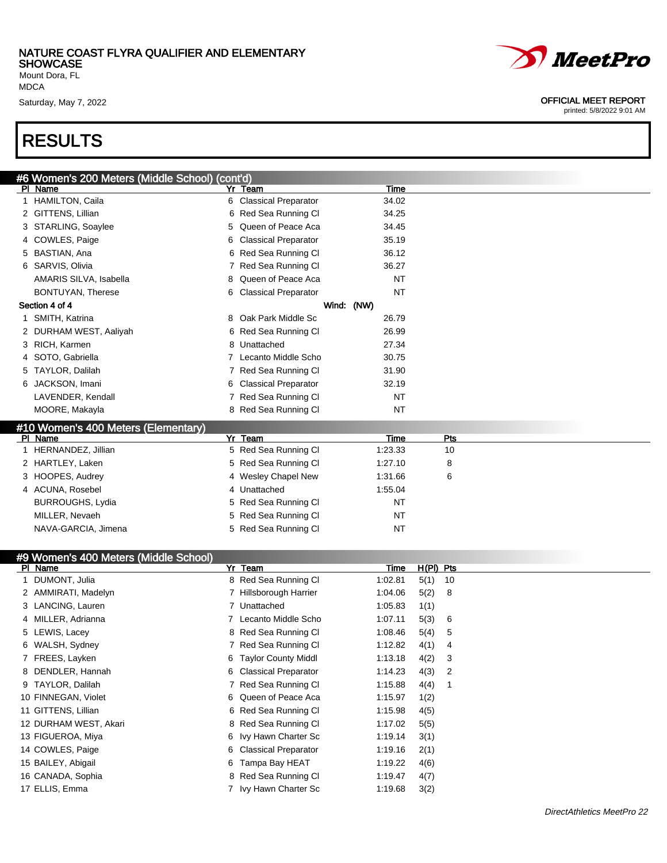Mount Dora, FL MDCA

### RESULTS

| #6 Women's 200 Meters (Middle School) (cont'd) |    |                             |            |     |  |
|------------------------------------------------|----|-----------------------------|------------|-----|--|
| PI Name                                        |    | Yr Team                     | Time       |     |  |
| 1 HAMILTON, Caila                              | 6. | <b>Classical Preparator</b> | 34.02      |     |  |
| 2 GITTENS, Lillian                             | 6  | Red Sea Running Cl          | 34.25      |     |  |
| 3 STARLING, Soaylee                            |    | 5 Queen of Peace Aca        | 34.45      |     |  |
| 4 COWLES, Paige                                |    | 6 Classical Preparator      | 35.19      |     |  |
| 5 BASTIAN, Ana                                 |    | 6 Red Sea Running Cl        | 36.12      |     |  |
| 6 SARVIS, Olivia                               |    | Red Sea Running Cl          | 36.27      |     |  |
| AMARIS SILVA, Isabella                         |    | 8 Queen of Peace Aca        | <b>NT</b>  |     |  |
| <b>BONTUYAN, Therese</b>                       |    | 6 Classical Preparator      | <b>NT</b>  |     |  |
| Section 4 of 4                                 |    |                             | Wind: (NW) |     |  |
| 1 SMITH, Katrina                               |    | 8 Oak Park Middle Sc        | 26.79      |     |  |
| 2 DURHAM WEST, Aaliyah                         | 6  | Red Sea Running Cl          | 26.99      |     |  |
| 3 RICH, Karmen                                 |    | 8 Unattached                | 27.34      |     |  |
| 4 SOTO, Gabriella                              |    | Lecanto Middle Scho         | 30.75      |     |  |
| 5 TAYLOR, Dalilah                              |    | 7 Red Sea Running CI        | 31.90      |     |  |
| 6 JACKSON, Imani                               |    | 6 Classical Preparator      | 32.19      |     |  |
| LAVENDER, Kendall                              |    | Red Sea Running Cl          | NT         |     |  |
| MOORE, Makayla                                 |    | 8 Red Sea Running Cl        | <b>NT</b>  |     |  |
| #10 Women's 400 Meters (Elementary)            |    |                             |            |     |  |
| PI Name                                        | Yr | Team                        | Time       | Pts |  |
| 1 HERNANDEZ, Jillian                           |    | 5 Red Sea Running Cl        | 1:23.33    | 10  |  |
| 2 HARTLEY, Laken                               |    | 5 Red Sea Running Cl        | 1:27.10    | 8   |  |
| 3 HOOPES, Audrey                               |    | 4 Wesley Chapel New         | 1:31.66    | 6   |  |
| 4 ACUNA, Rosebel                               |    | 4 Unattached                | 1:55.04    |     |  |
| <b>BURROUGHS, Lydia</b>                        | 5. | Red Sea Running Cl          | <b>NT</b>  |     |  |
| MILLER, Nevaeh                                 | 5  | Red Sea Running Cl          | <b>NT</b>  |     |  |

#### #9 Women's 400 Meters (Middle School) Pl Name Yr Team Time H(Pl) Pts 1 DUMONT, Julia 8 Red Sea Running Cl 1:02.81 5(1) 10 2 AMMIRATI, Madelyn 7 Hillsborough Harrier 1:04.06 5(2) 8 3 LANCING, Lauren 7 Unattached 1:05.83 1(1) 4 MILLER, Adrianna 7 Lecanto Middle Scho 1:07.11 5(3) 6 5 LEWIS, Lacey **8 Red Sea Running Cl 1:08.46 5(4) 5** 6 WALSH, Sydney 7 Red Sea Running Cl 1:12.82 4(1) 4 7 FREES, Layken 6 Taylor County Middl 1:13.18 4(2) 3 8 DENDLER, Hannah 6 Classical Preparator 1:14.23 4(3) 2 9 TAYLOR, Dalilah 1.15.88 4(4) 1 7 Red Sea Running Cl 1:15.88 4(4) 1 10 FINNEGAN, Violet 6 Queen of Peace Aca 1:15.97 1(2) 11 GITTENS, Lillian 6 Red Sea Running Cl 1:15.98 4(5) 12 DURHAM WEST, Akari 1988 18 Red Sea Running Cl 1:17.02 5(5) 13 FIGUEROA, Miya **6 Ivy Hawn Charter Sc** 1:19.14 3(1) 14 COWLES, Paige 6 Classical Preparator 1:19.16 2(1) 15 BAILEY, Abigail 6 Tampa Bay HEAT 1:19.22 4(6) 16 CANADA, Sophia 8 Red Sea Running Cl 1:19.47 4(7)

NAVA-GARCIA, Jimena **1988 1998 12 META 1999 12 META 1999 12 META 1999 12 META 1999 12 META 1999 12 META 1999 12 ME** 

17 ELLIS, Emma 2(2) 22 T Ivy Hawn Charter Sc 3(2) 1:19.68 3(2)



Saturday, May 7, 2022 **OFFICIAL MEET REPORT**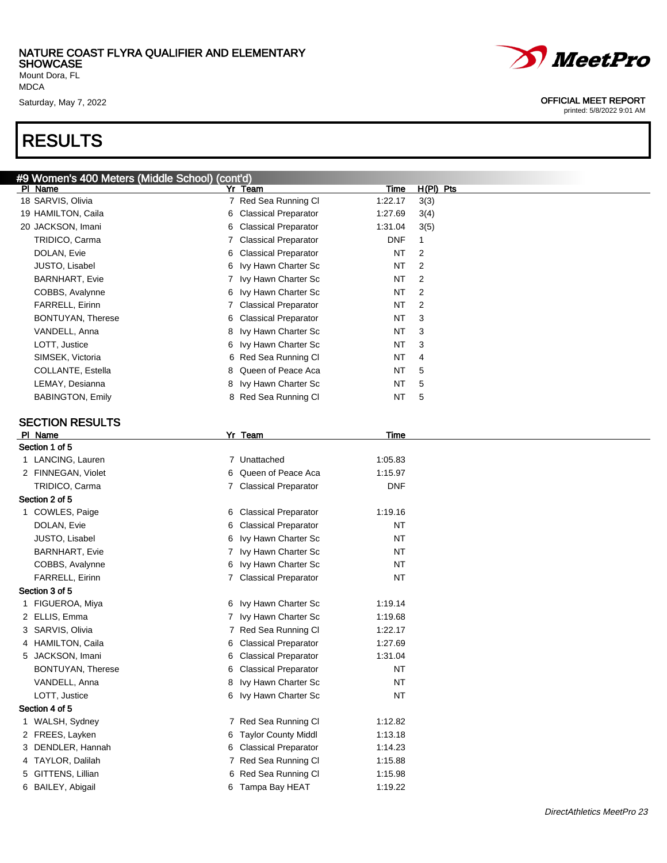Mount Dora, FL MDCA

### RESULTS

#### Saturday, May 7, 2022 2002

| #9 Women's 400 Meters (Middle School) (cont'd) |                        |             |                |
|------------------------------------------------|------------------------|-------------|----------------|
| PI Name                                        | <b>Yr Team</b>         | <b>Time</b> | $H(PI)$ Pts    |
| 18 SARVIS, Olivia                              | 7 Red Sea Running Cl   | 1:22.17     | 3(3)           |
| 19 HAMILTON, Caila                             | 6 Classical Preparator | 1:27.69     | 3(4)           |
| 20 JACKSON, Imani                              | 6 Classical Preparator | 1:31.04     | 3(5)           |
| TRIDICO, Carma                                 | 7 Classical Preparator | <b>DNF</b>  | 1              |
| DOLAN, Evie                                    | 6 Classical Preparator | NT          | 2              |
| JUSTO, Lisabel                                 | 6 Ivy Hawn Charter Sc  | NT          | 2              |
| <b>BARNHART, Evie</b>                          | 7 Ivy Hawn Charter Sc  | NT          | $\overline{2}$ |
| COBBS, Avalynne                                | 6 Ivy Hawn Charter Sc  | NT          | 2              |
| FARRELL, Eirinn                                | 7 Classical Preparator | NT          | $\overline{2}$ |
| <b>BONTUYAN, Therese</b>                       | 6 Classical Preparator | NT          | 3              |
| VANDELL, Anna                                  | 8 Ivy Hawn Charter Sc  | NT          | 3              |
| LOTT, Justice                                  | 6 Ivy Hawn Charter Sc  | NT          | 3              |
| SIMSEK, Victoria                               | 6 Red Sea Running Cl   | NT          | 4              |
| COLLANTE, Estella                              | 8 Queen of Peace Aca   | NT          | 5              |
| LEMAY, Desianna                                | 8 Ivy Hawn Charter Sc  | NT          | 5              |
| <b>BABINGTON, Emily</b>                        | 8 Red Sea Running Cl   | NT          | 5              |
|                                                |                        |             |                |
| <b>SECTION RESULTS</b>                         |                        |             |                |
| PI Name                                        | Yr_Team                | Time        |                |
| Section 1 of 5                                 |                        |             |                |
| 1 LANCING, Lauren                              | 7 Unattached           | 1:05.83     |                |
| 2 FINNEGAN, Violet                             | 6 Queen of Peace Aca   | 1:15.97     |                |
| TRIDICO, Carma                                 | 7 Classical Preparator | <b>DNF</b>  |                |
| Section 2 of 5                                 |                        |             |                |
| 1 COWLES, Paige                                | 6 Classical Preparator | 1:19.16     |                |
| DOLAN, Evie                                    | 6 Classical Preparator | <b>NT</b>   |                |
| JUSTO, Lisabel                                 | 6 Ivy Hawn Charter Sc  | NT          |                |
| <b>BARNHART, Evie</b>                          | 7 Ivy Hawn Charter Sc  | NT          |                |
| COBBS, Avalynne                                | 6 Ivy Hawn Charter Sc  | NT          |                |
| <b>FARRELL, Eirinn</b>                         | 7 Classical Preparator | <b>NT</b>   |                |
| Section 3 of 5                                 |                        |             |                |
| 1 FIGUEROA, Miya                               | 6 Ivy Hawn Charter Sc  | 1:19.14     |                |
| 2 ELLIS, Emma                                  | 7 Ivy Hawn Charter Sc  | 1:19.68     |                |
| 3 SARVIS, Olivia                               | 7 Red Sea Running Cl   | 1:22.17     |                |
| 4 HAMILTON, Caila                              | 6 Classical Preparator | 1:27.69     |                |
| 5 JACKSON, Imani                               | 6 Classical Preparator | 1:31.04     |                |
| BONTUYAN, Therese                              | 6 Classical Preparator | NT          |                |
| VANDELL, Anna                                  | 8 Ivy Hawn Charter Sc  | <b>NT</b>   |                |
| LOTT, Justice                                  | 6 Ivy Hawn Charter Sc  | <b>NT</b>   |                |
| Section 4 of 5                                 |                        |             |                |
| 1 WALSH, Sydney                                | 7 Red Sea Running Cl   | 1:12.82     |                |
| 2 FREES, Layken                                | 6 Taylor County Middl  | 1:13.18     |                |
| 3 DENDLER, Hannah                              | 6 Classical Preparator | 1:14.23     |                |
| 4 TAYLOR, Dalilah                              | 7 Red Sea Running Cl   | 1:15.88     |                |
| 5 GITTENS, Lillian                             | 6 Red Sea Running Cl   | 1:15.98     |                |
| 6 BAILEY, Abigail                              | 6 Tampa Bay HEAT       | 1:19.22     |                |
|                                                |                        |             |                |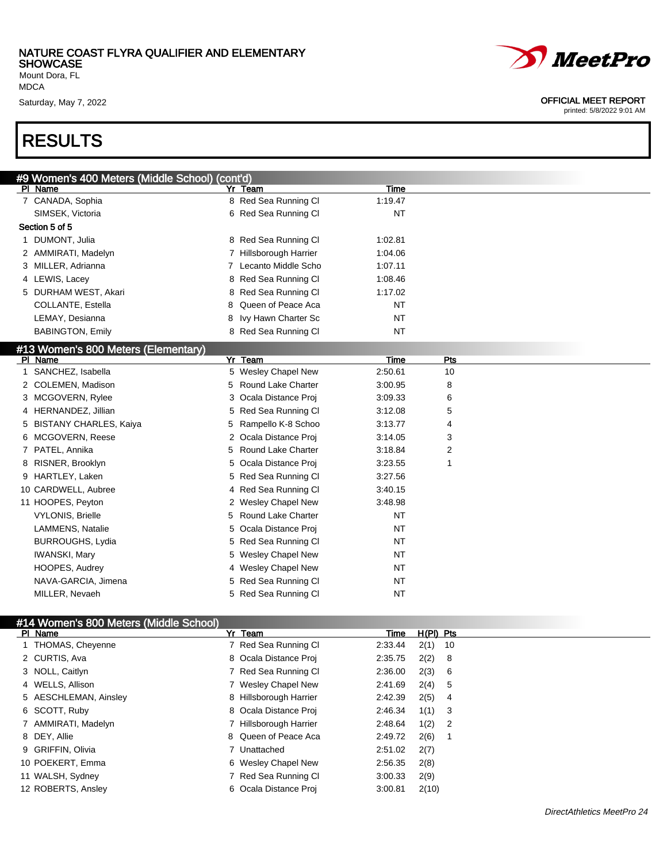Mount Dora, FL MDCA

### RESULTS

| <i>MeetPro</i> |
|----------------|
|                |

Saturday, May 7, 2022 **OFFICIAL MEET REPORT** 

| #9 Women's 400 Meters (Middle School) (cont'd) |                          |           |           |  |
|------------------------------------------------|--------------------------|-----------|-----------|--|
| PI Name                                        | Yr Team                  | Time      |           |  |
| 7 CANADA, Sophia                               | 8 Red Sea Running Cl     | 1:19.47   |           |  |
| SIMSEK, Victoria                               | 6 Red Sea Running Cl     | <b>NT</b> |           |  |
| Section 5 of 5                                 |                          |           |           |  |
| 1 DUMONT, Julia                                | 8 Red Sea Running Cl     | 1:02.81   |           |  |
| 2 AMMIRATI, Madelyn                            | 7 Hillsborough Harrier   | 1:04.06   |           |  |
| 3 MILLER, Adrianna                             | 7 Lecanto Middle Scho    | 1:07.11   |           |  |
| 4 LEWIS, Lacey                                 | 8 Red Sea Running Cl     | 1:08.46   |           |  |
| 5 DURHAM WEST, Akari                           | 8 Red Sea Running Cl     | 1:17.02   |           |  |
| COLLANTE, Estella                              | Queen of Peace Aca<br>8. | <b>NT</b> |           |  |
| LEMAY, Desianna                                | Ivy Hawn Charter Sc<br>8 | <b>NT</b> |           |  |
| <b>BABINGTON, Emily</b>                        | 8 Red Sea Running Cl     | <b>NT</b> |           |  |
| #13 Women's 800 Meters (Elementary)            |                          |           |           |  |
| PI Name                                        | Yr Team                  | Time      | Pts       |  |
| 1 SANCHEZ, Isabella                            | 5 Wesley Chapel New      | 2:50.61   | 10        |  |
| 2 COLEMEN, Madison                             | 5 Round Lake Charter     | 3:00.95   | 8         |  |
| 3 MCGOVERN, Rylee                              | 3 Ocala Distance Proj    | 3:09.33   | 6         |  |
| 4 HERNANDEZ, Jillian                           | 5 Red Sea Running Cl     | 3:12.08   | 5         |  |
| 5 BISTANY CHARLES, Kaiya                       | Rampello K-8 Schoo<br>5  | 3:13.77   | 4         |  |
| 6 MCGOVERN, Reese                              | 2 Ocala Distance Proj    | 3:14.05   | 3         |  |
| 7 PATEL, Annika                                | 5 Round Lake Charter     | 3:18.84   | 2         |  |
| 8 RISNER, Brooklyn                             | 5 Ocala Distance Proj    | 3:23.55   | 1         |  |
| 9 HARTLEY, Laken                               | 5 Red Sea Running Cl     | 3:27.56   |           |  |
| 10 CARDWELL, Aubree                            | 4 Red Sea Running Cl     | 3:40.15   |           |  |
| 11 HOOPES, Peyton                              | 2 Wesley Chapel New      | 3:48.98   |           |  |
| <b>VYLONIS, Brielle</b>                        | 5 Round Lake Charter     | NT        |           |  |
| LAMMENS, Natalie                               | 5 Ocala Distance Proj    | <b>NT</b> |           |  |
| <b>BURROUGHS, Lydia</b>                        | 5 Red Sea Running Cl     | <b>NT</b> |           |  |
| <b>IWANSKI, Mary</b>                           | 5 Wesley Chapel New      | NT        |           |  |
| HOOPES, Audrey                                 | 4 Wesley Chapel New      | <b>NT</b> |           |  |
| NAVA-GARCIA, Jimena                            | 5 Red Sea Running Cl     | <b>NT</b> |           |  |
| MILLER, Nevaeh                                 | 5 Red Sea Running Cl     | <b>NT</b> |           |  |
|                                                |                          |           |           |  |
| #14 Women's 800 Meters (Middle School)         |                          |           |           |  |
| PI Name                                        | Yr Team                  | Time      | H(PI) Pts |  |

| PI Name               | Yr Team                | H(PI) Pts<br>Time    |  |
|-----------------------|------------------------|----------------------|--|
| 1 THOMAS, Cheyenne    | 7 Red Sea Running CI   | $2(1)$ 10<br>2:33.44 |  |
| 2 CURTIS, Ava         | 8 Ocala Distance Proj  | $2(2)$ 8<br>2:35.75  |  |
| 3 NOLL, Caitlyn       | 7 Red Sea Running CI   | 2(3) 6<br>2:36.00    |  |
| 4 WELLS, Allison      | 7 Wesley Chapel New    | 2(4) 5<br>2:41.69    |  |
| 5 AESCHLEMAN, Ainsley | 8 Hillsborough Harrier | $2(5)$ 4<br>2:42.39  |  |
| 6 SCOTT, Ruby         | 8 Ocala Distance Proj  | $1(1)$ 3<br>2:46.34  |  |
| 7 AMMIRATI, Madelyn   | 7 Hillsborough Harrier | $1(2)$ 2<br>2:48.64  |  |
| 8 DEY, Allie          | 8 Queen of Peace Aca   | 2(6)<br>2:49.72      |  |
| 9 GRIFFIN, Olivia     | 7 Unattached           | 2:51.02<br>2(7)      |  |
| 10 POEKERT, Emma      | 6 Wesley Chapel New    | 2(8)<br>2:56.35      |  |
| 11 WALSH, Sydney      | 7 Red Sea Running CI   | 3:00.33<br>2(9)      |  |
| 12 ROBERTS, Ansley    | 6 Ocala Distance Proj  | 2(10)<br>3:00.81     |  |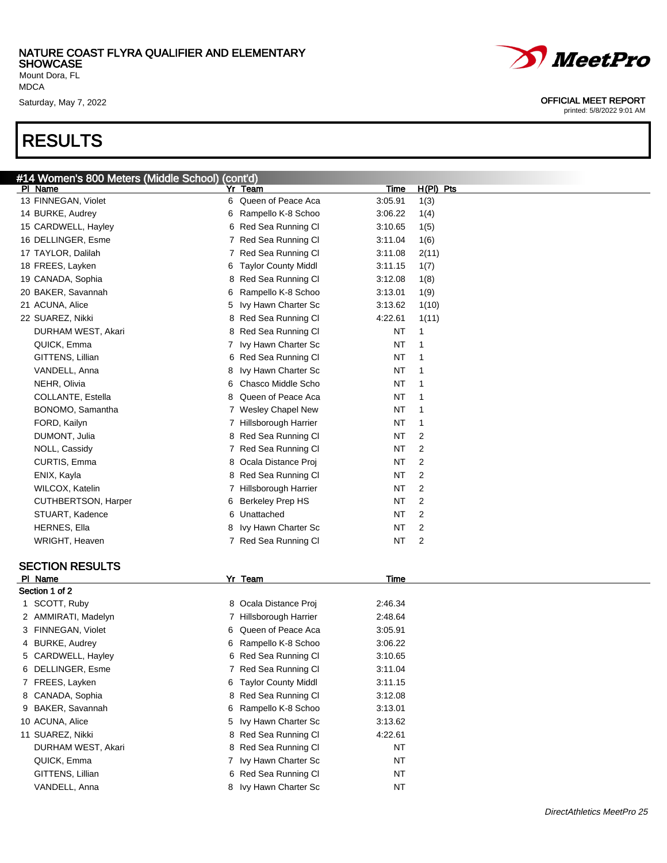Mount Dora, FL MDCA

### RESULTS



#### Saturday, May 7, 2022 **OFFICIAL MEET REPORT**

| #14 Women's 800 Meters (Middle School) (cont'd) |   |                            |           |                |
|-------------------------------------------------|---|----------------------------|-----------|----------------|
| PI Name                                         |   | Yr Team                    | Time      | $H(PI)$ Pts    |
| 13 FINNEGAN, Violet                             |   | 6 Queen of Peace Aca       | 3:05.91   | 1(3)           |
| 14 BURKE, Audrey                                | 6 | Rampello K-8 Schoo         | 3:06.22   | 1(4)           |
| 15 CARDWELL, Hayley                             |   | 6 Red Sea Running Cl       | 3:10.65   | 1(5)           |
| 16 DELLINGER, Esme                              |   | 7 Red Sea Running Cl       | 3:11.04   | 1(6)           |
| 17 TAYLOR, Dalilah                              |   | 7 Red Sea Running Cl       | 3:11.08   | 2(11)          |
| 18 FREES, Layken                                | 6 | <b>Taylor County Middl</b> | 3:11.15   | 1(7)           |
| 19 CANADA, Sophia                               |   | 8 Red Sea Running Cl       | 3:12.08   | 1(8)           |
| 20 BAKER, Savannah                              | 6 | Rampello K-8 Schoo         | 3:13.01   | 1(9)           |
| 21 ACUNA, Alice                                 | 5 | Ivy Hawn Charter Sc        | 3:13.62   | 1(10)          |
| 22 SUAREZ, Nikki                                |   | 8 Red Sea Running Cl       | 4:22.61   | 1(11)          |
| DURHAM WEST, Akari                              |   | 8 Red Sea Running Cl       | ΝT        | 1              |
| QUICK, Emma                                     | 7 | Ivy Hawn Charter Sc        | ΝT        | 1              |
| GITTENS, Lillian                                |   | 6 Red Sea Running Cl       | ΝT        | 1              |
| VANDELL, Anna                                   | 8 | Ivy Hawn Charter Sc        | ΝT        | 1              |
| NEHR, Olivia                                    | 6 | Chasco Middle Scho         | ΝT        | 1              |
| COLLANTE, Estella                               | 8 | Queen of Peace Aca         | ΝT        | 1              |
| BONOMO, Samantha                                |   | 7 Wesley Chapel New        | ΝT        | 1              |
| FORD, Kailyn                                    |   | 7 Hillsborough Harrier     | ΝT        | 1              |
| DUMONT, Julia                                   |   | 8 Red Sea Running Cl       | ΝT        | 2              |
| NOLL, Cassidy                                   |   | 7 Red Sea Running Cl       | ΝT        | 2              |
| CURTIS, Emma                                    |   | 8 Ocala Distance Proj      | ΝT        | 2              |
|                                                 |   | 8 Red Sea Running Cl       |           | 2              |
| ENIX, Kayla                                     |   |                            | ΝT        | 2              |
| WILCOX, Katelin                                 |   | 7 Hillsborough Harrier     | ΝT        |                |
| <b>CUTHBERTSON, Harper</b>                      |   | 6 Berkeley Prep HS         | ΝT        | 2              |
| STUART, Kadence                                 |   | 6 Unattached               | ΝT        | 2              |
| <b>HERNES, Ella</b>                             | 8 | Ivy Hawn Charter Sc        | ΝT        | $\overline{2}$ |
| WRIGHT, Heaven                                  |   | 7 Red Sea Running Cl       | ΝT        | 2              |
| <b>SECTION RESULTS</b>                          |   |                            |           |                |
| PI Name                                         |   | Yr Team                    | Time      |                |
| Section 1 of 2                                  |   |                            |           |                |
| 1 SCOTT, Ruby                                   |   | 8 Ocala Distance Proj      | 2:46.34   |                |
| 2 AMMIRATI, Madelyn                             |   | 7 Hillsborough Harrier     | 2:48.64   |                |
| 3 FINNEGAN, Violet                              | 6 | Queen of Peace Aca         | 3:05.91   |                |
| 4 BURKE, Audrey                                 | 6 | Rampello K-8 Schoo         | 3:06.22   |                |
| 5 CARDWELL, Hayley                              |   | 6 Red Sea Running Cl       | 3:10.65   |                |
| 6 DELLINGER, Esme                               |   | 7 Red Sea Running Cl       | 3:11.04   |                |
| 7 FREES, Layken                                 |   | 6 Taylor County Middl      | 3:11.15   |                |
| 8 CANADA, Sophia                                |   | 8 Red Sea Running Cl       | 3:12.08   |                |
|                                                 |   |                            |           |                |
| 9 BAKER, Savannah                               | 6 | Rampello K-8 Schoo         | 3:13.01   |                |
| 10 ACUNA, Alice                                 | 5 | Ivy Hawn Charter Sc        | 3:13.62   |                |
| 11 SUAREZ, Nikki                                |   | 8 Red Sea Running Cl       | 4:22.61   |                |
| DURHAM WEST, Akari                              |   | 8 Red Sea Running Cl       | <b>NT</b> |                |
| QUICK, Emma                                     | 7 | Ivy Hawn Charter Sc        | <b>NT</b> |                |
| GITTENS, Lillian                                |   | 6 Red Sea Running Cl       | NT        |                |
| VANDELL, Anna                                   |   | 8 Ivy Hawn Charter Sc      | <b>NT</b> |                |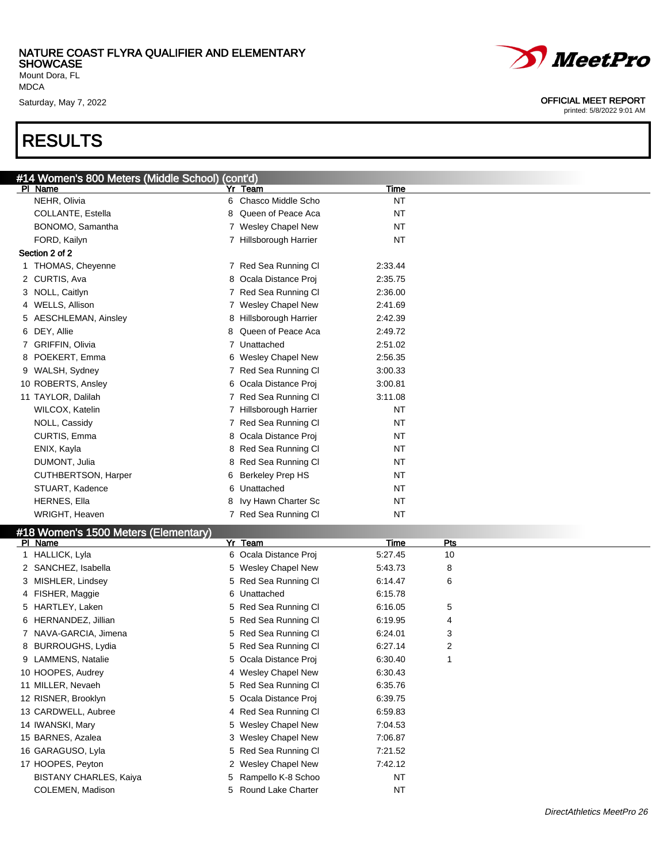Mount Dora, FL MDCA

### RESULTS



Saturday, May 7, 2022 **OFFICIAL MEET REPORT** 

printed: 5/8/2022 9:01 AM

| #14 Women's 800 Meters (Middle School) (cont'd) |                        |           |
|-------------------------------------------------|------------------------|-----------|
| PI Name                                         | Yr Team                | Time      |
| NEHR, Olivia                                    | 6 Chasco Middle Scho   | <b>NT</b> |
| COLLANTE, Estella                               | 8 Queen of Peace Aca   | <b>NT</b> |
| BONOMO, Samantha                                | 7 Wesley Chapel New    | <b>NT</b> |
| FORD, Kailyn                                    | 7 Hillsborough Harrier | <b>NT</b> |
| Section 2 of 2                                  |                        |           |
| THOMAS, Cheyenne                                | 7 Red Sea Running Cl   | 2:33.44   |
| 2 CURTIS, Ava                                   | 8 Ocala Distance Proj  | 2:35.75   |
| 3 NOLL, Caitlyn                                 | 7 Red Sea Running Cl   | 2:36.00   |
| 4 WELLS, Allison                                | 7 Wesley Chapel New    | 2:41.69   |
| 5 AESCHLEMAN, Ainsley                           | 8 Hillsborough Harrier | 2:42.39   |
| 6 DEY, Allie                                    | 8 Queen of Peace Aca   | 2:49.72   |
| <b>GRIFFIN, Olivia</b>                          | 7 Unattached           | 2:51.02   |
| 8 POEKERT, Emma                                 | 6 Wesley Chapel New    | 2:56.35   |
| 9 WALSH, Sydney                                 | 7 Red Sea Running Cl   | 3:00.33   |
| 10 ROBERTS, Ansley                              | 6 Ocala Distance Proj  | 3:00.81   |
| 11 TAYLOR, Dalilah                              | 7 Red Sea Running Cl   | 3:11.08   |
| WILCOX, Katelin                                 | 7 Hillsborough Harrier | <b>NT</b> |
| NOLL, Cassidy                                   | 7 Red Sea Running Cl   | <b>NT</b> |
| CURTIS, Emma                                    | 8 Ocala Distance Proj  | <b>NT</b> |
| ENIX, Kayla                                     | 8 Red Sea Running Cl   | <b>NT</b> |
| DUMONT, Julia                                   | 8 Red Sea Running Cl   | <b>NT</b> |
| CUTHBERTSON, Harper                             | 6 Berkeley Prep HS     | <b>NT</b> |
| STUART, Kadence                                 | 6 Unattached           | <b>NT</b> |
| HERNES, Ella                                    | 8 Ivy Hawn Charter Sc  | NT        |
| <b>WRIGHT, Heaven</b>                           | 7 Red Sea Running Cl   | <b>NT</b> |

#### #18 Women's 1500 Meters (Elementary)

| $\pi$ to vibility 1900 motors (Lietificated) |                       |           |            |  |
|----------------------------------------------|-----------------------|-----------|------------|--|
| PI Name                                      | Yr Team               | Time      | <b>Pts</b> |  |
| 1 HALLICK, Lyla                              | 6 Ocala Distance Proj | 5:27.45   | 10         |  |
| 2 SANCHEZ, Isabella                          | 5 Wesley Chapel New   | 5:43.73   | 8          |  |
| 3 MISHLER, Lindsey                           | 5 Red Sea Running CI  | 6:14.47   | 6          |  |
| 4 FISHER, Maggie                             | 6 Unattached          | 6:15.78   |            |  |
| 5 HARTLEY, Laken                             | 5 Red Sea Running CI  | 6:16.05   | 5          |  |
| 6 HERNANDEZ, Jillian                         | 5 Red Sea Running Cl  | 6:19.95   | 4          |  |
| NAVA-GARCIA, Jimena                          | 5 Red Sea Running CI  | 6:24.01   | 3          |  |
| 8 BURROUGHS, Lydia                           | 5 Red Sea Running CI  | 6:27.14   | 2          |  |
| 9 LAMMENS, Natalie                           | 5 Ocala Distance Proj | 6:30.40   |            |  |
| 10 HOOPES, Audrey                            | 4 Wesley Chapel New   | 6:30.43   |            |  |
| 11 MILLER, Nevaeh                            | 5 Red Sea Running CI  | 6:35.76   |            |  |
| 12 RISNER, Brooklyn                          | 5 Ocala Distance Proj | 6:39.75   |            |  |
| 13 CARDWELL, Aubree                          | 4 Red Sea Running Cl  | 6.59.83   |            |  |
| 14 IWANSKI, Mary                             | 5 Wesley Chapel New   | 7:04.53   |            |  |
| 15 BARNES, Azalea                            | 3 Wesley Chapel New   | 7:06.87   |            |  |
| 16 GARAGUSO, Lyla                            | 5 Red Sea Running CI  | 7:21.52   |            |  |
| 17 HOOPES, Peyton                            | 2 Wesley Chapel New   | 7:42.12   |            |  |
| <b>BISTANY CHARLES, Kaiya</b>                | 5 Rampello K-8 Schoo  | <b>NT</b> |            |  |
| COLEMEN, Madison                             | 5 Round Lake Charter  | <b>NT</b> |            |  |
|                                              |                       |           |            |  |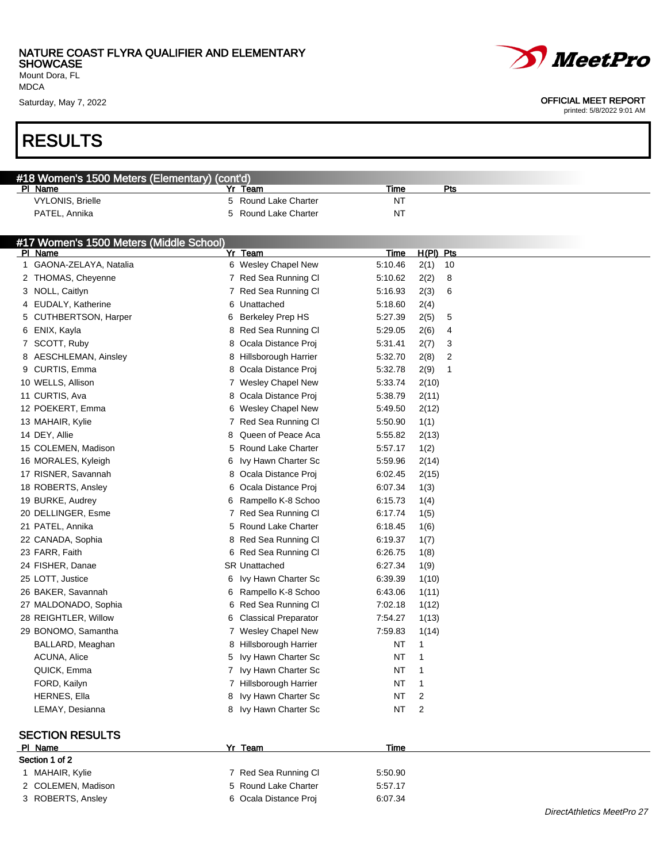Mount Dora, FL MDCA

### RESULTS

| <b>RESULTS</b>                                |                              |                 |           |  |
|-----------------------------------------------|------------------------------|-----------------|-----------|--|
|                                               |                              |                 |           |  |
| #18 Women's 1500 Meters (Elementary) (cont'd) |                              |                 |           |  |
| PI Name                                       | Yr Team                      | Time            | Pts       |  |
| <b>VYLONIS, Brielle</b>                       | 5 Round Lake Charter         | <b>NT</b>       |           |  |
| PATEL, Annika                                 | Round Lake Charter<br>5      | <b>NT</b>       |           |  |
| #17 Women's 1500 Meters (Middle School)       |                              |                 |           |  |
| PI Name                                       | Yr Team                      | Time            | H(PI) Pts |  |
| 1 GAONA-ZELAYA, Natalia                       | 6 Wesley Chapel New          | 5:10.46<br>2(1) | 10        |  |
| 2 THOMAS, Cheyenne                            | 7 Red Sea Running Cl         | 5:10.62<br>2(2) | 8         |  |
| 3 NOLL, Caitlyn                               | 7 Red Sea Running Cl         | 5:16.93<br>2(3) | 6         |  |
| 4 EUDALY, Katherine                           | 6 Unattached                 | 5:18.60<br>2(4) |           |  |
| 5 CUTHBERTSON, Harper                         | <b>Berkeley Prep HS</b><br>6 | 5:27.39<br>2(5) | 5         |  |
| 6 ENIX, Kayla                                 | 8 Red Sea Running Cl         | 5:29.05<br>2(6) | 4         |  |
| 7 SCOTT, Ruby                                 | Ocala Distance Proj<br>8     | 5:31.41<br>2(7) | 3         |  |
| 8 AESCHLEMAN, Ainsley                         | Hillsborough Harrier<br>8    | 5:32.70<br>2(8) | 2         |  |
| 9 CURTIS, Emma                                | 8 Ocala Distance Proj        | 5:32.78<br>2(9) | 1         |  |
| 10 WELLS, Allison                             | 7 Wesley Chapel New          | 5.33.74         | 2(10)     |  |
| 11 CURTIS, Ava                                | 8 Ocala Distance Proj        | 5:38.79         | 2(11)     |  |
| 12 POEKERT, Emma                              | 6 Wesley Chapel New          | 5:49.50         | 2(12)     |  |
| 13 MAHAIR, Kylie                              | 7 Red Sea Running Cl         | 5:50.90<br>1(1) |           |  |
| 14 DEY, Allie                                 | Queen of Peace Aca<br>8      | 5:55.82         | 2(13)     |  |
| 15 COLEMEN, Madison                           | <b>Round Lake Charter</b>    | 5:57.17<br>1(2) |           |  |
| 16 MORALES, Kyleigh                           | Ivy Hawn Charter Sc<br>6     | 5:59.96         | 2(14)     |  |
| 17 RISNER, Savannah                           | Ocala Distance Proj<br>8     | 6:02.45         | 2(15)     |  |
| 18 ROBERTS, Ansley                            | Ocala Distance Proj          | 6:07.34<br>1(3) |           |  |
| 19 BURKE, Audrey                              | Rampello K-8 Schoo<br>6      | 6:15.73<br>1(4) |           |  |
| 20 DELLINGER, Esme                            | 7 Red Sea Running Cl         | 6:17.74<br>1(5) |           |  |
| 21 PATEL, Annika                              | 5 Round Lake Charter         | 6:18.45<br>1(6) |           |  |
| 22 CANADA, Sophia                             | 8 Red Sea Running Cl         | 6:19.37<br>1(7) |           |  |
| 23 FARR, Faith                                | 6 Red Sea Running Cl         | 6:26.75<br>1(8) |           |  |
| 24 FISHER, Danae                              | <b>SR Unattached</b>         | 6:27.34<br>1(9) |           |  |
| 25 LOTT, Justice                              | 6 Ivy Hawn Charter Sc        | 6:39.39         | 1(10)     |  |

#### SECTION RESULTS

| PI Name            | Yr Team               | Time    |  |
|--------------------|-----------------------|---------|--|
| Section 1 of 2     |                       |         |  |
| 1 MAHAIR, Kylie    | 7 Red Sea Running CI  | 5:50.90 |  |
| 2 COLEMEN, Madison | 5 Round Lake Charter  | 5:57.17 |  |
| 3 ROBERTS, Ansley  | 6 Ocala Distance Proj | 6:07.34 |  |

26 BAKER, Savannah 6 Rampello K-8 Schoo 6:43.06 1(11) 27 MALDONADO, Sophia 6 Red Sea Running Cl 7:02.18 1(12) 28 REIGHTLER, Willow 6 Classical Preparator 7:54.27 1(13) 29 BONOMO, Samantha 7 Wesley Chapel New 7:59.83 1(14) BALLARD, Meaghan **8 Hillsborough Harrier** NT 1 ACUNA, Alice 5 Ivy Hawn Charter Sc NT 1 QUICK, Emma **7 Ivy Hawn Charter Sc** NT 1 FORD, Kailyn 7 Hillsborough Harrier NT 1 HERNES, Ella 8 Ivy Hawn Charter Sc NT 2 LEMAY, Desianna **8 Ivy Hawn Charter Sc** NT 2



#### Saturday, May 7, 2022 2002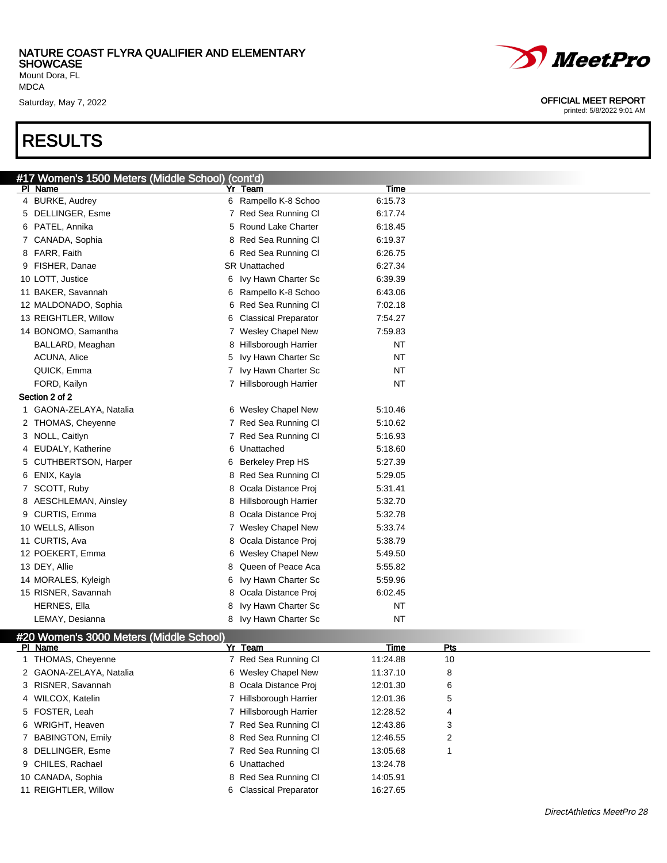Mount Dora, FL MDCA

### RESULTS

| #17 Women's 1500 Meters (Middle School) (cont'd) |                        |             |
|--------------------------------------------------|------------------------|-------------|
| PI Name                                          | Yr Team                | <b>Time</b> |
| 4 BURKE, Audrey                                  | 6 Rampello K-8 Schoo   | 6:15.73     |
| 5 DELLINGER, Esme                                | 7 Red Sea Running Cl   | 6:17.74     |
| 6 PATEL, Annika                                  | 5 Round Lake Charter   | 6:18.45     |
| 7 CANADA, Sophia                                 | 8 Red Sea Running Cl   | 6:19.37     |
| 8 FARR, Faith                                    | 6 Red Sea Running Cl   | 6:26.75     |
| 9 FISHER, Danae                                  | <b>SR Unattached</b>   | 6:27.34     |
| 10 LOTT, Justice                                 | 6 Ivy Hawn Charter Sc  | 6:39.39     |
| 11 BAKER, Savannah                               | 6 Rampello K-8 Schoo   | 6:43.06     |
| 12 MALDONADO, Sophia                             | 6 Red Sea Running CI   | 7:02.18     |
| 13 REIGHTLER, Willow                             | 6 Classical Preparator | 7:54.27     |
| 14 BONOMO, Samantha                              | 7 Wesley Chapel New    | 7:59.83     |
| BALLARD, Meaghan                                 | 8 Hillsborough Harrier | <b>NT</b>   |
| ACUNA, Alice                                     | 5 Ivy Hawn Charter Sc  | <b>NT</b>   |
| QUICK, Emma                                      | 7 Ivy Hawn Charter Sc  | <b>NT</b>   |
| FORD, Kailyn                                     | 7 Hillsborough Harrier | <b>NT</b>   |
| Section 2 of 2                                   |                        |             |
| 1 GAONA-ZELAYA, Natalia                          | 6 Wesley Chapel New    | 5:10.46     |
| 2 THOMAS, Cheyenne                               | 7 Red Sea Running Cl   | 5:10.62     |
| 3 NOLL, Caitlyn                                  | 7 Red Sea Running Cl   | 5:16.93     |
| 4 EUDALY, Katherine                              | 6 Unattached           | 5:18.60     |
| 5 CUTHBERTSON, Harper                            | 6 Berkeley Prep HS     | 5:27.39     |
| 6 ENIX, Kayla                                    | 8 Red Sea Running Cl   | 5:29.05     |
| 7 SCOTT, Ruby                                    | 8 Ocala Distance Proj  | 5:31.41     |
| 8 AESCHLEMAN, Ainsley                            | 8 Hillsborough Harrier | 5:32.70     |
| 9 CURTIS, Emma                                   | 8 Ocala Distance Proj  | 5:32.78     |
| 10 WELLS, Allison                                | 7 Wesley Chapel New    | 5:33.74     |
|                                                  |                        |             |
| 11 CURTIS, Ava                                   | 8 Ocala Distance Proj  | 5:38.79     |
| 12 POEKERT, Emma                                 | 6 Wesley Chapel New    | 5:49.50     |
| 13 DEY, Allie                                    | 8 Queen of Peace Aca   | 5:55.82     |

14 MORALES, Kyleigh 6 Ivy Hawn Charter Sc 5:59.96 RISNER, Savannah 8 Ocala Distance Proj 6:02.45 HERNES, Ella **8 IVy Hawn Charter Sc** NT LEMAY, Desianna **8 IVy Hawn Charter Sc** NT

#### #20 Women's 3000 Meters (Middle School)

| $\mu$ 20 $\mu$ 101110110 0000 Motoro timuuto oonoon |                        |          |     |
|-----------------------------------------------------|------------------------|----------|-----|
| PI Name                                             | Yr Team                | Time     | Pts |
| 1 THOMAS, Cheyenne                                  | 7 Red Sea Running CI   | 11:24.88 | 10  |
| 2 GAONA-ZELAYA, Natalia                             | 6 Wesley Chapel New    | 11:37.10 | 8   |
| 3 RISNER, Savannah                                  | 8 Ocala Distance Proj  | 12:01.30 | 6   |
| 4 WILCOX, Katelin                                   | Hillsborough Harrier   | 12:01.36 | 5   |
| 5 FOSTER, Leah                                      | 7 Hillsborough Harrier | 12:28.52 | 4   |
| 6 WRIGHT, Heaven                                    | 7 Red Sea Running CI   | 12:43.86 | 3   |
| 7 BABINGTON, Emily                                  | 8 Red Sea Running CI   | 12:46.55 | 2   |
| 8 DELLINGER, Esme                                   | 7 Red Sea Running CI   | 13:05.68 |     |
| 9 CHILES, Rachael                                   | 6 Unattached           | 13:24.78 |     |
| 10 CANADA, Sophia                                   | 8 Red Sea Running CI   | 14:05.91 |     |
| 11 REIGHTLER, Willow                                | 6 Classical Preparator | 16:27.65 |     |



#### Saturday, May 7, 2022 2002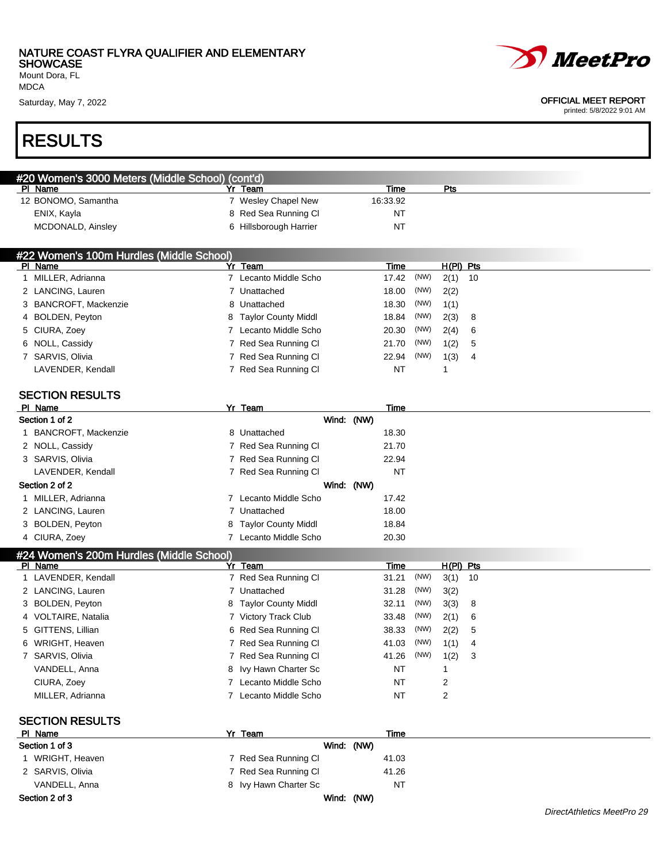Mount Dora, FL MDCA

### RESULTS

| #20 Women's 3000 Meters (Middle School) (cont'd) |                        |          |     |  |  |  |  |  |  |  |  |  |
|--------------------------------------------------|------------------------|----------|-----|--|--|--|--|--|--|--|--|--|
| PI Name                                          | Team                   | Time     | Pts |  |  |  |  |  |  |  |  |  |
| 12 BONOMO, Samantha                              | 7 Wesley Chapel New    | 16:33.92 |     |  |  |  |  |  |  |  |  |  |
| ENIX, Kayla                                      | 8 Red Sea Running Cl   | NT       |     |  |  |  |  |  |  |  |  |  |
| MCDONALD, Ainsley                                | 6 Hillsborough Harrier | NT       |     |  |  |  |  |  |  |  |  |  |

| #22 Women's 100m Hurdles (Middle School) |  |                       |       |      |             |                |  |  |  |  |  |
|------------------------------------------|--|-----------------------|-------|------|-------------|----------------|--|--|--|--|--|
| PI Name                                  |  | Yr Team               | Time  |      | $H(PI)$ Pts |                |  |  |  |  |  |
| MILLER, Adrianna                         |  | Lecanto Middle Scho   | 17.42 | (NW) | $2(1)$ 10   |                |  |  |  |  |  |
| 2 LANCING, Lauren                        |  | 7 Unattached          | 18.00 | (NW) | 2(2)        |                |  |  |  |  |  |
| 3 BANCROFT, Mackenzie                    |  | 8 Unattached          | 18.30 | (NW) | 1(1)        |                |  |  |  |  |  |
| 4 BOLDEN, Peyton                         |  | 8 Taylor County Middl | 18.84 | (NW) | 2(3) 8      |                |  |  |  |  |  |
| 5 CIURA, Zoey                            |  | Lecanto Middle Scho   | 20.30 | (NW) | 2(4) 6      |                |  |  |  |  |  |
| 6 NOLL, Cassidy                          |  | 7 Red Sea Running CI  | 21.70 | (NW) | 1(2)        | -5             |  |  |  |  |  |
| 7 SARVIS, Olivia                         |  | 7 Red Sea Running Cl  | 22.94 | (NW) | 1(3)        | $\overline{4}$ |  |  |  |  |  |
| LAVENDER, Kendall                        |  | 7 Red Sea Running CI  | NT    |      |             |                |  |  |  |  |  |
|                                          |  |                       |       |      |             |                |  |  |  |  |  |

### SECTION RESULTS

| PI Name                                  | Yr Team               | Time  |  |  |  |  |  |  |  |
|------------------------------------------|-----------------------|-------|--|--|--|--|--|--|--|
| Section 1 of 2                           | Wind: (NW)            |       |  |  |  |  |  |  |  |
| 1 BANCROFT, Mackenzie                    | 8 Unattached          | 18.30 |  |  |  |  |  |  |  |
| 2 NOLL, Cassidy                          | 7 Red Sea Running CI  | 21.70 |  |  |  |  |  |  |  |
| 3 SARVIS, Olivia                         | 7 Red Sea Running CI  | 22.94 |  |  |  |  |  |  |  |
| LAVENDER, Kendall                        | Red Sea Running Cl    | NT    |  |  |  |  |  |  |  |
| Section 2 of 2                           | Wind: (NW)            |       |  |  |  |  |  |  |  |
| 1 MILLER, Adrianna                       | Lecanto Middle Scho   | 17.42 |  |  |  |  |  |  |  |
| 2 LANCING, Lauren                        | Unattached            | 18.00 |  |  |  |  |  |  |  |
| 3 BOLDEN, Peyton                         | 8 Taylor County Middl | 18.84 |  |  |  |  |  |  |  |
| 4 CIURA, Zoey                            | Lecanto Middle Scho   | 20.30 |  |  |  |  |  |  |  |
| #24 Women's 200m Hurdles (Middle School) |                       |       |  |  |  |  |  |  |  |

| PI Name             | Yr Team               | Time          | $H(PI)$ Pts |     |
|---------------------|-----------------------|---------------|-------------|-----|
| 1 LAVENDER, Kendall | 7 Red Sea Running CI  | (NW)<br>31.21 | $3(1)$ 10   |     |
| 2 LANCING, Lauren   | Unattached            | (NW)<br>31.28 | 3(2)        |     |
| 3 BOLDEN, Peyton    | 8 Taylor County Middl | (NW)<br>32.11 | 3(3) 8      |     |
| 4 VOLTAIRE, Natalia | 7 Victory Track Club  | (NW)<br>33.48 | $2(1)$ 6    |     |
| 5 GITTENS, Lillian  | 6 Red Sea Running CI  | (NW)<br>38.33 | 2(2) 5      |     |
| 6 WRIGHT, Heaven    | 7 Red Sea Running CI  | (NW)<br>41.03 | 1(1)        | - 4 |
| 7 SARVIS, Olivia    | 7 Red Sea Running CI  | (NW)<br>41.26 | $1(2)$ 3    |     |
| VANDELL, Anna       | 8 Ivy Hawn Charter Sc | NT            |             |     |
| CIURA, Zoey         | 7 Lecanto Middle Scho | NT            | 2           |     |
| MILLER, Adrianna    | Lecanto Middle Scho   | NT            | 2           |     |

| <b>SECTION RESULTS</b> |                       |            |  |  |  |
|------------------------|-----------------------|------------|--|--|--|
| PI Name                | Yr Team               | Time       |  |  |  |
| Section 1 of 3         |                       | Wind: (NW) |  |  |  |
| 1 WRIGHT, Heaven       | 7 Red Sea Running CI  | 41.03      |  |  |  |
| 2 SARVIS, Olivia       | 7 Red Sea Running Cl  | 41.26      |  |  |  |
| VANDELL, Anna          | 8 Ivy Hawn Charter Sc | NT         |  |  |  |
| Section 2 of 3         | Wind:                 | (NW)       |  |  |  |



#### Saturday, May 7, 2022 **OFFICIAL MEET REPORT**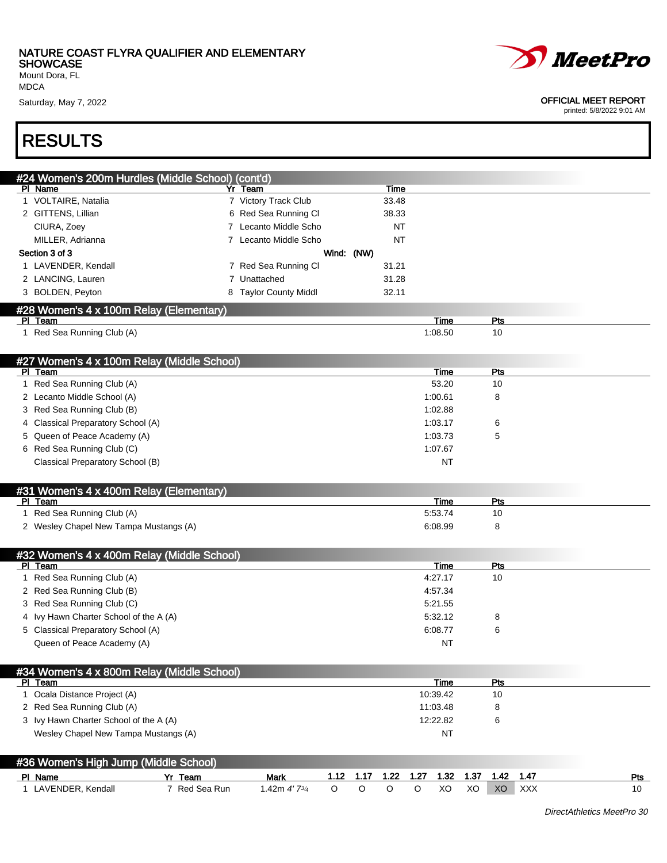Mount Dora, FL MDCA

Saturday, May 7, 2022 **OFFICIAL MEET REPORT** 

RESULTS

|   | #24 Women's 200m Hurdles (Middle School) (cont'd) |                                    |            |         |           |         |                 |      |           |            |     |
|---|---------------------------------------------------|------------------------------------|------------|---------|-----------|---------|-----------------|------|-----------|------------|-----|
|   | PI Name                                           | Yr Team                            |            |         | Time      |         |                 |      |           |            |     |
|   | 1 VOLTAIRE, Natalia                               | 7 Victory Track Club               |            |         | 33.48     |         |                 |      |           |            |     |
|   | 2 GITTENS, Lillian                                | 6 Red Sea Running Cl               |            |         | 38.33     |         |                 |      |           |            |     |
|   | CIURA, Zoey                                       | Lecanto Middle Scho<br>$7^{\circ}$ |            |         | NT        |         |                 |      |           |            |     |
|   | MILLER, Adrianna                                  | 7 Lecanto Middle Scho              |            |         | <b>NT</b> |         |                 |      |           |            |     |
|   | Section 3 of 3                                    |                                    | Wind: (NW) |         |           |         |                 |      |           |            |     |
|   | 1 LAVENDER, Kendall                               | 7 Red Sea Running Cl               |            |         | 31.21     |         |                 |      |           |            |     |
|   | 2 LANCING, Lauren                                 | 7 Unattached                       |            |         | 31.28     |         |                 |      |           |            |     |
|   | 3 BOLDEN, Peyton                                  | 8 Taylor County Middl              |            |         | 32.11     |         |                 |      |           |            |     |
|   | #28 Women's 4 x 100m Relay (Elementary)           |                                    |            |         |           |         |                 |      |           |            |     |
|   | PI Team                                           |                                    |            |         |           |         | Time            |      | Pts       |            |     |
|   | 1 Red Sea Running Club (A)                        |                                    |            |         |           |         | 1:08.50         |      | 10        |            |     |
|   |                                                   |                                    |            |         |           |         |                 |      |           |            |     |
|   | #27 Women's 4 x 100m Relay (Middle School)        |                                    |            |         |           |         |                 |      |           |            |     |
|   | PI Team                                           |                                    |            |         |           |         | Time            |      | Pts       |            |     |
|   | 1 Red Sea Running Club (A)                        |                                    |            |         |           |         | 53.20           |      | 10        |            |     |
|   | 2 Lecanto Middle School (A)                       |                                    |            |         |           |         | 1:00.61         |      | 8         |            |     |
|   | 3 Red Sea Running Club (B)                        |                                    |            |         |           |         | 1:02.88         |      |           |            |     |
| 4 | Classical Preparatory School (A)                  |                                    |            |         |           |         | 1:03.17         |      | 6         |            |     |
|   | 5 Queen of Peace Academy (A)                      |                                    |            |         |           |         | 1:03.73         |      | 5         |            |     |
|   | 6 Red Sea Running Club (C)                        |                                    |            |         |           |         | 1:07.67         |      |           |            |     |
|   | Classical Preparatory School (B)                  |                                    |            |         |           |         | <b>NT</b>       |      |           |            |     |
|   |                                                   |                                    |            |         |           |         |                 |      |           |            |     |
|   | #31 Women's 4 x 400m Relay (Elementary)           |                                    |            |         |           |         |                 |      |           |            |     |
|   | PI Team<br>1 Red Sea Running Club (A)             |                                    |            |         |           |         | Time<br>5:53.74 |      | Pts<br>10 |            |     |
|   |                                                   |                                    |            |         |           |         | 6:08.99         |      | 8         |            |     |
|   | 2 Wesley Chapel New Tampa Mustangs (A)            |                                    |            |         |           |         |                 |      |           |            |     |
|   | #32 Women's 4 x 400m Relay (Middle School)        |                                    |            |         |           |         |                 |      |           |            |     |
|   | PI Team                                           |                                    |            |         |           |         | Time            |      | Pts       |            |     |
|   | 1 Red Sea Running Club (A)                        |                                    |            |         |           |         | 4:27.17         |      | 10        |            |     |
|   | 2 Red Sea Running Club (B)                        |                                    |            |         |           |         | 4:57.34         |      |           |            |     |
|   | 3 Red Sea Running Club (C)                        |                                    |            |         |           |         | 5:21.55         |      |           |            |     |
|   | 4 Ivy Hawn Charter School of the A (A)            |                                    |            |         |           |         | 5:32.12         |      | 8         |            |     |
|   | 5 Classical Preparatory School (A)                |                                    |            |         |           |         | 6:08.77         |      | 6         |            |     |
|   | Queen of Peace Academy (A)                        |                                    |            |         |           |         | NT              |      |           |            |     |
|   |                                                   |                                    |            |         |           |         |                 |      |           |            |     |
|   | #34 Women's 4 x 800m Relay (Middle School)        |                                    |            |         |           |         |                 |      |           |            |     |
|   | PI Team                                           |                                    |            |         |           |         | Time            |      | Pts       |            |     |
|   | 1 Ocala Distance Project (A)                      |                                    |            |         |           |         | 10:39.42        |      | 10        |            |     |
|   | 2 Red Sea Running Club (A)                        |                                    |            |         |           |         | 11:03.48        |      | 8         |            |     |
|   | 3 Ivy Hawn Charter School of the A (A)            |                                    |            |         |           |         | 12:22.82        |      | 6         |            |     |
|   | Wesley Chapel New Tampa Mustangs (A)              |                                    |            |         |           |         | <b>NT</b>       |      |           |            |     |
|   |                                                   |                                    |            |         |           |         |                 |      |           |            |     |
|   | #36 Women's High Jump (Middle School)             |                                    |            |         |           |         |                 |      |           |            |     |
|   | Yr Team<br>PI Name                                | <b>Mark</b>                        | 1.12       | 1.17    | 1.22      | 1.27    | 1.32            | 1.37 | 1.42      | 1.47       | Pts |
|   | 1 LAVENDER, Kendall<br>7 Red Sea Run              | 1.42m 4'73/4                       | $\circ$    | $\circ$ | $\circ$   | $\circ$ | XO              | XO   | XO        | <b>XXX</b> | 10  |

DirectAthletics MeetPro 30

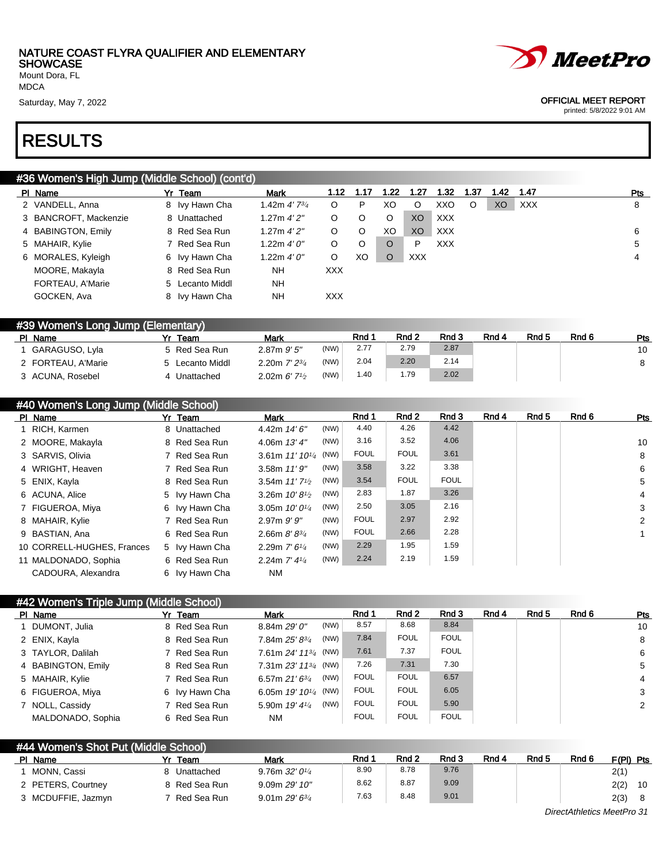Mount Dora, FL MDCA

### RESULTS

| 'Jumn (Middle School) (cont'd). |  |  |
|---------------------------------|--|--|

| #36 Women's High Jump (Middle School) (cont'd) |  |                 |                            |            |      |      |      |            |      |      |            |  |     |
|------------------------------------------------|--|-----------------|----------------------------|------------|------|------|------|------------|------|------|------------|--|-----|
| PI Name                                        |  | Yr Team         | <b>Mark</b>                | 1.12       | 1.17 | 1.22 | 1.27 | 1.32       | 1.37 | 1.42 | 1.47       |  | Pts |
| 2 VANDELL, Anna                                |  | 8 Ivy Hawn Cha  | 1.42m $4'$ 7 $\frac{3}{4}$ | O          | P    | XO   | O    | XXO        | O    | XO   | <b>XXX</b> |  | 8   |
| 3 BANCROFT, Mackenzie                          |  | 8 Unattached    | 1.27m 4'2"                 | O          | O    | O    | XO   | <b>XXX</b> |      |      |            |  |     |
| 4 BABINGTON, Emily                             |  | 8 Red Sea Run   | 1.27m 4'2"                 | O          | O    | XO   | XO   | XXX        |      |      |            |  | 6   |
| 5 MAHAIR, Kylie                                |  | 7 Red Sea Run   | 1.22m 4'0''                | O          | O    | O    | P    | <b>XXX</b> |      |      |            |  | 5   |
| 6 MORALES, Kyleigh                             |  | 6 Ivy Hawn Cha  | 1.22m $4'0''$              | O          | XO   | O    | XXX. |            |      |      |            |  | 4   |
| MOORE, Makayla                                 |  | 8 Red Sea Run   | <b>NH</b>                  | <b>XXX</b> |      |      |      |            |      |      |            |  |     |
| FORTEAU, A'Marie                               |  | 5 Lecanto Middl | <b>NH</b>                  |            |      |      |      |            |      |      |            |  |     |
| GOCKEN, Ava                                    |  | 8 Ivy Hawn Cha  | <b>NH</b>                  | <b>XXX</b> |      |      |      |            |      |      |            |  |     |

| #39 Women's Long Jump (Elementary) |                 |                                          |      |      |                  |       |       |       |       |     |  |  |
|------------------------------------|-----------------|------------------------------------------|------|------|------------------|-------|-------|-------|-------|-----|--|--|
| PI Name                            | Yr Team         | Mark                                     |      | Rnd  | Rnd <sub>2</sub> | Rnd 3 | Rnd 4 | Rnd 5 | Rnd 6 | Pts |  |  |
| GARAGUSO, Lyla                     | 5 Red Sea Run   | $2.87m$ $9'5''$                          | (NW) | 2.77 | 2.79             | 2.87  |       |       |       | 10  |  |  |
| 2 FORTEAU, A'Marie                 | 5 Lecanto Middl | 2.20m $7'$ $2^{3/4}$                     | (NW) | 2.04 | 2.20             | 2.14  |       |       |       |     |  |  |
| 3 ACUNA, Rosebel                   | Unattached      | 2.02m $6'$ 7 <sup>1</sup> / <sub>2</sub> | (NW) | 1.40 | I.79             | 2.02  |       |       |       |     |  |  |

| #40 Women's Long Jump (Middle School) |  |                |                             |      |             |             |             |       |       |       |                |
|---------------------------------------|--|----------------|-----------------------------|------|-------------|-------------|-------------|-------|-------|-------|----------------|
| PI Name                               |  | Yr Team        | <b>Mark</b>                 |      | Rnd 1       | Rnd 2       | Rnd 3       | Rnd 4 | Rnd 5 | Rnd 6 | <b>Pts</b>     |
| 1 RICH, Karmen                        |  | 8 Unattached   | 4.42m 14' 6"                | (NW) | 4.40        | 4.26        | 4.42        |       |       |       |                |
| 2 MOORE, Makayla                      |  | 8 Red Sea Run  | 4.06m $13'4''$              | (NW) | 3.16        | 3.52        | 4.06        |       |       |       | 10             |
| 3 SARVIS, Olivia                      |  | 7 Red Sea Run  | 3.61m $11'10^{1/4}$ (NW)    |      | <b>FOUL</b> | <b>FOUL</b> | 3.61        |       |       |       | 8              |
| 4 WRIGHT, Heaven                      |  | 7 Red Sea Run  | 3.58m $11'9''$              | (NW) | 3.58        | 3.22        | 3.38        |       |       |       | 6              |
| 5 ENIX, Kayla                         |  | 8 Red Sea Run  | 3.54m $11'7'2$              | (NW) | 3.54        | <b>FOUL</b> | <b>FOUL</b> |       |       |       | 5              |
| 6 ACUNA, Alice                        |  | 5 Ivy Hawn Cha | 3.26m $10'8\frac{1}{2}$     | (NW) | 2.83        | 1.87        | 3.26        |       |       |       | $\overline{4}$ |
| 7 FIGUEROA, Miya                      |  | 6 Ivy Hawn Cha | 3.05m $10'0'4$              | (NW) | 2.50        | 3.05        | 2.16        |       |       |       | 3              |
| 8 MAHAIR, Kylie                       |  | 7 Red Sea Run  | $2.97m$ $9'$ $9''$          | (NW) | <b>FOUL</b> | 2.97        | 2.92        |       |       |       | 2              |
| 9 BASTIAN, Ana                        |  | 6 Red Sea Run  | 2.66m $8'8^{3/4}$           | (NW) | <b>FOUL</b> | 2.66        | 2.28        |       |       |       |                |
| 10 CORRELL-HUGHES, Frances            |  | 5 Ivy Hawn Cha | 2.29m $7'$ 6 <sup>1/4</sup> | (NW) | 2.29        | 1.95        | 1.59        |       |       |       |                |
| 11 MALDONADO, Sophia                  |  | 6 Red Sea Run  | 2.24m $7'$ 4 $\frac{1}{4}$  | (NW) | 2.24        | 2.19        | 1.59        |       |       |       |                |
| CADOURA, Alexandra                    |  | 6 Ivy Hawn Cha | <b>NM</b>                   |      |             |             |             |       |       |       |                |

#### #42 Women's Triple Jump (Middle School)

| PI Name            | Yr Team        | <b>Mark</b>                         | Rnd 1       | Rnd 2       | Rnd 3       | Rnd 4 | Rnd 5 | Rnd 6 | Pts |
|--------------------|----------------|-------------------------------------|-------------|-------------|-------------|-------|-------|-------|-----|
| 1 DUMONT, Julia    | 8 Red Sea Run  | (NW)<br>8.84m 29' 0"                | 8.57        | 8.68        | 8.84        |       |       |       | 10  |
| 2 ENIX, Kayla      | 8 Red Sea Run  | (NW)<br>7.84m 25' 83/4              | 7.84        | <b>FOUL</b> | <b>FOUL</b> |       |       |       | 8   |
| 3 TAYLOR, Dalilah  | 7 Red Sea Run  | 7.61m $24'$ 11 <sup>3/4</sup> (NW)  | 7.61        | 7.37        | <b>FOUL</b> |       |       |       | 6   |
| 4 BABINGTON, Emily | 8 Red Sea Run  | 7.31 m $23'$ 11 <sup>3/4</sup> (NW) | 7.26        | 7.31        | 7.30        |       |       |       | 5   |
| 5 MAHAIR, Kylie    | 7 Red Sea Run  | (NW)<br>6.57m $21'6^{3/4}$          | <b>FOUL</b> | <b>FOUL</b> | 6.57        |       |       |       | 4   |
| 6 FIGUEROA, Miya   | 6 Ivy Hawn Cha | 6.05m $19'$ $10^{1/4}$ (NW)         | <b>FOUL</b> | <b>FOUL</b> | 6.05        |       |       |       | 3   |
| 7 NOLL, Cassidy    | 7 Red Sea Run  | (NW)<br>5.90m 19' 41/4              | <b>FOUL</b> | <b>FOUL</b> | 5.90        |       |       |       | 2   |
| MALDONADO, Sophia  | 6 Red Sea Run  | <b>NM</b>                           | <b>FOUL</b> | <b>FOUL</b> | <b>FOUL</b> |       |       |       |     |

#### #44 Women's Shot Put (Middle School)

| PI Name            | Team          | Mark                         | Rnd 1 | Rnd 2 | Rnd 3 | Rnd 4 | Rnd 5 | Rnd <sub>6</sub> | $F(PI)$ Pts |    |
|--------------------|---------------|------------------------------|-------|-------|-------|-------|-------|------------------|-------------|----|
| MONN. Cassi        | Unattached    | $9.76$ m $32'0\frac{1}{4}$   | 8.90  | 8.78  | 9.76  |       |       |                  | 2(1)        |    |
| 2 PETERS, Courtney | 8 Red Sea Run | 9.09m 29'10''                | 8.62  | 8.87  | 9.09  |       |       |                  | 2(2)        | 10 |
| 3 MCDUFFIE, Jazmyn | Red Sea Run   | $9.01$ m 29′ 6 $\frac{3}{4}$ | 7.63  | 8.48  | 9.01  |       |       |                  | 2(3)        |    |



#### Saturday, May 7, 2022 **OFFICIAL MEET REPORT**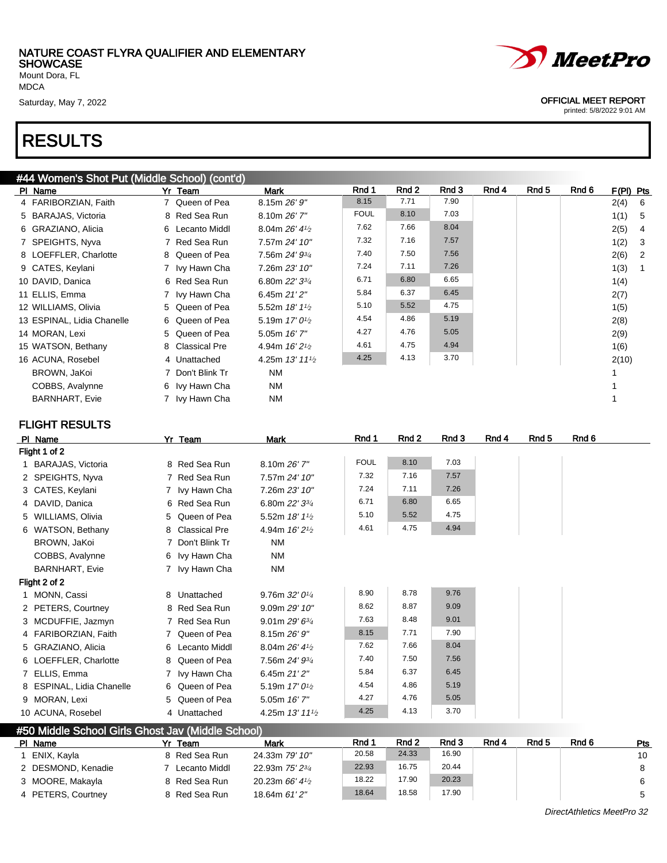Mount Dora, FL MDCA

### RESULTS

#### #44 Women's Shot Put (Middle School) (cont'd)

| PI Name                    | Yr Team          | Mark                        | Rnd 1       | Rnd 2 | Rnd 3 | Rnd 4 | Rnd 5 | Rnd 6 | F(PI) Pts |                |
|----------------------------|------------------|-----------------------------|-------------|-------|-------|-------|-------|-------|-----------|----------------|
| 4 FARIBORZIAN, Faith       | 7 Queen of Pea   | 8.15m 26' 9"                | 8.15        | 7.71  | 7.90  |       |       |       | 2(4)      | 6              |
| 5 BARAJAS, Victoria        | 8 Red Sea Run    | 8.10m 26' 7"                | <b>FOUL</b> | 8.10  | 7.03  |       |       |       | 1(1)      | $-5$           |
| 6 GRAZIANO, Alicia         | 6 Lecanto Middl  | 8.04m $26'$ 4 $\frac{1}{2}$ | 7.62        | 7.66  | 8.04  |       |       |       | 2(5)      | $\overline{4}$ |
| 7 SPEIGHTS, Nyva           | 7 Red Sea Run    | 7.57m 24' 10"               | 7.32        | 7.16  | 7.57  |       |       |       | 1(2)      | $\mathbf{3}$   |
| 8 LOEFFLER, Charlotte      | 8 Queen of Pea   | 7.56m 24' 93/4              | 7.40        | 7.50  | 7.56  |       |       |       | 2(6)      | $\overline{2}$ |
| 9 CATES, Keylani           | 7 Ivy Hawn Cha   | 7.26m 23' 10"               | 7.24        | 7.11  | 7.26  |       |       |       | 1(3)      |                |
| 10 DAVID, Danica           | 6 Red Sea Run    | 6.80m 22' 33/4              | 6.71        | 6.80  | 6.65  |       |       |       | 1(4)      |                |
| 11 ELLIS, Emma             | 7 Ivy Hawn Cha   | 6.45m 21' 2"                | 5.84        | 6.37  | 6.45  |       |       |       | 2(7)      |                |
| 12 WILLIAMS, Olivia        | 5 Queen of Pea   | 5.52m 18' 11/2              | 5.10        | 5.52  | 4.75  |       |       |       | 1(5)      |                |
| 13 ESPINAL, Lidia Chanelle | 6 Queen of Pea   | 5.19m $17'0\frac{1}{2}$     | 4.54        | 4.86  | 5.19  |       |       |       | 2(8)      |                |
| 14 MORAN, Lexi             | 5 Queen of Pea   | 5.05m 16' 7"                | 4.27        | 4.76  | 5.05  |       |       |       | 2(9)      |                |
| 15 WATSON, Bethany         | 8 Classical Pre  | 4.94m $16'2\frac{1}{2}$     | 4.61        | 4.75  | 4.94  |       |       |       | 1(6)      |                |
| 16 ACUNA, Rosebel          | 4 Unattached     | 4.25m $13'$ $11\frac{1}{2}$ | 4.25        | 4.13  | 3.70  |       |       |       | 2(10)     |                |
| BROWN, JaKoi               | 7 Don't Blink Tr | <b>NM</b>                   |             |       |       |       |       |       |           |                |
| COBBS, Avalynne            | 6 Ivy Hawn Cha   | <b>NM</b>                   |             |       |       |       |       |       |           |                |
| <b>BARNHART, Evie</b>      | 7 Ivy Hawn Cha   | <b>NM</b>                   |             |       |       |       |       |       |           |                |

#### FLIGHT RESULTS

|               | PI Name                   |  | Yr Team          | <b>Mark</b>                             | Rnd 1       | Rnd 2 | Rnd 3 | Rnd 4 | Rnd 5 | Rnd 6 |
|---------------|---------------------------|--|------------------|-----------------------------------------|-------------|-------|-------|-------|-------|-------|
| Flight 1 of 2 |                           |  |                  |                                         |             |       |       |       |       |       |
|               | 1 BARAJAS, Victoria       |  | 8 Red Sea Run    | 8.10m 26' 7"                            | <b>FOUL</b> | 8.10  | 7.03  |       |       |       |
|               | 2 SPEIGHTS, Nyva          |  | 7 Red Sea Run    | 7.57m 24' 10"                           | 7.32        | 7.16  | 7.57  |       |       |       |
|               | 3 CATES, Keylani          |  | 7 Ivy Hawn Cha   | 7.26m 23' 10"                           | 7.24        | 7.11  | 7.26  |       |       |       |
|               | 4 DAVID, Danica           |  | 6 Red Sea Run    | 6.80m 22' 33/4                          | 6.71        | 6.80  | 6.65  |       |       |       |
|               | 5 WILLIAMS, Olivia        |  | 5 Queen of Pea   | 5.52m $18'11'$                          | 5.10        | 5.52  | 4.75  |       |       |       |
|               | 6 WATSON, Bethany         |  | 8 Classical Pre  | 4.94m 16' 2 <sup>1</sup> / <sub>2</sub> | 4.61        | 4.75  | 4.94  |       |       |       |
|               | BROWN, JaKoi              |  | 7 Don't Blink Tr | <b>NM</b>                               |             |       |       |       |       |       |
|               | COBBS, Avalynne           |  | 6 Ivy Hawn Cha   | <b>NM</b>                               |             |       |       |       |       |       |
|               | <b>BARNHART, Evie</b>     |  | 7 Ivy Hawn Cha   | <b>NM</b>                               |             |       |       |       |       |       |
|               | Flight 2 of 2             |  |                  |                                         |             |       |       |       |       |       |
|               | 1 MONN, Cassi             |  | 8 Unattached     | 9.76m $32'0\frac{1}{4}$                 | 8.90        | 8.78  | 9.76  |       |       |       |
|               | 2 PETERS, Courtney        |  | 8 Red Sea Run    | 9.09m 29' 10"                           | 8.62        | 8.87  | 9.09  |       |       |       |
|               | 3 MCDUFFIE, Jazmyn        |  | 7 Red Sea Run    | 9.01m 29' 63/4                          | 7.63        | 8.48  | 9.01  |       |       |       |
|               | 4 FARIBORZIAN, Faith      |  | 7 Queen of Pea   | 8.15m 26'9''                            | 8.15        | 7.71  | 7.90  |       |       |       |
|               | 5 GRAZIANO, Alicia        |  | 6 Lecanto Middl  | 8.04m 26' 41/2                          | 7.62        | 7.66  | 8.04  |       |       |       |
|               | 6 LOEFFLER, Charlotte     |  | 8 Queen of Pea   | 7.56m 24' 93/4                          | 7.40        | 7.50  | 7.56  |       |       |       |
|               | 7 ELLIS, Emma             |  | 7 Ivy Hawn Cha   | 6.45m $21'2''$                          | 5.84        | 6.37  | 6.45  |       |       |       |
|               | 8 ESPINAL, Lidia Chanelle |  | 6 Queen of Pea   | 5.19m 17' 0 <sup>1</sup> / <sub>2</sub> | 4.54        | 4.86  | 5.19  |       |       |       |
|               | 9 MORAN, Lexi             |  | 5 Queen of Pea   | 5.05m 16' 7"                            | 4.27        | 4.76  | 5.05  |       |       |       |
|               | 10 ACUNA, Rosebel         |  | 4 Unattached     | 4.25m 13' 111/2                         | 4.25        | 4.13  | 3.70  |       |       |       |

#### #50 Middle School Girls Ghost Jav (Middle School) Pl Name 3 November 21 Yr Team Mark Rnd 1 Rnd 2 Rnd 3 Rnd 4 Rnd 5 Rnd 6 Pts 1 ENIX, Kayla 8 Red Sea Run 24.33m 79' 10" 20.58 24.33 16.90 10 2 DESMOND, Kenadie 7 Lecanto Middl 22.93m 75' 23/4 22.93 16.75 20.44 8 3 MOORE, Makayla 8 Red Sea Run 20.23m 66' 41/2 18.22 17.90 20.23 6 4 PETERS, Courtney 8 Red Sea Run 18.64m 61' 2" 18.64 18.58 17.90 5

Saturday, May 7, 2022 **OFFICIAL MEET REPORT** printed: 5/8/2022 9:01 AM

*MeetPro* 

DirectAthletics MeetPro 32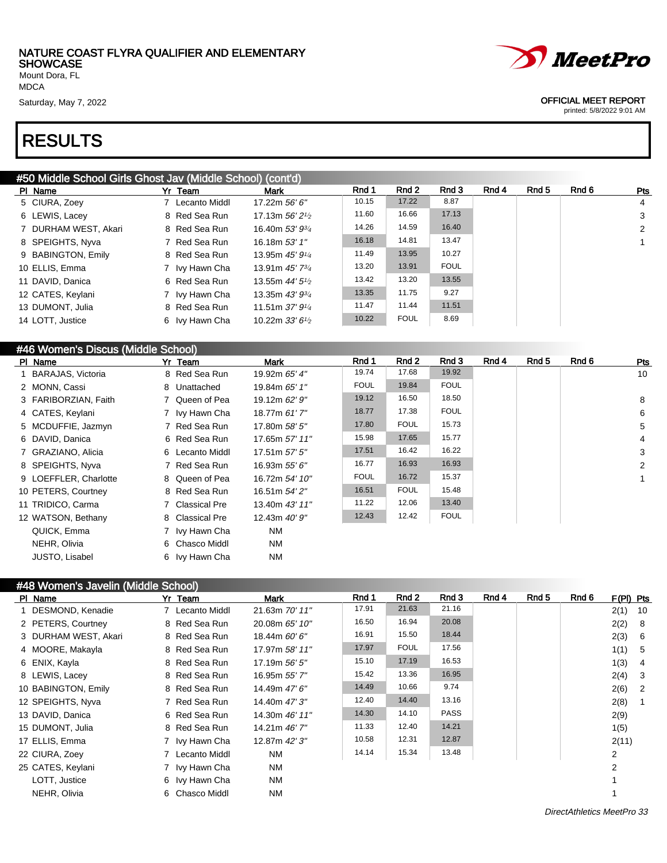Mount Dora, FL MDCA

### RESULTS

*MeetPro* 

#### Saturday, May 7, 2022 **OFFICIAL MEET REPORT**

printed: 5/8/2022 9:01 AM

#### #50 Middle School Girls Ghost Jav (Middle School) (cont'd)

| PI Name              | Yr Team         | <b>Mark</b>                 | Rnd 1 | Rnd 2       | Rnd 3       | Rnd 4 | Rnd 5 | Rnd 6 | Pts          |
|----------------------|-----------------|-----------------------------|-------|-------------|-------------|-------|-------|-------|--------------|
| 5 CIURA, Zoey        | 7 Lecanto Middl | 17.22m 56' 6"               | 10.15 | 17.22       | 8.87        |       |       |       | 4            |
| 6 LEWIS, Lacey       | 8 Red Sea Run   | 17.13m $56'$ $2\frac{1}{2}$ | 11.60 | 16.66       | 17.13       |       |       |       | $\mathbf{3}$ |
| 7 DURHAM WEST, Akari | 8 Red Sea Run   | 16.40m 53' 934              | 14.26 | 14.59       | 16.40       |       |       |       | 2            |
| 8 SPEIGHTS, Nyva     | 7 Red Sea Run   | 16.18m 53' 1"               | 16.18 | 14.81       | 13.47       |       |       |       |              |
| 9 BABINGTON, Emily   | 8 Red Sea Run   | 13.95m 45' 91/4             | 11.49 | 13.95       | 10.27       |       |       |       |              |
| 10 ELLIS, Emma       | 7 Ivy Hawn Cha  | 13.91m 45' 734              | 13.20 | 13.91       | <b>FOUL</b> |       |       |       |              |
| 11 DAVID, Danica     | 6 Red Sea Run   | 13.55m $44'5\%$             | 13.42 | 13.20       | 13.55       |       |       |       |              |
| 12 CATES, Keylani    | 7 Ivy Hawn Cha  | 13.35m $43'$ $9\frac{3}{4}$ | 13.35 | 11.75       | 9.27        |       |       |       |              |
| 13 DUMONT, Julia     | 8 Red Sea Run   | 11.51m $37'$ $9\frac{1}{4}$ | 11.47 | 11.44       | 11.51       |       |       |       |              |
| 14 LOTT, Justice     | 6 Ivy Hawn Cha  | 10.22m $33'6\frac{1}{2}$    | 10.22 | <b>FOUL</b> | 8.69        |       |       |       |              |
|                      |                 |                             |       |             |             |       |       |       |              |

#### #46 Women's Discus (Middle School)

| PI Name               | Yr Team         | <b>Mark</b>    | Rnd 1       | Rnd 2       | Rnd 3       | Rnd 4 | Rnd 5 | Rnd 6 | Pts            |
|-----------------------|-----------------|----------------|-------------|-------------|-------------|-------|-------|-------|----------------|
| 1 BARAJAS, Victoria   | 8 Red Sea Run   | 19.92m 65' 4"  | 19.74       | 17.68       | 19.92       |       |       |       | 10             |
| 2 MONN, Cassi         | 8 Unattached    | 19.84m 65' 1"  | <b>FOUL</b> | 19.84       | <b>FOUL</b> |       |       |       |                |
| 3 FARIBORZIAN, Faith  | 7 Queen of Pea  | 19.12m 62' 9"  | 19.12       | 16.50       | 18.50       |       |       |       | 8              |
| 4 CATES, Keylani      | 7 Ivy Hawn Cha  | 18.77m 61'7"   | 18.77       | 17.38       | <b>FOUL</b> |       |       |       | 6              |
| 5 MCDUFFIE, Jazmyn    | 7 Red Sea Run   | 17.80m 58' 5"  | 17.80       | <b>FOUL</b> | 15.73       |       |       |       | 5              |
| 6 DAVID, Danica       | 6 Red Sea Run   | 17.65m 57' 11" | 15.98       | 17.65       | 15.77       |       |       |       | $\overline{4}$ |
| 7 GRAZIANO, Alicia    | 6 Lecanto Middl | 17.51m 57' 5"  | 17.51       | 16.42       | 16.22       |       |       |       | 3              |
| 8 SPEIGHTS, Nyva      | 7 Red Sea Run   | 16.93m 55' 6"  | 16.77       | 16.93       | 16.93       |       |       |       | 2              |
| 9 LOEFFLER, Charlotte | 8 Queen of Pea  | 16.72m 54' 10" | <b>FOUL</b> | 16.72       | 15.37       |       |       |       |                |
| 10 PETERS, Courtney   | 8 Red Sea Run   | 16.51m 54' 2"  | 16.51       | <b>FOUL</b> | 15.48       |       |       |       |                |
| 11 TRIDICO, Carma     | 7 Classical Pre | 13.40m 43' 11" | 11.22       | 12.06       | 13.40       |       |       |       |                |
| 12 WATSON, Bethany    | 8 Classical Pre | 12.43m 40' 9"  | 12.43       | 12.42       | <b>FOUL</b> |       |       |       |                |
| QUICK, Emma           | 7 Ivy Hawn Cha  | <b>NM</b>      |             |             |             |       |       |       |                |
| NEHR, Olivia          | 6 Chasco Middl  | <b>NM</b>      |             |             |             |       |       |       |                |
| JUSTO, Lisabel        | 6 Ivy Hawn Cha  | ΝM             |             |             |             |       |       |       |                |

#### #48 Women's Javelin (Middle School)

| PI Name              | Yr Team         | Mark           | Rnd 1 | Rnd 2       | Rnd 3       | Rnd 4 | Rnd 5 | Rnd 6 | $F(PI)$ Pts |     |
|----------------------|-----------------|----------------|-------|-------------|-------------|-------|-------|-------|-------------|-----|
| 1 DESMOND, Kenadie   | 7 Lecanto Middl | 21.63m 70' 11" | 17.91 | 21.63       | 21.16       |       |       |       | 2(1)        | 10  |
| 2 PETERS, Courtney   | 8 Red Sea Run   | 20.08m 65' 10" | 16.50 | 16.94       | 20.08       |       |       |       | 2(2)        | - 8 |
| 3 DURHAM WEST, Akari | 8 Red Sea Run   | 18.44m 60' 6"  | 16.91 | 15.50       | 18.44       |       |       |       | 2(3)        | - 6 |
| 4 MOORE, Makayla     | 8 Red Sea Run   | 17.97m 58' 11" | 17.97 | <b>FOUL</b> | 17.56       |       |       |       | 1(1)        | -5  |
| 6 ENIX, Kayla        | 8 Red Sea Run   | 17.19m 56' 5"  | 15.10 | 17.19       | 16.53       |       |       |       | 1(3)        | -4  |
| 8 LEWIS, Lacey       | 8 Red Sea Run   | 16.95m 55' 7"  | 15.42 | 13.36       | 16.95       |       |       |       | 2(4)        | -3  |
| 10 BABINGTON, Emily  | 8 Red Sea Run   | 14.49m 47' 6"  | 14.49 | 10.66       | 9.74        |       |       |       | 2(6)        | -2  |
| 12 SPEIGHTS, Nyva    | 7 Red Sea Run   | 14.40m 47' 3"  | 12.40 | 14.40       | 13.16       |       |       |       | 2(8)        |     |
| 13 DAVID, Danica     | 6 Red Sea Run   | 14.30m 46' 11" | 14.30 | 14.10       | <b>PASS</b> |       |       |       | 2(9)        |     |
| 15 DUMONT, Julia     | 8 Red Sea Run   | 14.21m 46' 7"  | 11.33 | 12.40       | 14.21       |       |       |       | 1(5)        |     |
| 17 ELLIS, Emma       | 7 Ivy Hawn Cha  | 12.87m 42' 3"  | 10.58 | 12.31       | 12.87       |       |       |       | 2(11)       |     |
| 22 CIURA, Zoey       | 7 Lecanto Middl | <b>NM</b>      | 14.14 | 15.34       | 13.48       |       |       |       | 2           |     |
| 25 CATES, Keylani    | 7 Ivy Hawn Cha  | <b>NM</b>      |       |             |             |       |       |       | 2           |     |
| LOTT, Justice        | 6 Ivy Hawn Cha  | <b>NM</b>      |       |             |             |       |       |       |             |     |
| NEHR, Olivia         | 6 Chasco Middl  | <b>NM</b>      |       |             |             |       |       |       |             |     |
|                      |                 |                |       |             |             |       |       |       |             |     |

DirectAthletics MeetPro 33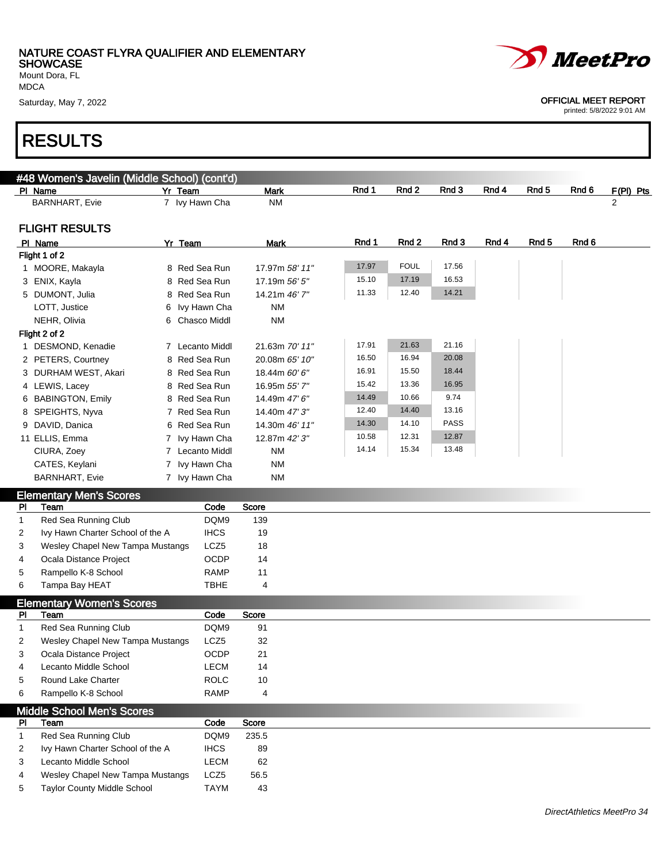

printed: 5/8/2022 9:01 AM

Saturday, May 7, 2022 **OFFICIAL MEET REPORT** 

MDCA

### RESULTS

| #48 Women's Javelin (Middle School) (cont'd)<br>PI Name | Yr Team |                  | <b>Mark</b>    | Rnd 1 | Rnd 2       | Rnd 3       | Rnd 4 | Rnd 5            | Rnd 6 | F(PI) Pts |
|---------------------------------------------------------|---------|------------------|----------------|-------|-------------|-------------|-------|------------------|-------|-----------|
| <b>BARNHART, Evie</b>                                   |         | 7 Ivy Hawn Cha   | <b>NM</b>      |       |             |             |       |                  |       | 2         |
| <b>FLIGHT RESULTS</b>                                   |         |                  |                |       |             |             |       |                  |       |           |
| PI Name                                                 | Yr Team |                  | Mark           | Rnd 1 | Rnd 2       | Rnd 3       | Rnd 4 | Rnd <sub>5</sub> | Rnd 6 |           |
| Flight 1 of 2                                           |         |                  |                |       |             |             |       |                  |       |           |
| 1 MOORE, Makayla                                        |         | 8 Red Sea Run    | 17.97m 58' 11" | 17.97 | <b>FOUL</b> | 17.56       |       |                  |       |           |
| 3 ENIX, Kayla                                           |         | 8 Red Sea Run    | 17.19m 56' 5"  | 15.10 | 17.19       | 16.53       |       |                  |       |           |
| 5 DUMONT, Julia                                         |         | 8 Red Sea Run    | 14.21m 46' 7"  | 11.33 | 12.40       | 14.21       |       |                  |       |           |
| LOTT, Justice                                           |         | 6 Ivy Hawn Cha   | <b>NM</b>      |       |             |             |       |                  |       |           |
| NEHR, Olivia                                            |         | 6 Chasco Middl   | <b>NM</b>      |       |             |             |       |                  |       |           |
| Flight 2 of 2                                           |         |                  |                |       |             |             |       |                  |       |           |
| 1 DESMOND, Kenadie                                      |         | 7 Lecanto Middl  | 21.63m 70' 11" | 17.91 | 21.63       | 21.16       |       |                  |       |           |
| 2 PETERS, Courtney                                      |         | 8 Red Sea Run    | 20.08m 65' 10" | 16.50 | 16.94       | 20.08       |       |                  |       |           |
| 3 DURHAM WEST, Akari                                    |         | 8 Red Sea Run    | 18.44m 60' 6"  | 16.91 | 15.50       | 18.44       |       |                  |       |           |
| 4 LEWIS, Lacey                                          |         | 8 Red Sea Run    | 16.95m 55' 7"  | 15.42 | 13.36       | 16.95       |       |                  |       |           |
| 6 BABINGTON, Emily                                      |         | 8 Red Sea Run    | 14.49m 47' 6"  | 14.49 | 10.66       | 9.74        |       |                  |       |           |
| 8 SPEIGHTS, Nyva                                        |         | 7 Red Sea Run    | 14.40m 47' 3"  | 12.40 | 14.40       | 13.16       |       |                  |       |           |
| 9 DAVID, Danica                                         |         | 6 Red Sea Run    | 14.30m 46' 11" | 14.30 | 14.10       | <b>PASS</b> |       |                  |       |           |
| 11 ELLIS, Emma                                          |         | 7 Ivy Hawn Cha   | 12.87m 42' 3"  | 10.58 | 12.31       | 12.87       |       |                  |       |           |
| CIURA, Zoey                                             |         | 7 Lecanto Middl  | <b>NM</b>      | 14.14 | 15.34       | 13.48       |       |                  |       |           |
| CATES, Keylani                                          |         | 7 Ivy Hawn Cha   | <b>NM</b>      |       |             |             |       |                  |       |           |
| <b>BARNHART, Evie</b>                                   |         | 7 Ivy Hawn Cha   | <b>NM</b>      |       |             |             |       |                  |       |           |
| <b>Elementary Men's Scores</b>                          |         |                  |                |       |             |             |       |                  |       |           |
| Team<br>PI                                              |         | Code             | Score          |       |             |             |       |                  |       |           |
| Red Sea Running Club<br>$\mathbf{1}$                    |         | DQM9             | 139            |       |             |             |       |                  |       |           |
| Ivy Hawn Charter School of the A<br>2                   |         | <b>IHCS</b>      | 19             |       |             |             |       |                  |       |           |
| Wesley Chapel New Tampa Mustangs<br>3                   |         | LCZ5             | 18             |       |             |             |       |                  |       |           |
| Ocala Distance Project<br>4                             |         | <b>OCDP</b>      | 14             |       |             |             |       |                  |       |           |
| Rampello K-8 School<br>5                                |         | <b>RAMP</b>      | 11             |       |             |             |       |                  |       |           |
| Tampa Bay HEAT<br>6                                     |         | TBHE             | 4              |       |             |             |       |                  |       |           |
| <b>Elementary Women's Scores</b>                        |         |                  |                |       |             |             |       |                  |       |           |
| Team<br>PI                                              |         | Code             | Score          |       |             |             |       |                  |       |           |
| Red Sea Running Club<br>1                               |         | DQM9             | 91             |       |             |             |       |                  |       |           |
| Wesley Chapel New Tampa Mustangs<br>2                   |         | LCZ <sub>5</sub> | 32             |       |             |             |       |                  |       |           |
| Ocala Distance Project                                  |         | OCDP             | 21             |       |             |             |       |                  |       |           |
| Lecanto Middle School<br>4                              |         | <b>LECM</b>      | 14             |       |             |             |       |                  |       |           |
| Round Lake Charter<br>5                                 |         | <b>ROLC</b>      | 10             |       |             |             |       |                  |       |           |
| Rampello K-8 School<br>6                                |         | <b>RAMP</b>      | 4              |       |             |             |       |                  |       |           |
| <b>Middle School Men's Scores</b>                       |         |                  |                |       |             |             |       |                  |       |           |
| <b>PI</b><br>Team                                       |         | Code             | Score          |       |             |             |       |                  |       |           |
| Red Sea Running Club<br>$\mathbf{1}$                    |         | DQM9             | 235.5          |       |             |             |       |                  |       |           |
| Ivy Hawn Charter School of the A<br>2                   |         | <b>IHCS</b>      | 89             |       |             |             |       |                  |       |           |
| Lecanto Middle School<br>3                              |         | LECM             | 62             |       |             |             |       |                  |       |           |
| Wesley Chapel New Tampa Mustangs<br>4                   |         | LCZ5             | 56.5           |       |             |             |       |                  |       |           |
| <b>Taylor County Middle School</b><br>5                 |         | <b>TAYM</b>      | 43             |       |             |             |       |                  |       |           |
|                                                         |         |                  |                |       |             |             |       |                  |       |           |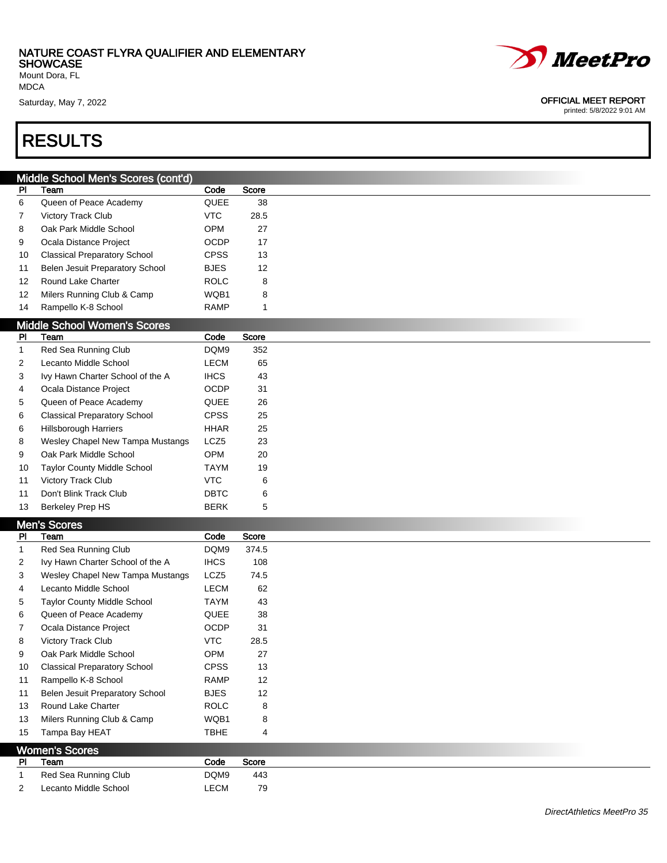Mount Dora, FL MDCA

### RESULTS

|              | Middle School Men's Scores (cont'd) |             |       |
|--------------|-------------------------------------|-------------|-------|
| PI           | Team                                | Code        | Score |
| 6            | Queen of Peace Academy              | QUEE        | 38    |
| 7            | Victory Track Club                  | <b>VTC</b>  | 28.5  |
| 8            | Oak Park Middle School              | OPM         | 27    |
| 9            | Ocala Distance Project              | <b>OCDP</b> | 17    |
| 10           | <b>Classical Preparatory School</b> | <b>CPSS</b> | 13    |
| 11           | Belen Jesuit Preparatory School     | <b>BJES</b> | 12    |
| 12           | Round Lake Charter                  | <b>ROLC</b> | 8     |
| 12           | Milers Running Club & Camp          | WQB1        | 8     |
| 14           | Rampello K-8 School                 | <b>RAMP</b> | 1     |
|              | <b>Middle School Women's Scores</b> |             |       |
| PI           | Team                                | Code        | Score |
| $\mathbf{1}$ | Red Sea Running Club                | DQM9        | 352   |
| 2            | Lecanto Middle School               | LECM        | 65    |
| 3            | Ivy Hawn Charter School of the A    | <b>IHCS</b> | 43    |
| 4            | Ocala Distance Project              | <b>OCDP</b> | 31    |
| 5            | Queen of Peace Academy              | QUEE        | 26    |
| 6            | <b>Classical Preparatory School</b> | <b>CPSS</b> | 25    |
| 6            | Hillsborough Harriers               | <b>HHAR</b> | 25    |
| 8            | Wesley Chapel New Tampa Mustangs    | LCZ5        | 23    |
| 9            | Oak Park Middle School              | OPM         | 20    |
| 10           | Taylor County Middle School         | <b>TAYM</b> | 19    |
| 11           | Victory Track Club                  | <b>VTC</b>  | 6     |
| 11           | Don't Blink Track Club              | DBTC        | 6     |
| 13           | <b>Berkeley Prep HS</b>             | <b>BERK</b> | 5     |
|              |                                     |             |       |
| PI           | Men's Scores<br>Team                | Code        | Score |
| $\mathbf{1}$ | Red Sea Running Club                | DQM9        | 374.5 |
| 2            | Ivy Hawn Charter School of the A    | <b>IHCS</b> | 108   |
| 3            | Wesley Chapel New Tampa Mustangs    | LCZ5        | 74.5  |
| 4            | Lecanto Middle School               | <b>LECM</b> | 62    |
|              | Taylor County Middle School         | <b>TAYM</b> | 43    |
| 5            |                                     |             |       |
| 6            | Queen of Peace Academy              | QUEE        | 38    |
| 7            | Ocala Distance Project              | OCDP        | 31    |
| 8            | <b>Victory Track Club</b>           | <b>VTC</b>  | 28.5  |
| 9            | Oak Park Middle School              | OPM         | 27    |
| 10           | <b>Classical Preparatory School</b> | <b>CPSS</b> | 13    |
| 11           | Rampello K-8 School                 | <b>RAMP</b> | 12    |
| 11           | Belen Jesuit Preparatory School     | <b>BJES</b> | 12    |
| 13           | Round Lake Charter                  | <b>ROLC</b> | 8     |
| 13           | Milers Running Club & Camp          | WQB1        | 8     |
| 15           | Tampa Bay HEAT                      | <b>TBHE</b> | 4     |
|              | <b>Women's Scores</b>               |             |       |

| <b>PI</b>      | Team                  | Code | Score |
|----------------|-----------------------|------|-------|
| $\overline{1}$ | Red Sea Running Club  | DQM9 | 443   |
| 2              | Lecanto Middle School | LECM | 79    |



Saturday, May 7, 2022 **OFFICIAL MEET REPORT**